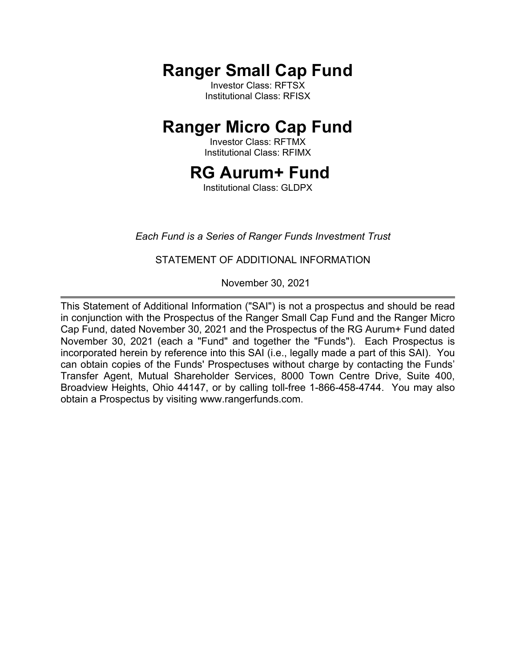**Ranger Small Cap Fund**

Investor Class: RFTSX Institutional Class: RFISX

# **Ranger Micro Cap Fund**

Investor Class: RFTMX Institutional Class: RFIMX

# **RG Aurum+ Fund**

Institutional Class: GLDPX

# *Each Fund is a Series of Ranger Funds Investment Trust*

# STATEMENT OF ADDITIONAL INFORMATION

November 30, 2021

This Statement of Additional Information ("SAI") is not a prospectus and should be read in conjunction with the Prospectus of the Ranger Small Cap Fund and the Ranger Micro Cap Fund, dated November 30, 2021 and the Prospectus of the RG Aurum+ Fund dated November 30, 2021 (each a "Fund" and together the "Funds"). Each Prospectus is incorporated herein by reference into this SAI (i.e., legally made a part of this SAI). You can obtain copies of the Funds' Prospectuses without charge by contacting the Funds' Transfer Agent, Mutual Shareholder Services, 8000 Town Centre Drive, Suite 400, Broadview Heights, Ohio 44147, or by calling toll-free 1-866-458-4744. You may also obtain a Prospectus by visiting www.rangerfunds.com.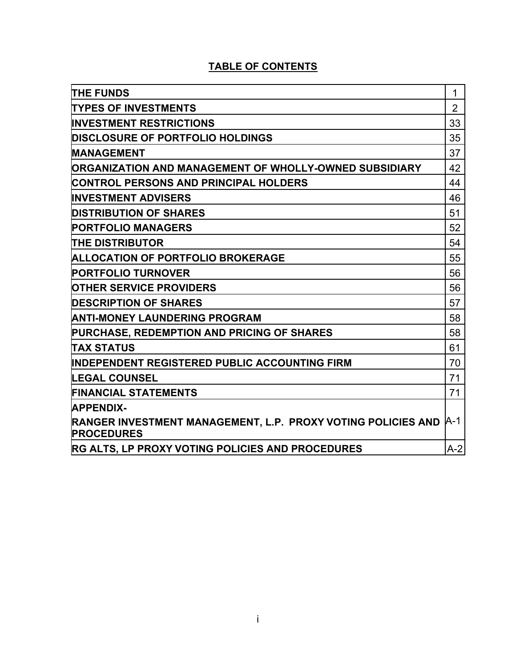# **TABLE OF CONTENTS**

| <b>THE FUNDS</b>                                                                       | 1              |
|----------------------------------------------------------------------------------------|----------------|
| <b>TYPES OF INVESTMENTS</b>                                                            | $\overline{2}$ |
| <b>INVESTMENT RESTRICTIONS</b>                                                         | 33             |
| <b>DISCLOSURE OF PORTFOLIO HOLDINGS</b>                                                | 35             |
| <b>MANAGEMENT</b>                                                                      | 37             |
| ORGANIZATION AND MANAGEMENT OF WHOLLY-OWNED SUBSIDIARY                                 | 42             |
| CONTROL PERSONS AND PRINCIPAL HOLDERS                                                  | 44             |
| INVESTMENT ADVISERS                                                                    | 46             |
| <b>DISTRIBUTION OF SHARES</b>                                                          | 51             |
| <b>PORTFOLIO MANAGERS</b>                                                              | 52             |
| <b>THE DISTRIBUTOR</b>                                                                 | 54             |
| <b>ALLOCATION OF PORTFOLIO BROKERAGE</b>                                               | 55             |
| <b>PORTFOLIO TURNOVER</b>                                                              | 56             |
| <b>OTHER SERVICE PROVIDERS</b>                                                         | 56             |
| <b>DESCRIPTION OF SHARES</b>                                                           | 57             |
| <b>ANTI-MONEY LAUNDERING PROGRAM</b>                                                   | 58             |
| PURCHASE, REDEMPTION AND PRICING OF SHARES                                             | 58             |
| <b>TAX STATUS</b>                                                                      | 61             |
| <b>INDEPENDENT REGISTERED PUBLIC ACCOUNTING FIRM</b>                                   | 70             |
| <b>LEGAL COUNSEL</b>                                                                   | 71             |
| <b>FINANCIAL STATEMENTS</b>                                                            | 71             |
| <b>APPENDIX-</b>                                                                       |                |
| RANGER INVESTMENT MANAGEMENT, L.P. PROXY VOTING POLICIES AND  A-1<br><b>PROCEDURES</b> |                |
| <b>RG ALTS, LP PROXY VOTING POLICIES AND PROCEDURES</b>                                | $A-2$          |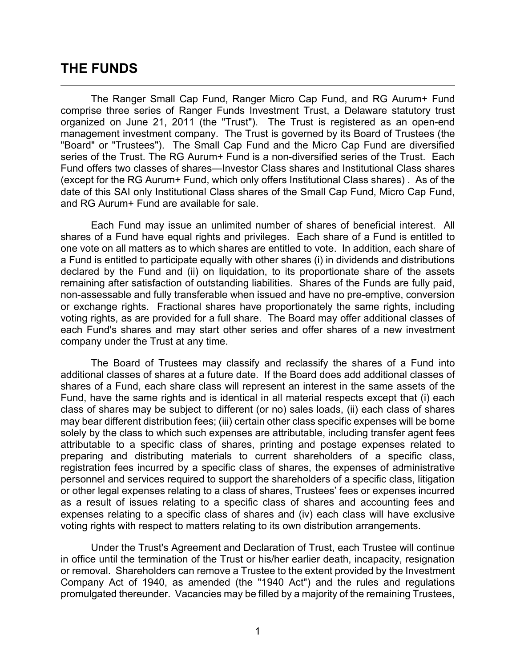# **THE FUNDS**

The Ranger Small Cap Fund, Ranger Micro Cap Fund, and RG Aurum+ Fund comprise three series of Ranger Funds Investment Trust, a Delaware statutory trust organized on June 21, 2011 (the "Trust"). The Trust is registered as an open-end management investment company. The Trust is governed by its Board of Trustees (the "Board" or "Trustees"). The Small Cap Fund and the Micro Cap Fund are diversified series of the Trust. The RG Aurum+ Fund is a non-diversified series of the Trust. Each Fund offers two classes of shares—Investor Class shares and Institutional Class shares (except for the RG Aurum+ Fund, which only offers Institutional Class shares) . As of the date of this SAI only Institutional Class shares of the Small Cap Fund, Micro Cap Fund, and RG Aurum+ Fund are available for sale.

Each Fund may issue an unlimited number of shares of beneficial interest. All shares of a Fund have equal rights and privileges. Each share of a Fund is entitled to one vote on all matters as to which shares are entitled to vote. In addition, each share of a Fund is entitled to participate equally with other shares (i) in dividends and distributions declared by the Fund and (ii) on liquidation, to its proportionate share of the assets remaining after satisfaction of outstanding liabilities. Shares of the Funds are fully paid, non-assessable and fully transferable when issued and have no pre-emptive, conversion or exchange rights. Fractional shares have proportionately the same rights, including voting rights, as are provided for a full share. The Board may offer additional classes of each Fund's shares and may start other series and offer shares of a new investment company under the Trust at any time.

The Board of Trustees may classify and reclassify the shares of a Fund into additional classes of shares at a future date. If the Board does add additional classes of shares of a Fund, each share class will represent an interest in the same assets of the Fund, have the same rights and is identical in all material respects except that (i) each class of shares may be subject to different (or no) sales loads, (ii) each class of shares may bear different distribution fees; (iii) certain other class specific expenses will be borne solely by the class to which such expenses are attributable, including transfer agent fees attributable to a specific class of shares, printing and postage expenses related to preparing and distributing materials to current shareholders of a specific class, registration fees incurred by a specific class of shares, the expenses of administrative personnel and services required to support the shareholders of a specific class, litigation or other legal expenses relating to a class of shares, Trustees' fees or expenses incurred as a result of issues relating to a specific class of shares and accounting fees and expenses relating to a specific class of shares and (iv) each class will have exclusive voting rights with respect to matters relating to its own distribution arrangements.

Under the Trust's Agreement and Declaration of Trust, each Trustee will continue in office until the termination of the Trust or his/her earlier death, incapacity, resignation or removal. Shareholders can remove a Trustee to the extent provided by the Investment Company Act of 1940, as amended (the "1940 Act") and the rules and regulations promulgated thereunder. Vacancies may be filled by a majority of the remaining Trustees,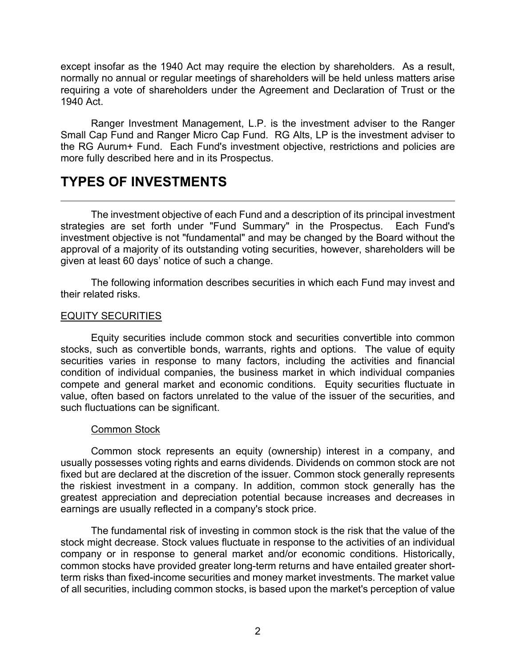except insofar as the 1940 Act may require the election by shareholders. As a result, normally no annual or regular meetings of shareholders will be held unless matters arise requiring a vote of shareholders under the Agreement and Declaration of Trust or the 1940 Act.

Ranger Investment Management, L.P. is the investment adviser to the Ranger Small Cap Fund and Ranger Micro Cap Fund. RG Alts, LP is the investment adviser to the RG Aurum+ Fund. Each Fund's investment objective, restrictions and policies are more fully described here and in its Prospectus.

# **TYPES OF INVESTMENTS**

The investment objective of each Fund and a description of its principal investment strategies are set forth under "Fund Summary" in the Prospectus. Each Fund's investment objective is not "fundamental" and may be changed by the Board without the approval of a majority of its outstanding voting securities, however, shareholders will be given at least 60 days' notice of such a change.

The following information describes securities in which each Fund may invest and their related risks.

# EQUITY SECURITIES

Equity securities include common stock and securities convertible into common stocks, such as convertible bonds, warrants, rights and options. The value of equity securities varies in response to many factors, including the activities and financial condition of individual companies, the business market in which individual companies compete and general market and economic conditions. Equity securities fluctuate in value, often based on factors unrelated to the value of the issuer of the securities, and such fluctuations can be significant.

#### Common Stock

Common stock represents an equity (ownership) interest in a company, and usually possesses voting rights and earns dividends. Dividends on common stock are not fixed but are declared at the discretion of the issuer. Common stock generally represents the riskiest investment in a company. In addition, common stock generally has the greatest appreciation and depreciation potential because increases and decreases in earnings are usually reflected in a company's stock price.

The fundamental risk of investing in common stock is the risk that the value of the stock might decrease. Stock values fluctuate in response to the activities of an individual company or in response to general market and/or economic conditions. Historically, common stocks have provided greater long-term returns and have entailed greater shortterm risks than fixed-income securities and money market investments. The market value of all securities, including common stocks, is based upon the market's perception of value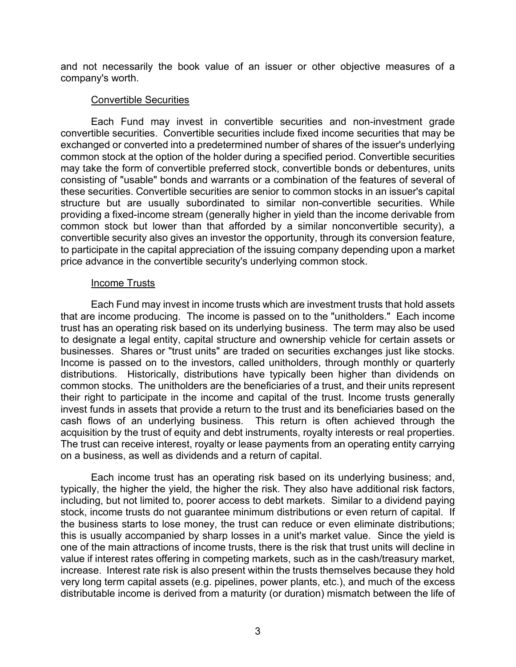and not necessarily the book value of an issuer or other objective measures of a company's worth.

# Convertible Securities

Each Fund may invest in convertible securities and non-investment grade convertible securities. Convertible securities include fixed income securities that may be exchanged or converted into a predetermined number of shares of the issuer's underlying common stock at the option of the holder during a specified period. Convertible securities may take the form of convertible preferred stock, convertible bonds or debentures, units consisting of "usable" bonds and warrants or a combination of the features of several of these securities. Convertible securities are senior to common stocks in an issuer's capital structure but are usually subordinated to similar non-convertible securities. While providing a fixed-income stream (generally higher in yield than the income derivable from common stock but lower than that afforded by a similar nonconvertible security), a convertible security also gives an investor the opportunity, through its conversion feature, to participate in the capital appreciation of the issuing company depending upon a market price advance in the convertible security's underlying common stock.

#### Income Trusts

Each Fund may invest in income trusts which are investment trusts that hold assets that are income producing. The income is passed on to the "unitholders." Each income trust has an operating risk based on its underlying business. The term may also be used to designate a legal entity, capital structure and ownership vehicle for certain assets or businesses. Shares or "trust units" are traded on securities exchanges just like stocks. Income is passed on to the investors, called unitholders, through monthly or quarterly distributions. Historically, distributions have typically been higher than dividends on common stocks. The unitholders are the beneficiaries of a trust, and their units represent their right to participate in the income and capital of the trust. Income trusts generally invest funds in assets that provide a return to the trust and its beneficiaries based on the cash flows of an underlying business. This return is often achieved through the acquisition by the trust of equity and debt instruments, royalty interests or real properties. The trust can receive interest, royalty or lease payments from an operating entity carrying on a business, as well as dividends and a return of capital.

Each income trust has an operating risk based on its underlying business; and, typically, the higher the yield, the higher the risk. They also have additional risk factors, including, but not limited to, poorer access to debt markets. Similar to a dividend paying stock, income trusts do not guarantee minimum distributions or even return of capital. If the business starts to lose money, the trust can reduce or even eliminate distributions; this is usually accompanied by sharp losses in a unit's market value. Since the yield is one of the main attractions of income trusts, there is the risk that trust units will decline in value if interest rates offering in competing markets, such as in the cash/treasury market, increase. Interest rate risk is also present within the trusts themselves because they hold very long term capital assets (e.g. pipelines, power plants, etc.), and much of the excess distributable income is derived from a maturity (or duration) mismatch between the life of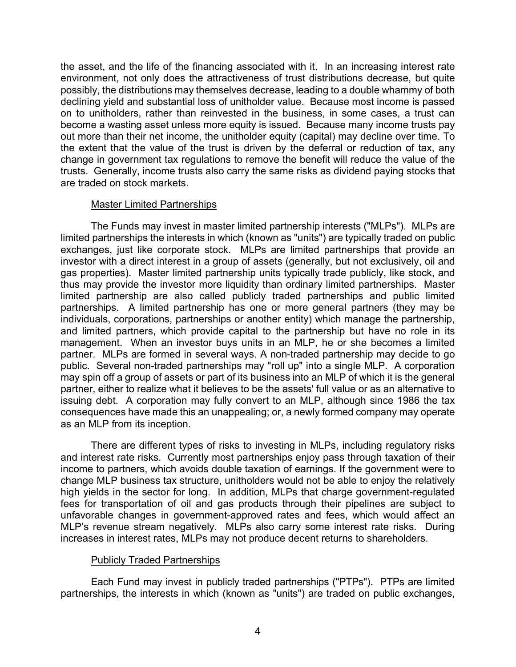the asset, and the life of the financing associated with it. In an increasing interest rate environment, not only does the attractiveness of trust distributions decrease, but quite possibly, the distributions may themselves decrease, leading to a double whammy of both declining yield and substantial loss of unitholder value. Because most income is passed on to unitholders, rather than reinvested in the business, in some cases, a trust can become a wasting asset unless more equity is issued. Because many income trusts pay out more than their net income, the unitholder equity (capital) may decline over time. To the extent that the value of the trust is driven by the deferral or reduction of tax, any change in government tax regulations to remove the benefit will reduce the value of the trusts. Generally, income trusts also carry the same risks as dividend paying stocks that are traded on stock markets.

# Master Limited Partnerships

The Funds may invest in master limited partnership interests ("MLPs"). MLPs are limited partnerships the interests in which (known as "units") are typically traded on public exchanges, just like corporate stock. MLPs are limited partnerships that provide an investor with a direct interest in a group of assets (generally, but not exclusively, oil and gas properties). Master limited partnership units typically trade publicly, like stock, and thus may provide the investor more liquidity than ordinary limited partnerships. Master limited partnership are also called publicly traded partnerships and public limited partnerships. A limited partnership has one or more general partners (they may be individuals, corporations, partnerships or another entity) which manage the partnership, and limited partners, which provide capital to the partnership but have no role in its management. When an investor buys units in an MLP, he or she becomes a limited partner. MLPs are formed in several ways. A non-traded partnership may decide to go public. Several non-traded partnerships may "roll up" into a single MLP. A corporation may spin off a group of assets or part of its business into an MLP of which it is the general partner, either to realize what it believes to be the assets' full value or as an alternative to issuing debt. A corporation may fully convert to an MLP, although since 1986 the tax consequences have made this an unappealing; or, a newly formed company may operate as an MLP from its inception.

There are different types of risks to investing in MLPs, including regulatory risks and interest rate risks. Currently most partnerships enjoy pass through taxation of their income to partners, which avoids double taxation of earnings. If the government were to change MLP business tax structure, unitholders would not be able to enjoy the relatively high yields in the sector for long. In addition, MLPs that charge government-regulated fees for transportation of oil and gas products through their pipelines are subject to unfavorable changes in government-approved rates and fees, which would affect an MLP's revenue stream negatively. MLPs also carry some interest rate risks. During increases in interest rates, MLPs may not produce decent returns to shareholders.

#### Publicly Traded Partnerships

Each Fund may invest in publicly traded partnerships ("PTPs"). PTPs are limited partnerships, the interests in which (known as "units") are traded on public exchanges,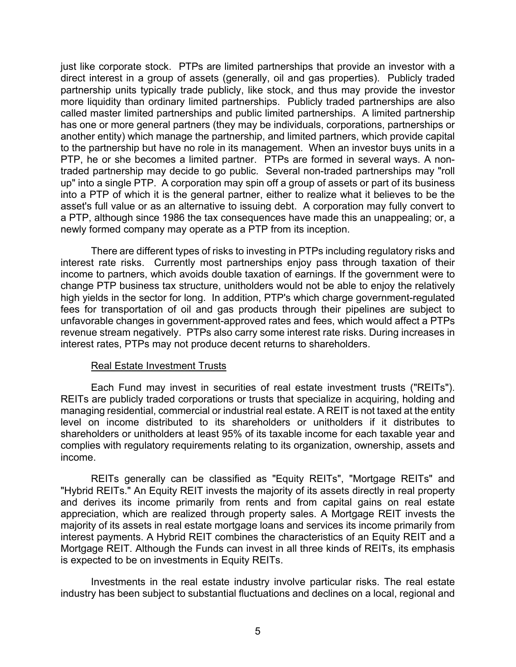just like corporate stock. PTPs are limited partnerships that provide an investor with a direct interest in a group of assets (generally, oil and gas properties). Publicly traded partnership units typically trade publicly, like stock, and thus may provide the investor more liquidity than ordinary limited partnerships. Publicly traded partnerships are also called master limited partnerships and public limited partnerships. A limited partnership has one or more general partners (they may be individuals, corporations, partnerships or another entity) which manage the partnership, and limited partners, which provide capital to the partnership but have no role in its management. When an investor buys units in a PTP, he or she becomes a limited partner. PTPs are formed in several ways. A nontraded partnership may decide to go public. Several non-traded partnerships may "roll up" into a single PTP. A corporation may spin off a group of assets or part of its business into a PTP of which it is the general partner, either to realize what it believes to be the asset's full value or as an alternative to issuing debt. A corporation may fully convert to a PTP, although since 1986 the tax consequences have made this an unappealing; or, a newly formed company may operate as a PTP from its inception.

There are different types of risks to investing in PTPs including regulatory risks and interest rate risks. Currently most partnerships enjoy pass through taxation of their income to partners, which avoids double taxation of earnings. If the government were to change PTP business tax structure, unitholders would not be able to enjoy the relatively high yields in the sector for long. In addition, PTP's which charge government-regulated fees for transportation of oil and gas products through their pipelines are subject to unfavorable changes in government-approved rates and fees, which would affect a PTPs revenue stream negatively. PTPs also carry some interest rate risks. During increases in interest rates, PTPs may not produce decent returns to shareholders.

#### Real Estate Investment Trusts

Each Fund may invest in securities of real estate investment trusts ("REITs"). REITs are publicly traded corporations or trusts that specialize in acquiring, holding and managing residential, commercial or industrial real estate. A REIT is not taxed at the entity level on income distributed to its shareholders or unitholders if it distributes to shareholders or unitholders at least 95% of its taxable income for each taxable year and complies with regulatory requirements relating to its organization, ownership, assets and income.

REITs generally can be classified as "Equity REITs", "Mortgage REITs" and "Hybrid REITs." An Equity REIT invests the majority of its assets directly in real property and derives its income primarily from rents and from capital gains on real estate appreciation, which are realized through property sales. A Mortgage REIT invests the majority of its assets in real estate mortgage loans and services its income primarily from interest payments. A Hybrid REIT combines the characteristics of an Equity REIT and a Mortgage REIT. Although the Funds can invest in all three kinds of REITs, its emphasis is expected to be on investments in Equity REITs.

Investments in the real estate industry involve particular risks. The real estate industry has been subject to substantial fluctuations and declines on a local, regional and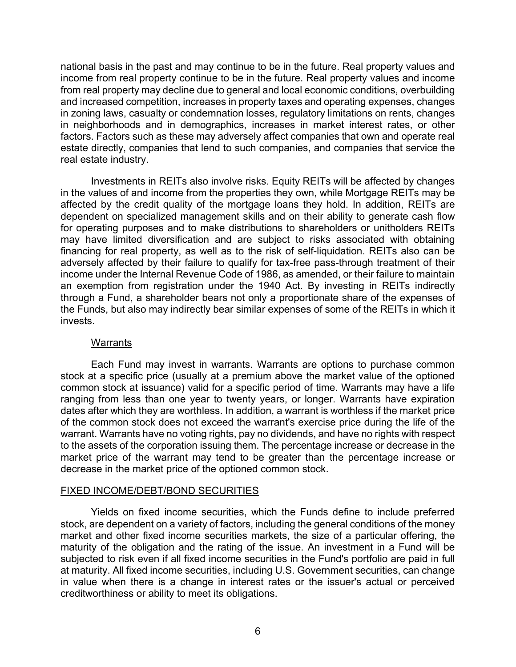national basis in the past and may continue to be in the future. Real property values and income from real property continue to be in the future. Real property values and income from real property may decline due to general and local economic conditions, overbuilding and increased competition, increases in property taxes and operating expenses, changes in zoning laws, casualty or condemnation losses, regulatory limitations on rents, changes in neighborhoods and in demographics, increases in market interest rates, or other factors. Factors such as these may adversely affect companies that own and operate real estate directly, companies that lend to such companies, and companies that service the real estate industry.

Investments in REITs also involve risks. Equity REITs will be affected by changes in the values of and income from the properties they own, while Mortgage REITs may be affected by the credit quality of the mortgage loans they hold. In addition, REITs are dependent on specialized management skills and on their ability to generate cash flow for operating purposes and to make distributions to shareholders or unitholders REITs may have limited diversification and are subject to risks associated with obtaining financing for real property, as well as to the risk of self-liquidation. REITs also can be adversely affected by their failure to qualify for tax-free pass-through treatment of their income under the Internal Revenue Code of 1986, as amended, or their failure to maintain an exemption from registration under the 1940 Act. By investing in REITs indirectly through a Fund, a shareholder bears not only a proportionate share of the expenses of the Funds, but also may indirectly bear similar expenses of some of the REITs in which it invests.

# **Warrants**

Each Fund may invest in warrants. Warrants are options to purchase common stock at a specific price (usually at a premium above the market value of the optioned common stock at issuance) valid for a specific period of time. Warrants may have a life ranging from less than one year to twenty years, or longer. Warrants have expiration dates after which they are worthless. In addition, a warrant is worthless if the market price of the common stock does not exceed the warrant's exercise price during the life of the warrant. Warrants have no voting rights, pay no dividends, and have no rights with respect to the assets of the corporation issuing them. The percentage increase or decrease in the market price of the warrant may tend to be greater than the percentage increase or decrease in the market price of the optioned common stock.

# FIXED INCOME/DEBT/BOND SECURITIES

Yields on fixed income securities, which the Funds define to include preferred stock, are dependent on a variety of factors, including the general conditions of the money market and other fixed income securities markets, the size of a particular offering, the maturity of the obligation and the rating of the issue. An investment in a Fund will be subjected to risk even if all fixed income securities in the Fund's portfolio are paid in full at maturity. All fixed income securities, including U.S. Government securities, can change in value when there is a change in interest rates or the issuer's actual or perceived creditworthiness or ability to meet its obligations.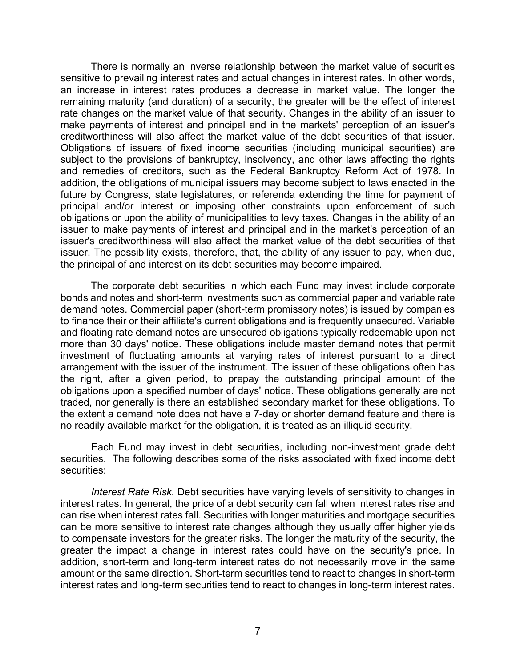There is normally an inverse relationship between the market value of securities sensitive to prevailing interest rates and actual changes in interest rates. In other words, an increase in interest rates produces a decrease in market value. The longer the remaining maturity (and duration) of a security, the greater will be the effect of interest rate changes on the market value of that security. Changes in the ability of an issuer to make payments of interest and principal and in the markets' perception of an issuer's creditworthiness will also affect the market value of the debt securities of that issuer. Obligations of issuers of fixed income securities (including municipal securities) are subject to the provisions of bankruptcy, insolvency, and other laws affecting the rights and remedies of creditors, such as the Federal Bankruptcy Reform Act of 1978. In addition, the obligations of municipal issuers may become subject to laws enacted in the future by Congress, state legislatures, or referenda extending the time for payment of principal and/or interest or imposing other constraints upon enforcement of such obligations or upon the ability of municipalities to levy taxes. Changes in the ability of an issuer to make payments of interest and principal and in the market's perception of an issuer's creditworthiness will also affect the market value of the debt securities of that issuer. The possibility exists, therefore, that, the ability of any issuer to pay, when due, the principal of and interest on its debt securities may become impaired.

The corporate debt securities in which each Fund may invest include corporate bonds and notes and short-term investments such as commercial paper and variable rate demand notes. Commercial paper (short-term promissory notes) is issued by companies to finance their or their affiliate's current obligations and is frequently unsecured. Variable and floating rate demand notes are unsecured obligations typically redeemable upon not more than 30 days' notice. These obligations include master demand notes that permit investment of fluctuating amounts at varying rates of interest pursuant to a direct arrangement with the issuer of the instrument. The issuer of these obligations often has the right, after a given period, to prepay the outstanding principal amount of the obligations upon a specified number of days' notice. These obligations generally are not traded, nor generally is there an established secondary market for these obligations. To the extent a demand note does not have a 7-day or shorter demand feature and there is no readily available market for the obligation, it is treated as an illiquid security.

Each Fund may invest in debt securities, including non-investment grade debt securities. The following describes some of the risks associated with fixed income debt securities:

*Interest Rate Risk.* Debt securities have varying levels of sensitivity to changes in interest rates. In general, the price of a debt security can fall when interest rates rise and can rise when interest rates fall. Securities with longer maturities and mortgage securities can be more sensitive to interest rate changes although they usually offer higher yields to compensate investors for the greater risks. The longer the maturity of the security, the greater the impact a change in interest rates could have on the security's price. In addition, short-term and long-term interest rates do not necessarily move in the same amount or the same direction. Short-term securities tend to react to changes in short-term interest rates and long-term securities tend to react to changes in long-term interest rates.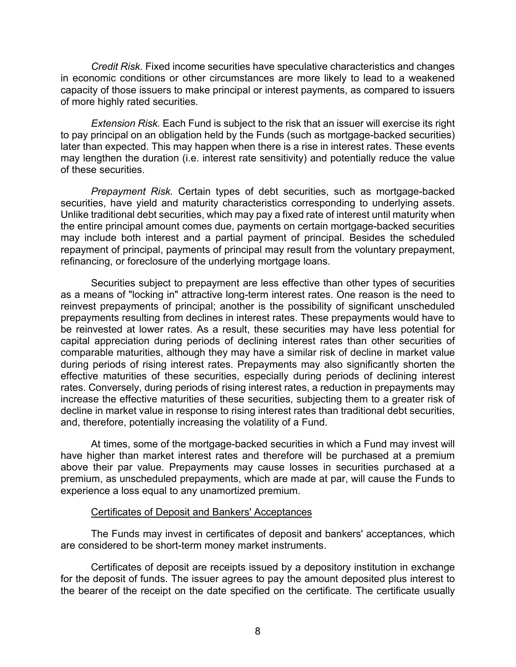*Credit Risk.* Fixed income securities have speculative characteristics and changes in economic conditions or other circumstances are more likely to lead to a weakened capacity of those issuers to make principal or interest payments, as compared to issuers of more highly rated securities.

*Extension Risk.* Each Fund is subject to the risk that an issuer will exercise its right to pay principal on an obligation held by the Funds (such as mortgage-backed securities) later than expected. This may happen when there is a rise in interest rates. These events may lengthen the duration (i.e. interest rate sensitivity) and potentially reduce the value of these securities.

*Prepayment Risk.* Certain types of debt securities, such as mortgage-backed securities, have yield and maturity characteristics corresponding to underlying assets. Unlike traditional debt securities, which may pay a fixed rate of interest until maturity when the entire principal amount comes due, payments on certain mortgage-backed securities may include both interest and a partial payment of principal. Besides the scheduled repayment of principal, payments of principal may result from the voluntary prepayment, refinancing, or foreclosure of the underlying mortgage loans.

Securities subject to prepayment are less effective than other types of securities as a means of "locking in" attractive long-term interest rates. One reason is the need to reinvest prepayments of principal; another is the possibility of significant unscheduled prepayments resulting from declines in interest rates. These prepayments would have to be reinvested at lower rates. As a result, these securities may have less potential for capital appreciation during periods of declining interest rates than other securities of comparable maturities, although they may have a similar risk of decline in market value during periods of rising interest rates. Prepayments may also significantly shorten the effective maturities of these securities, especially during periods of declining interest rates. Conversely, during periods of rising interest rates, a reduction in prepayments may increase the effective maturities of these securities, subjecting them to a greater risk of decline in market value in response to rising interest rates than traditional debt securities, and, therefore, potentially increasing the volatility of a Fund.

At times, some of the mortgage-backed securities in which a Fund may invest will have higher than market interest rates and therefore will be purchased at a premium above their par value. Prepayments may cause losses in securities purchased at a premium, as unscheduled prepayments, which are made at par, will cause the Funds to experience a loss equal to any unamortized premium.

#### Certificates of Deposit and Bankers' Acceptances

The Funds may invest in certificates of deposit and bankers' acceptances, which are considered to be short-term money market instruments.

Certificates of deposit are receipts issued by a depository institution in exchange for the deposit of funds. The issuer agrees to pay the amount deposited plus interest to the bearer of the receipt on the date specified on the certificate. The certificate usually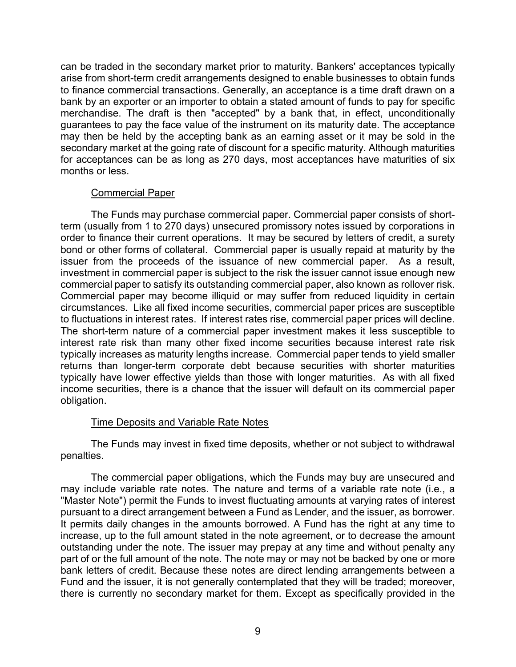can be traded in the secondary market prior to maturity. Bankers' acceptances typically arise from short-term credit arrangements designed to enable businesses to obtain funds to finance commercial transactions. Generally, an acceptance is a time draft drawn on a bank by an exporter or an importer to obtain a stated amount of funds to pay for specific merchandise. The draft is then "accepted" by a bank that, in effect, unconditionally guarantees to pay the face value of the instrument on its maturity date. The acceptance may then be held by the accepting bank as an earning asset or it may be sold in the secondary market at the going rate of discount for a specific maturity. Although maturities for acceptances can be as long as 270 days, most acceptances have maturities of six months or less.

# Commercial Paper

The Funds may purchase commercial paper. Commercial paper consists of shortterm (usually from 1 to 270 days) unsecured promissory notes issued by corporations in order to finance their current operations. It may be secured by letters of credit, a surety bond or other forms of collateral. Commercial paper is usually repaid at maturity by the issuer from the proceeds of the issuance of new commercial paper. As a result, investment in commercial paper is subject to the risk the issuer cannot issue enough new commercial paper to satisfy its outstanding commercial paper, also known as rollover risk. Commercial paper may become illiquid or may suffer from reduced liquidity in certain circumstances. Like all fixed income securities, commercial paper prices are susceptible to fluctuations in interest rates. If interest rates rise, commercial paper prices will decline. The short-term nature of a commercial paper investment makes it less susceptible to interest rate risk than many other fixed income securities because interest rate risk typically increases as maturity lengths increase. Commercial paper tends to yield smaller returns than longer-term corporate debt because securities with shorter maturities typically have lower effective yields than those with longer maturities. As with all fixed income securities, there is a chance that the issuer will default on its commercial paper obligation.

# Time Deposits and Variable Rate Notes

The Funds may invest in fixed time deposits, whether or not subject to withdrawal penalties.

The commercial paper obligations, which the Funds may buy are unsecured and may include variable rate notes. The nature and terms of a variable rate note (i.e., a "Master Note") permit the Funds to invest fluctuating amounts at varying rates of interest pursuant to a direct arrangement between a Fund as Lender, and the issuer, as borrower. It permits daily changes in the amounts borrowed. A Fund has the right at any time to increase, up to the full amount stated in the note agreement, or to decrease the amount outstanding under the note. The issuer may prepay at any time and without penalty any part of or the full amount of the note. The note may or may not be backed by one or more bank letters of credit. Because these notes are direct lending arrangements between a Fund and the issuer, it is not generally contemplated that they will be traded; moreover, there is currently no secondary market for them. Except as specifically provided in the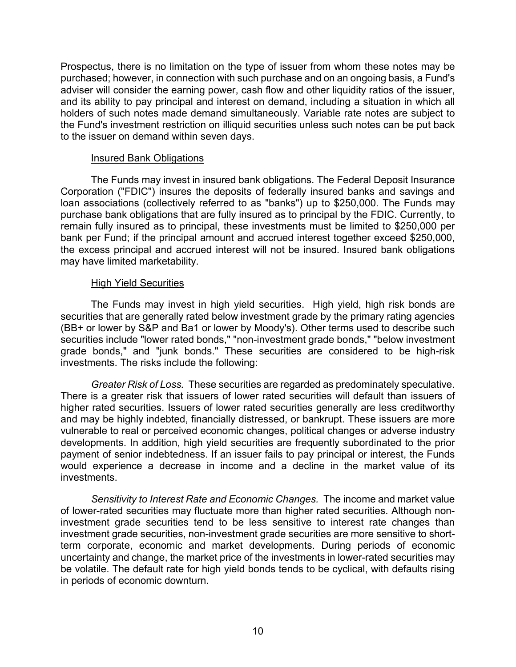Prospectus, there is no limitation on the type of issuer from whom these notes may be purchased; however, in connection with such purchase and on an ongoing basis, a Fund's adviser will consider the earning power, cash flow and other liquidity ratios of the issuer, and its ability to pay principal and interest on demand, including a situation in which all holders of such notes made demand simultaneously. Variable rate notes are subject to the Fund's investment restriction on illiquid securities unless such notes can be put back to the issuer on demand within seven days.

#### Insured Bank Obligations

The Funds may invest in insured bank obligations. The Federal Deposit Insurance Corporation ("FDIC") insures the deposits of federally insured banks and savings and loan associations (collectively referred to as "banks") up to \$250,000. The Funds may purchase bank obligations that are fully insured as to principal by the FDIC. Currently, to remain fully insured as to principal, these investments must be limited to \$250,000 per bank per Fund; if the principal amount and accrued interest together exceed \$250,000, the excess principal and accrued interest will not be insured. Insured bank obligations may have limited marketability.

# High Yield Securities

The Funds may invest in high yield securities. High yield, high risk bonds are securities that are generally rated below investment grade by the primary rating agencies (BB+ or lower by S&P and Ba1 or lower by Moody's). Other terms used to describe such securities include "lower rated bonds," "non-investment grade bonds," "below investment grade bonds," and "junk bonds." These securities are considered to be high-risk investments. The risks include the following:

*Greater Risk of Loss.* These securities are regarded as predominately speculative. There is a greater risk that issuers of lower rated securities will default than issuers of higher rated securities. Issuers of lower rated securities generally are less creditworthy and may be highly indebted, financially distressed, or bankrupt. These issuers are more vulnerable to real or perceived economic changes, political changes or adverse industry developments. In addition, high yield securities are frequently subordinated to the prior payment of senior indebtedness. If an issuer fails to pay principal or interest, the Funds would experience a decrease in income and a decline in the market value of its investments.

*Sensitivity to Interest Rate and Economic Changes.* The income and market value of lower-rated securities may fluctuate more than higher rated securities. Although noninvestment grade securities tend to be less sensitive to interest rate changes than investment grade securities, non-investment grade securities are more sensitive to shortterm corporate, economic and market developments. During periods of economic uncertainty and change, the market price of the investments in lower-rated securities may be volatile. The default rate for high yield bonds tends to be cyclical, with defaults rising in periods of economic downturn.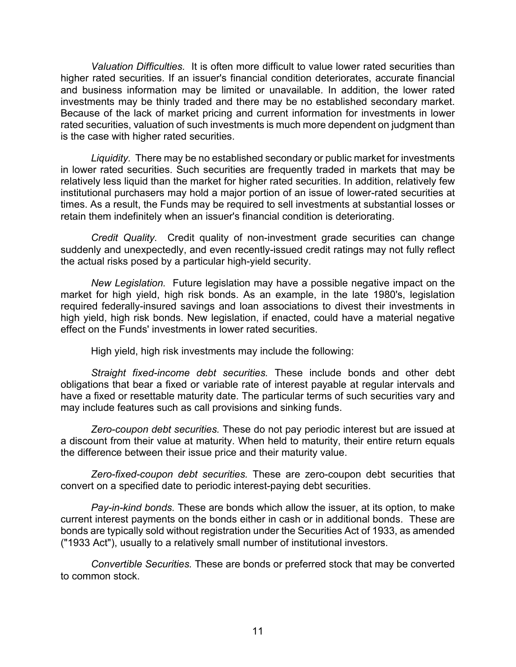*Valuation Difficulties.* It is often more difficult to value lower rated securities than higher rated securities. If an issuer's financial condition deteriorates, accurate financial and business information may be limited or unavailable. In addition, the lower rated investments may be thinly traded and there may be no established secondary market. Because of the lack of market pricing and current information for investments in lower rated securities, valuation of such investments is much more dependent on judgment than is the case with higher rated securities.

*Liquidity.* There may be no established secondary or public market for investments in lower rated securities. Such securities are frequently traded in markets that may be relatively less liquid than the market for higher rated securities. In addition, relatively few institutional purchasers may hold a major portion of an issue of lower-rated securities at times. As a result, the Funds may be required to sell investments at substantial losses or retain them indefinitely when an issuer's financial condition is deteriorating.

*Credit Quality.* Credit quality of non-investment grade securities can change suddenly and unexpectedly, and even recently-issued credit ratings may not fully reflect the actual risks posed by a particular high-yield security.

*New Legislation.* Future legislation may have a possible negative impact on the market for high yield, high risk bonds. As an example, in the late 1980's, legislation required federally-insured savings and loan associations to divest their investments in high yield, high risk bonds. New legislation, if enacted, could have a material negative effect on the Funds' investments in lower rated securities.

High yield, high risk investments may include the following:

*Straight fixed-income debt securities.* These include bonds and other debt obligations that bear a fixed or variable rate of interest payable at regular intervals and have a fixed or resettable maturity date. The particular terms of such securities vary and may include features such as call provisions and sinking funds.

*Zero-coupon debt securities.* These do not pay periodic interest but are issued at a discount from their value at maturity. When held to maturity, their entire return equals the difference between their issue price and their maturity value.

*Zero-fixed-coupon debt securities.* These are zero-coupon debt securities that convert on a specified date to periodic interest-paying debt securities.

*Pay-in-kind bonds.* These are bonds which allow the issuer, at its option, to make current interest payments on the bonds either in cash or in additional bonds. These are bonds are typically sold without registration under the Securities Act of 1933, as amended ("1933 Act"), usually to a relatively small number of institutional investors.

*Convertible Securities.* These are bonds or preferred stock that may be converted to common stock.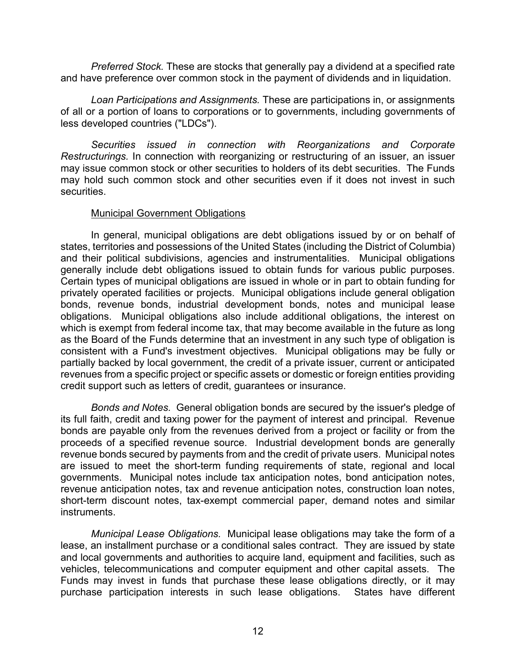*Preferred Stock.* These are stocks that generally pay a dividend at a specified rate and have preference over common stock in the payment of dividends and in liquidation.

*Loan Participations and Assignments.* These are participations in, or assignments of all or a portion of loans to corporations or to governments, including governments of less developed countries ("LDCs").

*Securities issued in connection with Reorganizations and Corporate Restructurings.* In connection with reorganizing or restructuring of an issuer, an issuer may issue common stock or other securities to holders of its debt securities. The Funds may hold such common stock and other securities even if it does not invest in such securities.

#### Municipal Government Obligations

In general, municipal obligations are debt obligations issued by or on behalf of states, territories and possessions of the United States (including the District of Columbia) and their political subdivisions, agencies and instrumentalities. Municipal obligations generally include debt obligations issued to obtain funds for various public purposes. Certain types of municipal obligations are issued in whole or in part to obtain funding for privately operated facilities or projects. Municipal obligations include general obligation bonds, revenue bonds, industrial development bonds, notes and municipal lease obligations. Municipal obligations also include additional obligations, the interest on which is exempt from federal income tax, that may become available in the future as long as the Board of the Funds determine that an investment in any such type of obligation is consistent with a Fund's investment objectives. Municipal obligations may be fully or partially backed by local government, the credit of a private issuer, current or anticipated revenues from a specific project or specific assets or domestic or foreign entities providing credit support such as letters of credit, guarantees or insurance.

*Bonds and Notes.* General obligation bonds are secured by the issuer's pledge of its full faith, credit and taxing power for the payment of interest and principal. Revenue bonds are payable only from the revenues derived from a project or facility or from the proceeds of a specified revenue source. Industrial development bonds are generally revenue bonds secured by payments from and the credit of private users. Municipal notes are issued to meet the short-term funding requirements of state, regional and local governments. Municipal notes include tax anticipation notes, bond anticipation notes, revenue anticipation notes, tax and revenue anticipation notes, construction loan notes, short-term discount notes, tax-exempt commercial paper, demand notes and similar instruments.

*Municipal Lease Obligations.* Municipal lease obligations may take the form of a lease, an installment purchase or a conditional sales contract. They are issued by state and local governments and authorities to acquire land, equipment and facilities, such as vehicles, telecommunications and computer equipment and other capital assets. The Funds may invest in funds that purchase these lease obligations directly, or it may purchase participation interests in such lease obligations. States have different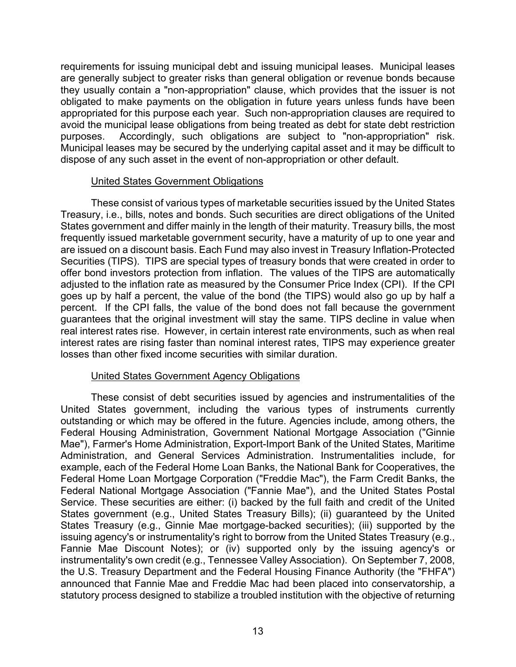requirements for issuing municipal debt and issuing municipal leases. Municipal leases are generally subject to greater risks than general obligation or revenue bonds because they usually contain a "non-appropriation" clause, which provides that the issuer is not obligated to make payments on the obligation in future years unless funds have been appropriated for this purpose each year. Such non-appropriation clauses are required to avoid the municipal lease obligations from being treated as debt for state debt restriction purposes. Accordingly, such obligations are subject to "non-appropriation" risk. Municipal leases may be secured by the underlying capital asset and it may be difficult to dispose of any such asset in the event of non-appropriation or other default.

#### United States Government Obligations

These consist of various types of marketable securities issued by the United States Treasury, i.e., bills, notes and bonds. Such securities are direct obligations of the United States government and differ mainly in the length of their maturity. Treasury bills, the most frequently issued marketable government security, have a maturity of up to one year and are issued on a discount basis. Each Fund may also invest in Treasury Inflation-Protected Securities (TIPS). TIPS are special types of treasury bonds that were created in order to offer bond investors protection from inflation. The values of the TIPS are automatically adjusted to the inflation rate as measured by the Consumer Price Index (CPI). If the CPI goes up by half a percent, the value of the bond (the TIPS) would also go up by half a percent. If the CPI falls, the value of the bond does not fall because the government guarantees that the original investment will stay the same. TIPS decline in value when real interest rates rise. However, in certain interest rate environments, such as when real interest rates are rising faster than nominal interest rates, TIPS may experience greater losses than other fixed income securities with similar duration.

# United States Government Agency Obligations

These consist of debt securities issued by agencies and instrumentalities of the United States government, including the various types of instruments currently outstanding or which may be offered in the future. Agencies include, among others, the Federal Housing Administration, Government National Mortgage Association ("Ginnie Mae"), Farmer's Home Administration, Export-Import Bank of the United States, Maritime Administration, and General Services Administration. Instrumentalities include, for example, each of the Federal Home Loan Banks, the National Bank for Cooperatives, the Federal Home Loan Mortgage Corporation ("Freddie Mac"), the Farm Credit Banks, the Federal National Mortgage Association ("Fannie Mae"), and the United States Postal Service. These securities are either: (i) backed by the full faith and credit of the United States government (e.g., United States Treasury Bills); (ii) guaranteed by the United States Treasury (e.g., Ginnie Mae mortgage-backed securities); (iii) supported by the issuing agency's or instrumentality's right to borrow from the United States Treasury (e.g., Fannie Mae Discount Notes); or (iv) supported only by the issuing agency's or instrumentality's own credit (e.g., Tennessee Valley Association). On September 7, 2008, the U.S. Treasury Department and the Federal Housing Finance Authority (the "FHFA") announced that Fannie Mae and Freddie Mac had been placed into conservatorship, a statutory process designed to stabilize a troubled institution with the objective of returning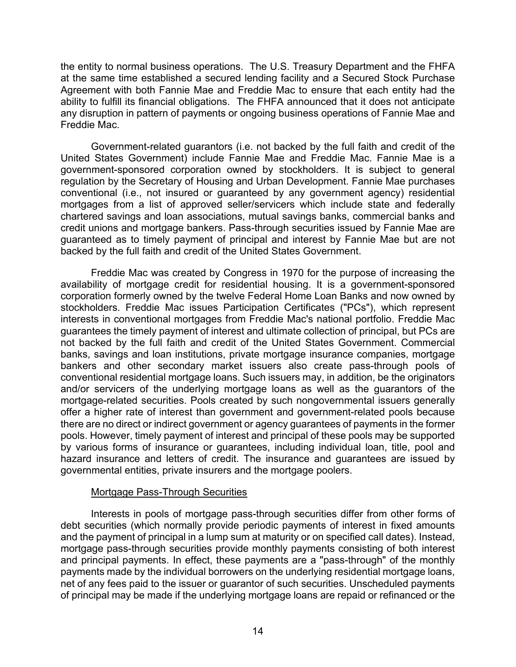the entity to normal business operations. The U.S. Treasury Department and the FHFA at the same time established a secured lending facility and a Secured Stock Purchase Agreement with both Fannie Mae and Freddie Mac to ensure that each entity had the ability to fulfill its financial obligations. The FHFA announced that it does not anticipate any disruption in pattern of payments or ongoing business operations of Fannie Mae and Freddie Mac.

Government-related guarantors (i.e. not backed by the full faith and credit of the United States Government) include Fannie Mae and Freddie Mac. Fannie Mae is a government-sponsored corporation owned by stockholders. It is subject to general regulation by the Secretary of Housing and Urban Development. Fannie Mae purchases conventional (i.e., not insured or guaranteed by any government agency) residential mortgages from a list of approved seller/servicers which include state and federally chartered savings and loan associations, mutual savings banks, commercial banks and credit unions and mortgage bankers. Pass-through securities issued by Fannie Mae are guaranteed as to timely payment of principal and interest by Fannie Mae but are not backed by the full faith and credit of the United States Government.

Freddie Mac was created by Congress in 1970 for the purpose of increasing the availability of mortgage credit for residential housing. It is a government-sponsored corporation formerly owned by the twelve Federal Home Loan Banks and now owned by stockholders. Freddie Mac issues Participation Certificates ("PCs"), which represent interests in conventional mortgages from Freddie Mac's national portfolio. Freddie Mac guarantees the timely payment of interest and ultimate collection of principal, but PCs are not backed by the full faith and credit of the United States Government. Commercial banks, savings and loan institutions, private mortgage insurance companies, mortgage bankers and other secondary market issuers also create pass-through pools of conventional residential mortgage loans. Such issuers may, in addition, be the originators and/or servicers of the underlying mortgage loans as well as the guarantors of the mortgage-related securities. Pools created by such nongovernmental issuers generally offer a higher rate of interest than government and government-related pools because there are no direct or indirect government or agency guarantees of payments in the former pools. However, timely payment of interest and principal of these pools may be supported by various forms of insurance or guarantees, including individual loan, title, pool and hazard insurance and letters of credit. The insurance and guarantees are issued by governmental entities, private insurers and the mortgage poolers.

# Mortgage Pass-Through Securities

Interests in pools of mortgage pass-through securities differ from other forms of debt securities (which normally provide periodic payments of interest in fixed amounts and the payment of principal in a lump sum at maturity or on specified call dates). Instead, mortgage pass-through securities provide monthly payments consisting of both interest and principal payments. In effect, these payments are a "pass-through" of the monthly payments made by the individual borrowers on the underlying residential mortgage loans, net of any fees paid to the issuer or guarantor of such securities. Unscheduled payments of principal may be made if the underlying mortgage loans are repaid or refinanced or the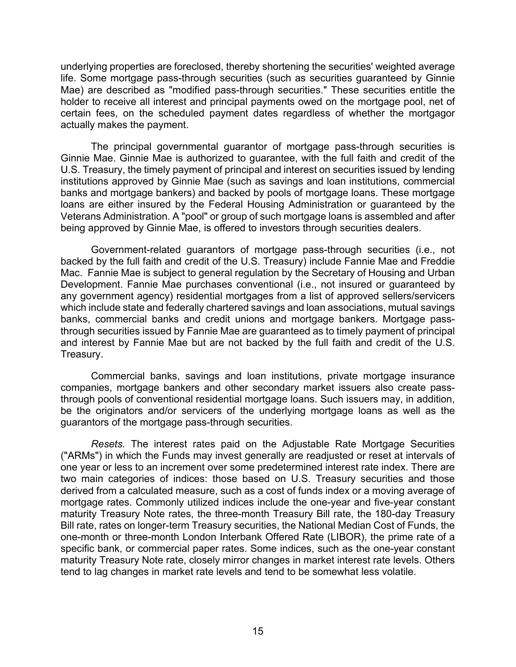underlying properties are foreclosed, thereby shortening the securities' weighted average life. Some mortgage pass-through securities (such as securities guaranteed by Ginnie Mae) are described as "modified pass-through securities." These securities entitle the holder to receive all interest and principal payments owed on the mortgage pool, net of certain fees, on the scheduled payment dates regardless of whether the mortgagor actually makes the payment.

The principal governmental guarantor of mortgage pass-through securities is Ginnie Mae. Ginnie Mae is authorized to guarantee, with the full faith and credit of the U.S. Treasury, the timely payment of principal and interest on securities issued by lending institutions approved by Ginnie Mae (such as savings and loan institutions, commercial banks and mortgage bankers) and backed by pools of mortgage loans. These mortgage loans are either insured by the Federal Housing Administration or guaranteed by the Veterans Administration. A "pool" or group of such mortgage loans is assembled and after being approved by Ginnie Mae, is offered to investors through securities dealers.

Government-related guarantors of mortgage pass-through securities (i.e., not backed by the full faith and credit of the U.S. Treasury) include Fannie Mae and Freddie Mac. Fannie Mae is subject to general regulation by the Secretary of Housing and Urban Development. Fannie Mae purchases conventional (i.e., not insured or guaranteed by any government agency) residential mortgages from a list of approved sellers/servicers which include state and federally chartered savings and loan associations, mutual savings banks, commercial banks and credit unions and mortgage bankers. Mortgage passthrough securities issued by Fannie Mae are guaranteed as to timely payment of principal and interest by Fannie Mae but are not backed by the full faith and credit of the U.S. Treasury.

Commercial banks, savings and loan institutions, private mortgage insurance companies, mortgage bankers and other secondary market issuers also create passthrough pools of conventional residential mortgage loans. Such issuers may, in addition, be the originators and/or servicers of the underlying mortgage loans as well as the guarantors of the mortgage pass-through securities.

*Resets.* The interest rates paid on the Adjustable Rate Mortgage Securities ("ARMs") in which the Funds may invest generally are readjusted or reset at intervals of one year or less to an increment over some predetermined interest rate index. There are two main categories of indices: those based on U.S. Treasury securities and those derived from a calculated measure, such as a cost of funds index or a moving average of mortgage rates. Commonly utilized indices include the one-year and five-year constant maturity Treasury Note rates, the three-month Treasury Bill rate, the 180-day Treasury Bill rate, rates on longer-term Treasury securities, the National Median Cost of Funds, the one-month or three-month London Interbank Offered Rate (LIBOR), the prime rate of a specific bank, or commercial paper rates. Some indices, such as the one-year constant maturity Treasury Note rate, closely mirror changes in market interest rate levels. Others tend to lag changes in market rate levels and tend to be somewhat less volatile.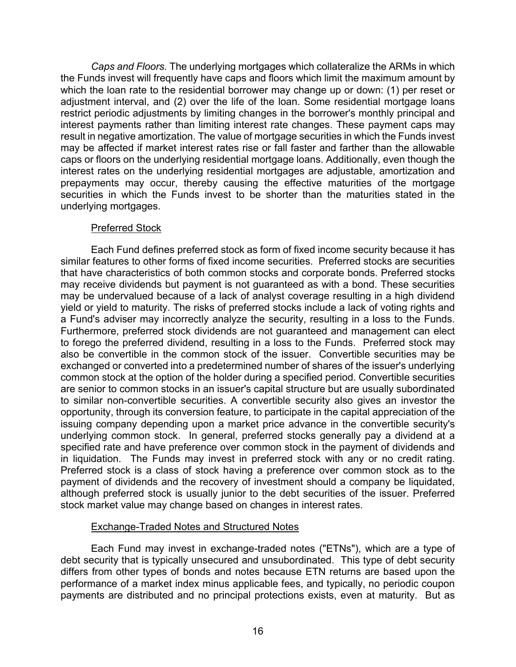*Caps and Floors.* The underlying mortgages which collateralize the ARMs in which the Funds invest will frequently have caps and floors which limit the maximum amount by which the loan rate to the residential borrower may change up or down: (1) per reset or adjustment interval, and (2) over the life of the loan. Some residential mortgage loans restrict periodic adjustments by limiting changes in the borrower's monthly principal and interest payments rather than limiting interest rate changes. These payment caps may result in negative amortization. The value of mortgage securities in which the Funds invest may be affected if market interest rates rise or fall faster and farther than the allowable caps or floors on the underlying residential mortgage loans. Additionally, even though the interest rates on the underlying residential mortgages are adjustable, amortization and prepayments may occur, thereby causing the effective maturities of the mortgage securities in which the Funds invest to be shorter than the maturities stated in the underlying mortgages.

# Preferred Stock

Each Fund defines preferred stock as form of fixed income security because it has similar features to other forms of fixed income securities. Preferred stocks are securities that have characteristics of both common stocks and corporate bonds. Preferred stocks may receive dividends but payment is not guaranteed as with a bond. These securities may be undervalued because of a lack of analyst coverage resulting in a high dividend yield or yield to maturity. The risks of preferred stocks include a lack of voting rights and a Fund's adviser may incorrectly analyze the security, resulting in a loss to the Funds. Furthermore, preferred stock dividends are not guaranteed and management can elect to forego the preferred dividend, resulting in a loss to the Funds. Preferred stock may also be convertible in the common stock of the issuer. Convertible securities may be exchanged or converted into a predetermined number of shares of the issuer's underlying common stock at the option of the holder during a specified period. Convertible securities are senior to common stocks in an issuer's capital structure but are usually subordinated to similar non-convertible securities. A convertible security also gives an investor the opportunity, through its conversion feature, to participate in the capital appreciation of the issuing company depending upon a market price advance in the convertible security's underlying common stock. In general, preferred stocks generally pay a dividend at a specified rate and have preference over common stock in the payment of dividends and in liquidation. The Funds may invest in preferred stock with any or no credit rating. Preferred stock is a class of stock having a preference over common stock as to the payment of dividends and the recovery of investment should a company be liquidated, although preferred stock is usually junior to the debt securities of the issuer. Preferred stock market value may change based on changes in interest rates.

# Exchange-Traded Notes and Structured Notes

Each Fund may invest in exchange-traded notes ("ETNs"), which are a type of debt security that is typically unsecured and unsubordinated. This type of debt security differs from other types of bonds and notes because ETN returns are based upon the performance of a market index minus applicable fees, and typically, no periodic coupon payments are distributed and no principal protections exists, even at maturity. But as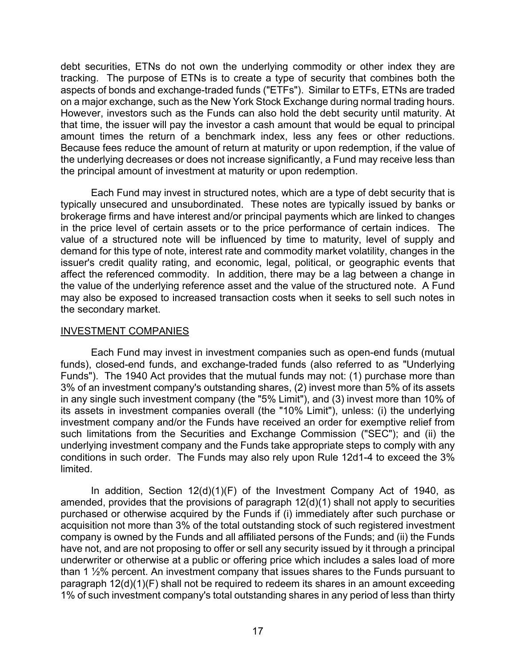debt securities, ETNs do not own the underlying commodity or other index they are tracking. The purpose of ETNs is to create a type of security that combines both the aspects of bonds and exchange-traded funds ("ETFs"). Similar to ETFs, ETNs are traded on a major exchange, such as the New York Stock Exchange during normal trading hours. However, investors such as the Funds can also hold the debt security until maturity. At that time, the issuer will pay the investor a cash amount that would be equal to principal amount times the return of a benchmark index, less any fees or other reductions. Because fees reduce the amount of return at maturity or upon redemption, if the value of the underlying decreases or does not increase significantly, a Fund may receive less than the principal amount of investment at maturity or upon redemption.

Each Fund may invest in structured notes, which are a type of debt security that is typically unsecured and unsubordinated. These notes are typically issued by banks or brokerage firms and have interest and/or principal payments which are linked to changes in the price level of certain assets or to the price performance of certain indices. The value of a structured note will be influenced by time to maturity, level of supply and demand for this type of note, interest rate and commodity market volatility, changes in the issuer's credit quality rating, and economic, legal, political, or geographic events that affect the referenced commodity. In addition, there may be a lag between a change in the value of the underlying reference asset and the value of the structured note. A Fund may also be exposed to increased transaction costs when it seeks to sell such notes in the secondary market.

#### INVESTMENT COMPANIES

Each Fund may invest in investment companies such as open-end funds (mutual funds), closed-end funds, and exchange-traded funds (also referred to as "Underlying Funds"). The 1940 Act provides that the mutual funds may not: (1) purchase more than 3% of an investment company's outstanding shares, (2) invest more than 5% of its assets in any single such investment company (the "5% Limit"), and (3) invest more than 10% of its assets in investment companies overall (the "10% Limit"), unless: (i) the underlying investment company and/or the Funds have received an order for exemptive relief from such limitations from the Securities and Exchange Commission ("SEC"); and (ii) the underlying investment company and the Funds take appropriate steps to comply with any conditions in such order. The Funds may also rely upon Rule 12d1-4 to exceed the 3% limited.

In addition, Section 12(d)(1)(F) of the Investment Company Act of 1940, as amended, provides that the provisions of paragraph 12(d)(1) shall not apply to securities purchased or otherwise acquired by the Funds if (i) immediately after such purchase or acquisition not more than 3% of the total outstanding stock of such registered investment company is owned by the Funds and all affiliated persons of the Funds; and (ii) the Funds have not, and are not proposing to offer or sell any security issued by it through a principal underwriter or otherwise at a public or offering price which includes a sales load of more than 1 ½% percent. An investment company that issues shares to the Funds pursuant to paragraph 12(d)(1)(F) shall not be required to redeem its shares in an amount exceeding 1% of such investment company's total outstanding shares in any period of less than thirty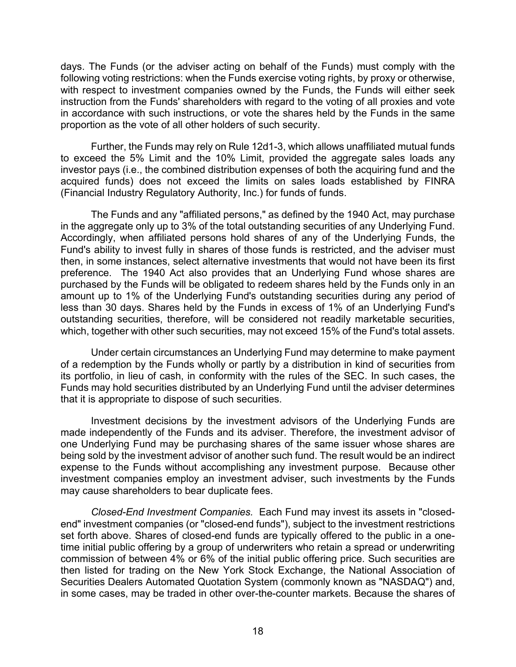days. The Funds (or the adviser acting on behalf of the Funds) must comply with the following voting restrictions: when the Funds exercise voting rights, by proxy or otherwise, with respect to investment companies owned by the Funds, the Funds will either seek instruction from the Funds' shareholders with regard to the voting of all proxies and vote in accordance with such instructions, or vote the shares held by the Funds in the same proportion as the vote of all other holders of such security.

Further, the Funds may rely on Rule 12d1-3, which allows unaffiliated mutual funds to exceed the 5% Limit and the 10% Limit, provided the aggregate sales loads any investor pays (i.e., the combined distribution expenses of both the acquiring fund and the acquired funds) does not exceed the limits on sales loads established by FINRA (Financial Industry Regulatory Authority, Inc.) for funds of funds.

The Funds and any "affiliated persons," as defined by the 1940 Act, may purchase in the aggregate only up to 3% of the total outstanding securities of any Underlying Fund. Accordingly, when affiliated persons hold shares of any of the Underlying Funds, the Fund's ability to invest fully in shares of those funds is restricted, and the adviser must then, in some instances, select alternative investments that would not have been its first preference. The 1940 Act also provides that an Underlying Fund whose shares are purchased by the Funds will be obligated to redeem shares held by the Funds only in an amount up to 1% of the Underlying Fund's outstanding securities during any period of less than 30 days. Shares held by the Funds in excess of 1% of an Underlying Fund's outstanding securities, therefore, will be considered not readily marketable securities, which, together with other such securities, may not exceed 15% of the Fund's total assets.

Under certain circumstances an Underlying Fund may determine to make payment of a redemption by the Funds wholly or partly by a distribution in kind of securities from its portfolio, in lieu of cash, in conformity with the rules of the SEC. In such cases, the Funds may hold securities distributed by an Underlying Fund until the adviser determines that it is appropriate to dispose of such securities.

Investment decisions by the investment advisors of the Underlying Funds are made independently of the Funds and its adviser. Therefore, the investment advisor of one Underlying Fund may be purchasing shares of the same issuer whose shares are being sold by the investment advisor of another such fund. The result would be an indirect expense to the Funds without accomplishing any investment purpose. Because other investment companies employ an investment adviser, such investments by the Funds may cause shareholders to bear duplicate fees.

*Closed-End Investment Companies.* Each Fund may invest its assets in "closedend" investment companies (or "closed-end funds"), subject to the investment restrictions set forth above. Shares of closed-end funds are typically offered to the public in a onetime initial public offering by a group of underwriters who retain a spread or underwriting commission of between 4% or 6% of the initial public offering price. Such securities are then listed for trading on the New York Stock Exchange, the National Association of Securities Dealers Automated Quotation System (commonly known as "NASDAQ") and, in some cases, may be traded in other over-the-counter markets. Because the shares of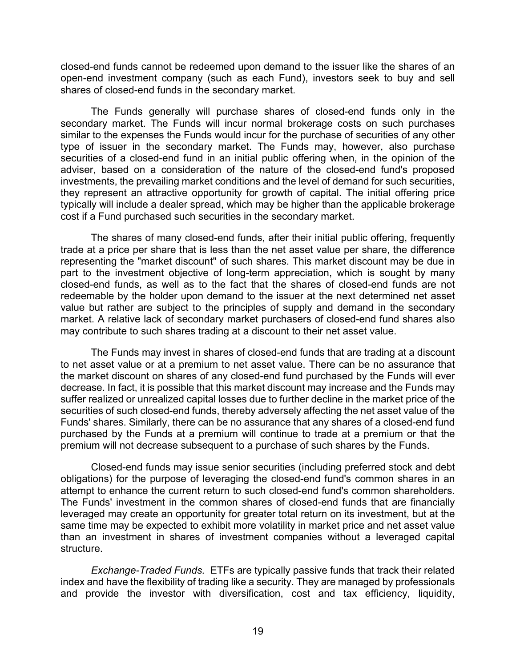closed-end funds cannot be redeemed upon demand to the issuer like the shares of an open-end investment company (such as each Fund), investors seek to buy and sell shares of closed-end funds in the secondary market.

The Funds generally will purchase shares of closed-end funds only in the secondary market. The Funds will incur normal brokerage costs on such purchases similar to the expenses the Funds would incur for the purchase of securities of any other type of issuer in the secondary market. The Funds may, however, also purchase securities of a closed-end fund in an initial public offering when, in the opinion of the adviser, based on a consideration of the nature of the closed-end fund's proposed investments, the prevailing market conditions and the level of demand for such securities, they represent an attractive opportunity for growth of capital. The initial offering price typically will include a dealer spread, which may be higher than the applicable brokerage cost if a Fund purchased such securities in the secondary market.

The shares of many closed-end funds, after their initial public offering, frequently trade at a price per share that is less than the net asset value per share, the difference representing the "market discount" of such shares. This market discount may be due in part to the investment objective of long-term appreciation, which is sought by many closed-end funds, as well as to the fact that the shares of closed-end funds are not redeemable by the holder upon demand to the issuer at the next determined net asset value but rather are subject to the principles of supply and demand in the secondary market. A relative lack of secondary market purchasers of closed-end fund shares also may contribute to such shares trading at a discount to their net asset value.

The Funds may invest in shares of closed-end funds that are trading at a discount to net asset value or at a premium to net asset value. There can be no assurance that the market discount on shares of any closed-end fund purchased by the Funds will ever decrease. In fact, it is possible that this market discount may increase and the Funds may suffer realized or unrealized capital losses due to further decline in the market price of the securities of such closed-end funds, thereby adversely affecting the net asset value of the Funds' shares. Similarly, there can be no assurance that any shares of a closed-end fund purchased by the Funds at a premium will continue to trade at a premium or that the premium will not decrease subsequent to a purchase of such shares by the Funds.

Closed-end funds may issue senior securities (including preferred stock and debt obligations) for the purpose of leveraging the closed-end fund's common shares in an attempt to enhance the current return to such closed-end fund's common shareholders. The Funds' investment in the common shares of closed-end funds that are financially leveraged may create an opportunity for greater total return on its investment, but at the same time may be expected to exhibit more volatility in market price and net asset value than an investment in shares of investment companies without a leveraged capital structure.

*Exchange-Traded Funds.* ETFs are typically passive funds that track their related index and have the flexibility of trading like a security. They are managed by professionals and provide the investor with diversification, cost and tax efficiency, liquidity,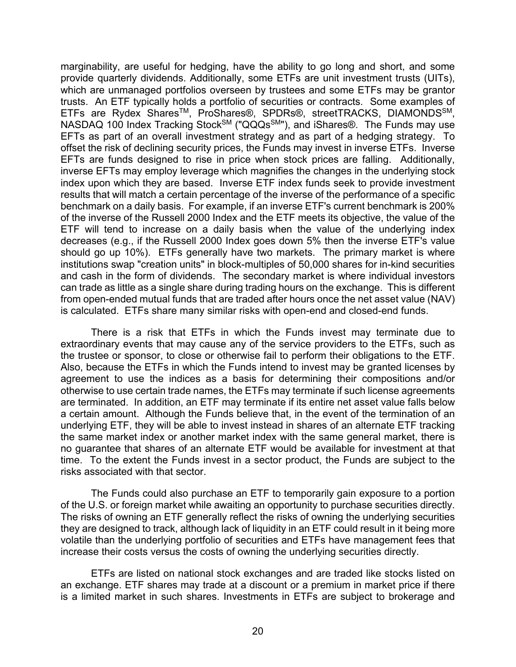marginability, are useful for hedging, have the ability to go long and short, and some provide quarterly dividends. Additionally, some ETFs are unit investment trusts (UITs), which are unmanaged portfolios overseen by trustees and some ETFs may be grantor trusts. An ETF typically holds a portfolio of securities or contracts. Some examples of ETFs are Rydex SharesTM, ProShares®, SPDRs®, streetTRACKS, DIAMONDSSM, NASDAQ 100 Index Tracking Stock<sup>SM</sup> ("QQQs<sup>SM</sup>"), and iShares®. The Funds may use EFTs as part of an overall investment strategy and as part of a hedging strategy. To offset the risk of declining security prices, the Funds may invest in inverse ETFs. Inverse EFTs are funds designed to rise in price when stock prices are falling. Additionally, inverse EFTs may employ leverage which magnifies the changes in the underlying stock index upon which they are based. Inverse ETF index funds seek to provide investment results that will match a certain percentage of the inverse of the performance of a specific benchmark on a daily basis. For example, if an inverse ETF's current benchmark is 200% of the inverse of the Russell 2000 Index and the ETF meets its objective, the value of the ETF will tend to increase on a daily basis when the value of the underlying index decreases (e.g., if the Russell 2000 Index goes down 5% then the inverse ETF's value should go up 10%). ETFs generally have two markets. The primary market is where institutions swap "creation units" in block-multiples of 50,000 shares for in-kind securities and cash in the form of dividends. The secondary market is where individual investors can trade as little as a single share during trading hours on the exchange. This is different from open-ended mutual funds that are traded after hours once the net asset value (NAV) is calculated. ETFs share many similar risks with open-end and closed-end funds.

There is a risk that ETFs in which the Funds invest may terminate due to extraordinary events that may cause any of the service providers to the ETFs, such as the trustee or sponsor, to close or otherwise fail to perform their obligations to the ETF. Also, because the ETFs in which the Funds intend to invest may be granted licenses by agreement to use the indices as a basis for determining their compositions and/or otherwise to use certain trade names, the ETFs may terminate if such license agreements are terminated. In addition, an ETF may terminate if its entire net asset value falls below a certain amount. Although the Funds believe that, in the event of the termination of an underlying ETF, they will be able to invest instead in shares of an alternate ETF tracking the same market index or another market index with the same general market, there is no guarantee that shares of an alternate ETF would be available for investment at that time. To the extent the Funds invest in a sector product, the Funds are subject to the risks associated with that sector.

The Funds could also purchase an ETF to temporarily gain exposure to a portion of the U.S. or foreign market while awaiting an opportunity to purchase securities directly. The risks of owning an ETF generally reflect the risks of owning the underlying securities they are designed to track, although lack of liquidity in an ETF could result in it being more volatile than the underlying portfolio of securities and ETFs have management fees that increase their costs versus the costs of owning the underlying securities directly.

ETFs are listed on national stock exchanges and are traded like stocks listed on an exchange. ETF shares may trade at a discount or a premium in market price if there is a limited market in such shares. Investments in ETFs are subject to brokerage and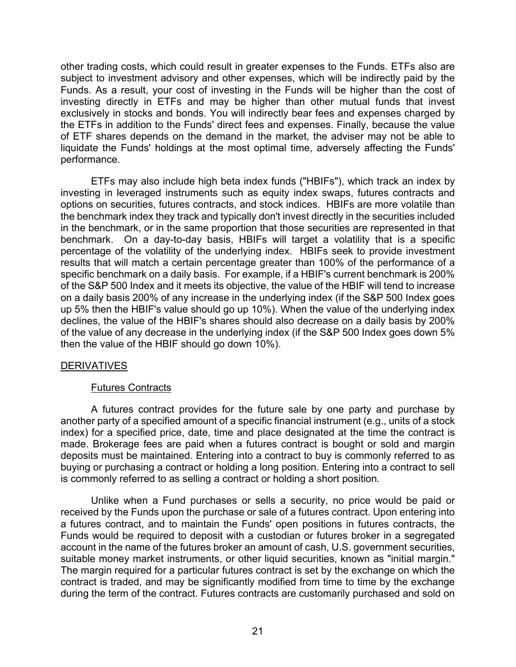other trading costs, which could result in greater expenses to the Funds. ETFs also are subject to investment advisory and other expenses, which will be indirectly paid by the Funds. As a result, your cost of investing in the Funds will be higher than the cost of investing directly in ETFs and may be higher than other mutual funds that invest exclusively in stocks and bonds. You will indirectly bear fees and expenses charged by the ETFs in addition to the Funds' direct fees and expenses. Finally, because the value of ETF shares depends on the demand in the market, the adviser may not be able to liquidate the Funds' holdings at the most optimal time, adversely affecting the Funds' performance.

ETFs may also include high beta index funds ("HBIFs"), which track an index by investing in leveraged instruments such as equity index swaps, futures contracts and options on securities, futures contracts, and stock indices. HBIFs are more volatile than the benchmark index they track and typically don't invest directly in the securities included in the benchmark, or in the same proportion that those securities are represented in that benchmark. On a day-to-day basis, HBIFs will target a volatility that is a specific percentage of the volatility of the underlying index. HBIFs seek to provide investment results that will match a certain percentage greater than 100% of the performance of a specific benchmark on a daily basis. For example, if a HBIF's current benchmark is 200% of the S&P 500 Index and it meets its objective, the value of the HBIF will tend to increase on a daily basis 200% of any increase in the underlying index (if the S&P 500 Index goes up 5% then the HBIF's value should go up 10%). When the value of the underlying index declines, the value of the HBIF's shares should also decrease on a daily basis by 200% of the value of any decrease in the underlying index (if the S&P 500 Index goes down 5% then the value of the HBIF should go down 10%).

# DERIVATIVES

# Futures Contracts

A futures contract provides for the future sale by one party and purchase by another party of a specified amount of a specific financial instrument (e.g., units of a stock index) for a specified price, date, time and place designated at the time the contract is made. Brokerage fees are paid when a futures contract is bought or sold and margin deposits must be maintained. Entering into a contract to buy is commonly referred to as buying or purchasing a contract or holding a long position. Entering into a contract to sell is commonly referred to as selling a contract or holding a short position.

Unlike when a Fund purchases or sells a security, no price would be paid or received by the Funds upon the purchase or sale of a futures contract. Upon entering into a futures contract, and to maintain the Funds' open positions in futures contracts, the Funds would be required to deposit with a custodian or futures broker in a segregated account in the name of the futures broker an amount of cash, U.S. government securities, suitable money market instruments, or other liquid securities, known as "initial margin." The margin required for a particular futures contract is set by the exchange on which the contract is traded, and may be significantly modified from time to time by the exchange during the term of the contract. Futures contracts are customarily purchased and sold on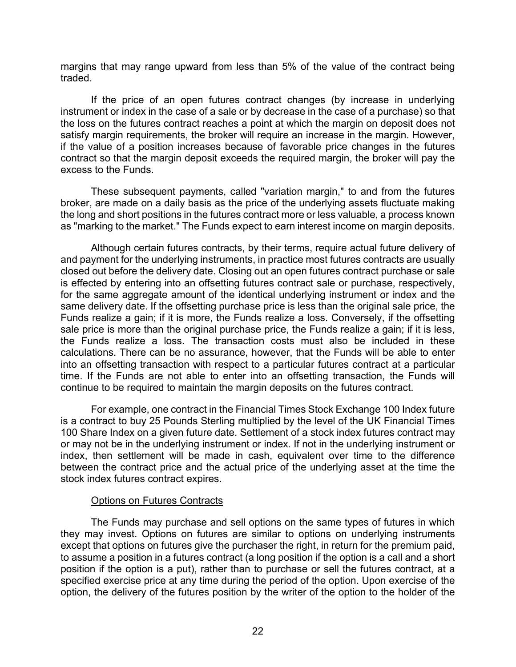margins that may range upward from less than 5% of the value of the contract being traded.

If the price of an open futures contract changes (by increase in underlying instrument or index in the case of a sale or by decrease in the case of a purchase) so that the loss on the futures contract reaches a point at which the margin on deposit does not satisfy margin requirements, the broker will require an increase in the margin. However, if the value of a position increases because of favorable price changes in the futures contract so that the margin deposit exceeds the required margin, the broker will pay the excess to the Funds.

These subsequent payments, called "variation margin," to and from the futures broker, are made on a daily basis as the price of the underlying assets fluctuate making the long and short positions in the futures contract more or less valuable, a process known as "marking to the market." The Funds expect to earn interest income on margin deposits.

Although certain futures contracts, by their terms, require actual future delivery of and payment for the underlying instruments, in practice most futures contracts are usually closed out before the delivery date. Closing out an open futures contract purchase or sale is effected by entering into an offsetting futures contract sale or purchase, respectively, for the same aggregate amount of the identical underlying instrument or index and the same delivery date. If the offsetting purchase price is less than the original sale price, the Funds realize a gain; if it is more, the Funds realize a loss. Conversely, if the offsetting sale price is more than the original purchase price, the Funds realize a gain; if it is less, the Funds realize a loss. The transaction costs must also be included in these calculations. There can be no assurance, however, that the Funds will be able to enter into an offsetting transaction with respect to a particular futures contract at a particular time. If the Funds are not able to enter into an offsetting transaction, the Funds will continue to be required to maintain the margin deposits on the futures contract.

For example, one contract in the Financial Times Stock Exchange 100 Index future is a contract to buy 25 Pounds Sterling multiplied by the level of the UK Financial Times 100 Share Index on a given future date. Settlement of a stock index futures contract may or may not be in the underlying instrument or index. If not in the underlying instrument or index, then settlement will be made in cash, equivalent over time to the difference between the contract price and the actual price of the underlying asset at the time the stock index futures contract expires.

#### Options on Futures Contracts

The Funds may purchase and sell options on the same types of futures in which they may invest. Options on futures are similar to options on underlying instruments except that options on futures give the purchaser the right, in return for the premium paid, to assume a position in a futures contract (a long position if the option is a call and a short position if the option is a put), rather than to purchase or sell the futures contract, at a specified exercise price at any time during the period of the option. Upon exercise of the option, the delivery of the futures position by the writer of the option to the holder of the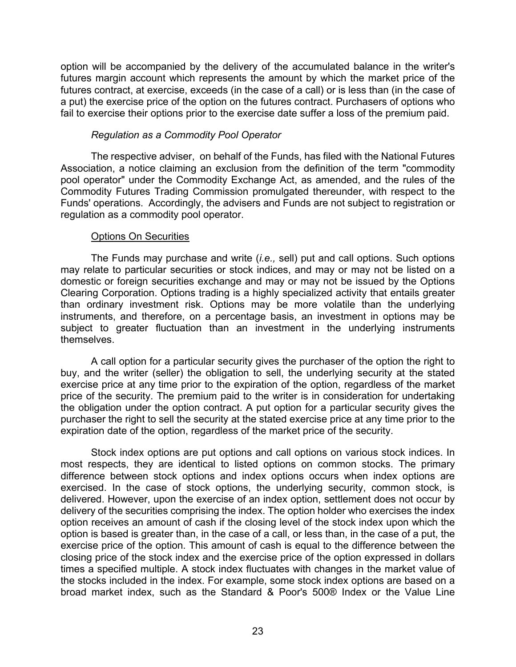option will be accompanied by the delivery of the accumulated balance in the writer's futures margin account which represents the amount by which the market price of the futures contract, at exercise, exceeds (in the case of a call) or is less than (in the case of a put) the exercise price of the option on the futures contract. Purchasers of options who fail to exercise their options prior to the exercise date suffer a loss of the premium paid.

# *Regulation as a Commodity Pool Operator*

The respective adviser, on behalf of the Funds, has filed with the National Futures Association, a notice claiming an exclusion from the definition of the term "commodity pool operator" under the Commodity Exchange Act, as amended, and the rules of the Commodity Futures Trading Commission promulgated thereunder, with respect to the Funds' operations. Accordingly, the advisers and Funds are not subject to registration or regulation as a commodity pool operator.

# Options On Securities

The Funds may purchase and write (*i.e.,* sell) put and call options. Such options may relate to particular securities or stock indices, and may or may not be listed on a domestic or foreign securities exchange and may or may not be issued by the Options Clearing Corporation. Options trading is a highly specialized activity that entails greater than ordinary investment risk. Options may be more volatile than the underlying instruments, and therefore, on a percentage basis, an investment in options may be subject to greater fluctuation than an investment in the underlying instruments themselves.

A call option for a particular security gives the purchaser of the option the right to buy, and the writer (seller) the obligation to sell, the underlying security at the stated exercise price at any time prior to the expiration of the option, regardless of the market price of the security. The premium paid to the writer is in consideration for undertaking the obligation under the option contract. A put option for a particular security gives the purchaser the right to sell the security at the stated exercise price at any time prior to the expiration date of the option, regardless of the market price of the security.

Stock index options are put options and call options on various stock indices. In most respects, they are identical to listed options on common stocks. The primary difference between stock options and index options occurs when index options are exercised. In the case of stock options, the underlying security, common stock, is delivered. However, upon the exercise of an index option, settlement does not occur by delivery of the securities comprising the index. The option holder who exercises the index option receives an amount of cash if the closing level of the stock index upon which the option is based is greater than, in the case of a call, or less than, in the case of a put, the exercise price of the option. This amount of cash is equal to the difference between the closing price of the stock index and the exercise price of the option expressed in dollars times a specified multiple. A stock index fluctuates with changes in the market value of the stocks included in the index. For example, some stock index options are based on a broad market index, such as the Standard & Poor's 500® Index or the Value Line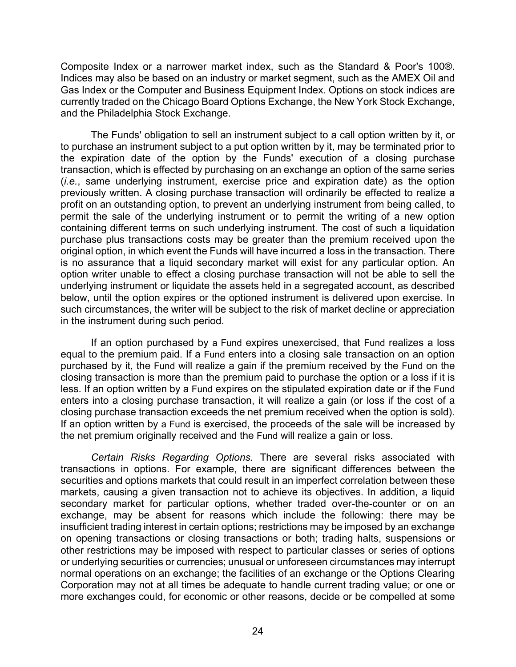Composite Index or a narrower market index, such as the Standard & Poor's 100®. Indices may also be based on an industry or market segment, such as the AMEX Oil and Gas Index or the Computer and Business Equipment Index. Options on stock indices are currently traded on the Chicago Board Options Exchange, the New York Stock Exchange, and the Philadelphia Stock Exchange.

The Funds' obligation to sell an instrument subject to a call option written by it, or to purchase an instrument subject to a put option written by it, may be terminated prior to the expiration date of the option by the Funds' execution of a closing purchase transaction, which is effected by purchasing on an exchange an option of the same series (*i.e.*, same underlying instrument, exercise price and expiration date) as the option previously written. A closing purchase transaction will ordinarily be effected to realize a profit on an outstanding option, to prevent an underlying instrument from being called, to permit the sale of the underlying instrument or to permit the writing of a new option containing different terms on such underlying instrument. The cost of such a liquidation purchase plus transactions costs may be greater than the premium received upon the original option, in which event the Funds will have incurred a loss in the transaction. There is no assurance that a liquid secondary market will exist for any particular option. An option writer unable to effect a closing purchase transaction will not be able to sell the underlying instrument or liquidate the assets held in a segregated account, as described below, until the option expires or the optioned instrument is delivered upon exercise. In such circumstances, the writer will be subject to the risk of market decline or appreciation in the instrument during such period.

If an option purchased by a Fund expires unexercised, that Fund realizes a loss equal to the premium paid. If a Fund enters into a closing sale transaction on an option purchased by it, the Fund will realize a gain if the premium received by the Fund on the closing transaction is more than the premium paid to purchase the option or a loss if it is less. If an option written by a Fund expires on the stipulated expiration date or if the Fund enters into a closing purchase transaction, it will realize a gain (or loss if the cost of a closing purchase transaction exceeds the net premium received when the option is sold). If an option written by a Fund is exercised, the proceeds of the sale will be increased by the net premium originally received and the Fund will realize a gain or loss.

*Certain Risks Regarding Options.* There are several risks associated with transactions in options. For example, there are significant differences between the securities and options markets that could result in an imperfect correlation between these markets, causing a given transaction not to achieve its objectives. In addition, a liquid secondary market for particular options, whether traded over-the-counter or on an exchange, may be absent for reasons which include the following: there may be insufficient trading interest in certain options; restrictions may be imposed by an exchange on opening transactions or closing transactions or both; trading halts, suspensions or other restrictions may be imposed with respect to particular classes or series of options or underlying securities or currencies; unusual or unforeseen circumstances may interrupt normal operations on an exchange; the facilities of an exchange or the Options Clearing Corporation may not at all times be adequate to handle current trading value; or one or more exchanges could, for economic or other reasons, decide or be compelled at some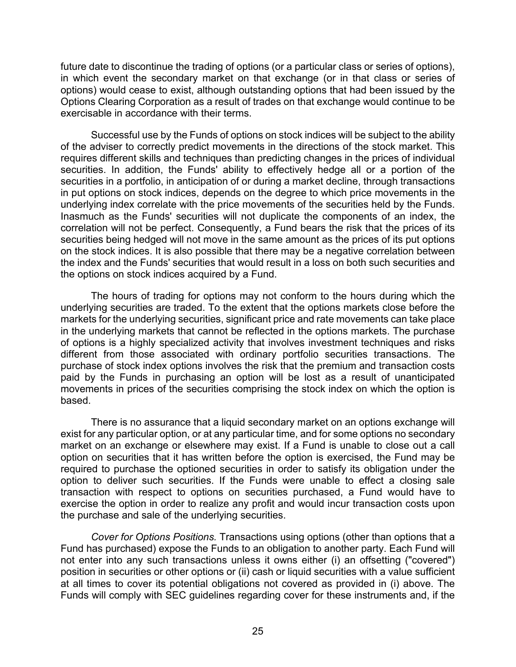future date to discontinue the trading of options (or a particular class or series of options), in which event the secondary market on that exchange (or in that class or series of options) would cease to exist, although outstanding options that had been issued by the Options Clearing Corporation as a result of trades on that exchange would continue to be exercisable in accordance with their terms.

Successful use by the Funds of options on stock indices will be subject to the ability of the adviser to correctly predict movements in the directions of the stock market. This requires different skills and techniques than predicting changes in the prices of individual securities. In addition, the Funds' ability to effectively hedge all or a portion of the securities in a portfolio, in anticipation of or during a market decline, through transactions in put options on stock indices, depends on the degree to which price movements in the underlying index correlate with the price movements of the securities held by the Funds. Inasmuch as the Funds' securities will not duplicate the components of an index, the correlation will not be perfect. Consequently, a Fund bears the risk that the prices of its securities being hedged will not move in the same amount as the prices of its put options on the stock indices. It is also possible that there may be a negative correlation between the index and the Funds' securities that would result in a loss on both such securities and the options on stock indices acquired by a Fund.

The hours of trading for options may not conform to the hours during which the underlying securities are traded. To the extent that the options markets close before the markets for the underlying securities, significant price and rate movements can take place in the underlying markets that cannot be reflected in the options markets. The purchase of options is a highly specialized activity that involves investment techniques and risks different from those associated with ordinary portfolio securities transactions. The purchase of stock index options involves the risk that the premium and transaction costs paid by the Funds in purchasing an option will be lost as a result of unanticipated movements in prices of the securities comprising the stock index on which the option is based.

There is no assurance that a liquid secondary market on an options exchange will exist for any particular option, or at any particular time, and for some options no secondary market on an exchange or elsewhere may exist. If a Fund is unable to close out a call option on securities that it has written before the option is exercised, the Fund may be required to purchase the optioned securities in order to satisfy its obligation under the option to deliver such securities. If the Funds were unable to effect a closing sale transaction with respect to options on securities purchased, a Fund would have to exercise the option in order to realize any profit and would incur transaction costs upon the purchase and sale of the underlying securities.

*Cover for Options Positions.* Transactions using options (other than options that a Fund has purchased) expose the Funds to an obligation to another party. Each Fund will not enter into any such transactions unless it owns either (i) an offsetting ("covered") position in securities or other options or (ii) cash or liquid securities with a value sufficient at all times to cover its potential obligations not covered as provided in (i) above. The Funds will comply with SEC guidelines regarding cover for these instruments and, if the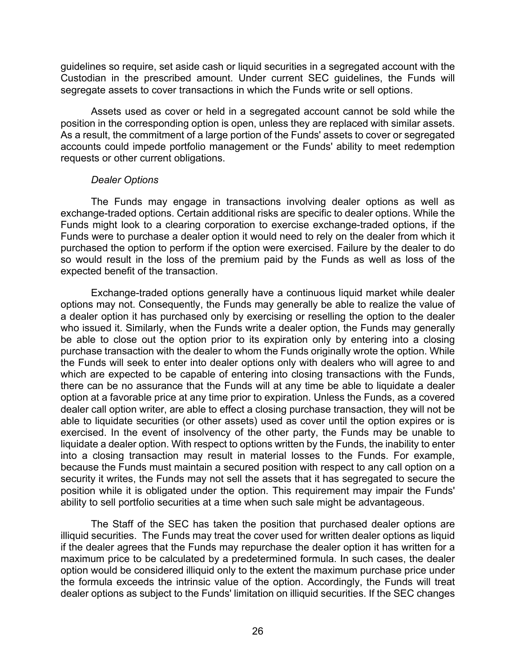guidelines so require, set aside cash or liquid securities in a segregated account with the Custodian in the prescribed amount. Under current SEC guidelines, the Funds will segregate assets to cover transactions in which the Funds write or sell options.

Assets used as cover or held in a segregated account cannot be sold while the position in the corresponding option is open, unless they are replaced with similar assets. As a result, the commitment of a large portion of the Funds' assets to cover or segregated accounts could impede portfolio management or the Funds' ability to meet redemption requests or other current obligations.

#### *Dealer Options*

The Funds may engage in transactions involving dealer options as well as exchange-traded options. Certain additional risks are specific to dealer options. While the Funds might look to a clearing corporation to exercise exchange-traded options, if the Funds were to purchase a dealer option it would need to rely on the dealer from which it purchased the option to perform if the option were exercised. Failure by the dealer to do so would result in the loss of the premium paid by the Funds as well as loss of the expected benefit of the transaction.

Exchange-traded options generally have a continuous liquid market while dealer options may not. Consequently, the Funds may generally be able to realize the value of a dealer option it has purchased only by exercising or reselling the option to the dealer who issued it. Similarly, when the Funds write a dealer option, the Funds may generally be able to close out the option prior to its expiration only by entering into a closing purchase transaction with the dealer to whom the Funds originally wrote the option. While the Funds will seek to enter into dealer options only with dealers who will agree to and which are expected to be capable of entering into closing transactions with the Funds, there can be no assurance that the Funds will at any time be able to liquidate a dealer option at a favorable price at any time prior to expiration. Unless the Funds, as a covered dealer call option writer, are able to effect a closing purchase transaction, they will not be able to liquidate securities (or other assets) used as cover until the option expires or is exercised. In the event of insolvency of the other party, the Funds may be unable to liquidate a dealer option. With respect to options written by the Funds, the inability to enter into a closing transaction may result in material losses to the Funds. For example, because the Funds must maintain a secured position with respect to any call option on a security it writes, the Funds may not sell the assets that it has segregated to secure the position while it is obligated under the option. This requirement may impair the Funds' ability to sell portfolio securities at a time when such sale might be advantageous.

The Staff of the SEC has taken the position that purchased dealer options are illiquid securities. The Funds may treat the cover used for written dealer options as liquid if the dealer agrees that the Funds may repurchase the dealer option it has written for a maximum price to be calculated by a predetermined formula. In such cases, the dealer option would be considered illiquid only to the extent the maximum purchase price under the formula exceeds the intrinsic value of the option. Accordingly, the Funds will treat dealer options as subject to the Funds' limitation on illiquid securities. If the SEC changes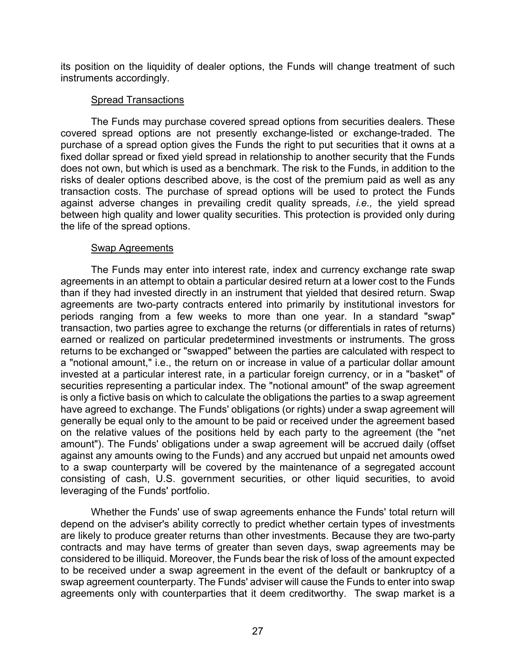its position on the liquidity of dealer options, the Funds will change treatment of such instruments accordingly.

# Spread Transactions

The Funds may purchase covered spread options from securities dealers. These covered spread options are not presently exchange-listed or exchange-traded. The purchase of a spread option gives the Funds the right to put securities that it owns at a fixed dollar spread or fixed yield spread in relationship to another security that the Funds does not own, but which is used as a benchmark. The risk to the Funds, in addition to the risks of dealer options described above, is the cost of the premium paid as well as any transaction costs. The purchase of spread options will be used to protect the Funds against adverse changes in prevailing credit quality spreads, *i.e.,* the yield spread between high quality and lower quality securities. This protection is provided only during the life of the spread options.

# Swap Agreements

The Funds may enter into interest rate, index and currency exchange rate swap agreements in an attempt to obtain a particular desired return at a lower cost to the Funds than if they had invested directly in an instrument that yielded that desired return. Swap agreements are two-party contracts entered into primarily by institutional investors for periods ranging from a few weeks to more than one year. In a standard "swap" transaction, two parties agree to exchange the returns (or differentials in rates of returns) earned or realized on particular predetermined investments or instruments. The gross returns to be exchanged or "swapped" between the parties are calculated with respect to a "notional amount," i.e., the return on or increase in value of a particular dollar amount invested at a particular interest rate, in a particular foreign currency, or in a "basket" of securities representing a particular index. The "notional amount" of the swap agreement is only a fictive basis on which to calculate the obligations the parties to a swap agreement have agreed to exchange. The Funds' obligations (or rights) under a swap agreement will generally be equal only to the amount to be paid or received under the agreement based on the relative values of the positions held by each party to the agreement (the "net amount"). The Funds' obligations under a swap agreement will be accrued daily (offset against any amounts owing to the Funds) and any accrued but unpaid net amounts owed to a swap counterparty will be covered by the maintenance of a segregated account consisting of cash, U.S. government securities, or other liquid securities, to avoid leveraging of the Funds' portfolio.

Whether the Funds' use of swap agreements enhance the Funds' total return will depend on the adviser's ability correctly to predict whether certain types of investments are likely to produce greater returns than other investments. Because they are two-party contracts and may have terms of greater than seven days, swap agreements may be considered to be illiquid. Moreover, the Funds bear the risk of loss of the amount expected to be received under a swap agreement in the event of the default or bankruptcy of a swap agreement counterparty. The Funds' adviser will cause the Funds to enter into swap agreements only with counterparties that it deem creditworthy. The swap market is a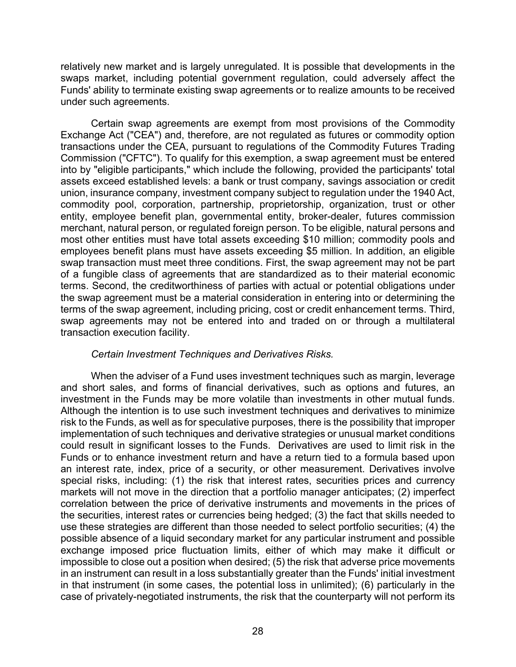relatively new market and is largely unregulated. It is possible that developments in the swaps market, including potential government regulation, could adversely affect the Funds' ability to terminate existing swap agreements or to realize amounts to be received under such agreements.

Certain swap agreements are exempt from most provisions of the Commodity Exchange Act ("CEA") and, therefore, are not regulated as futures or commodity option transactions under the CEA, pursuant to regulations of the Commodity Futures Trading Commission ("CFTC"). To qualify for this exemption, a swap agreement must be entered into by "eligible participants," which include the following, provided the participants' total assets exceed established levels: a bank or trust company, savings association or credit union, insurance company, investment company subject to regulation under the 1940 Act, commodity pool, corporation, partnership, proprietorship, organization, trust or other entity, employee benefit plan, governmental entity, broker-dealer, futures commission merchant, natural person, or regulated foreign person. To be eligible, natural persons and most other entities must have total assets exceeding \$10 million; commodity pools and employees benefit plans must have assets exceeding \$5 million. In addition, an eligible swap transaction must meet three conditions. First, the swap agreement may not be part of a fungible class of agreements that are standardized as to their material economic terms. Second, the creditworthiness of parties with actual or potential obligations under the swap agreement must be a material consideration in entering into or determining the terms of the swap agreement, including pricing, cost or credit enhancement terms. Third, swap agreements may not be entered into and traded on or through a multilateral transaction execution facility.

# *Certain Investment Techniques and Derivatives Risks.*

When the adviser of a Fund uses investment techniques such as margin, leverage and short sales, and forms of financial derivatives, such as options and futures, an investment in the Funds may be more volatile than investments in other mutual funds. Although the intention is to use such investment techniques and derivatives to minimize risk to the Funds, as well as for speculative purposes, there is the possibility that improper implementation of such techniques and derivative strategies or unusual market conditions could result in significant losses to the Funds. Derivatives are used to limit risk in the Funds or to enhance investment return and have a return tied to a formula based upon an interest rate, index, price of a security, or other measurement. Derivatives involve special risks, including: (1) the risk that interest rates, securities prices and currency markets will not move in the direction that a portfolio manager anticipates; (2) imperfect correlation between the price of derivative instruments and movements in the prices of the securities, interest rates or currencies being hedged; (3) the fact that skills needed to use these strategies are different than those needed to select portfolio securities; (4) the possible absence of a liquid secondary market for any particular instrument and possible exchange imposed price fluctuation limits, either of which may make it difficult or impossible to close out a position when desired; (5) the risk that adverse price movements in an instrument can result in a loss substantially greater than the Funds' initial investment in that instrument (in some cases, the potential loss in unlimited); (6) particularly in the case of privately-negotiated instruments, the risk that the counterparty will not perform its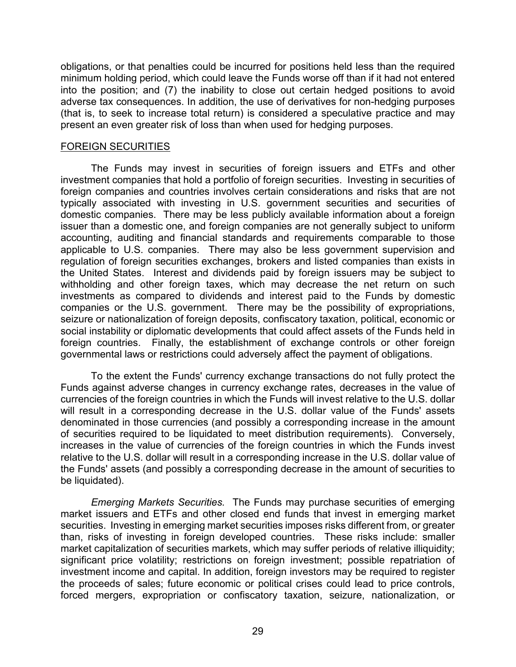obligations, or that penalties could be incurred for positions held less than the required minimum holding period, which could leave the Funds worse off than if it had not entered into the position; and (7) the inability to close out certain hedged positions to avoid adverse tax consequences. In addition, the use of derivatives for non-hedging purposes (that is, to seek to increase total return) is considered a speculative practice and may present an even greater risk of loss than when used for hedging purposes.

#### FOREIGN SECURITIES

The Funds may invest in securities of foreign issuers and ETFs and other investment companies that hold a portfolio of foreign securities. Investing in securities of foreign companies and countries involves certain considerations and risks that are not typically associated with investing in U.S. government securities and securities of domestic companies. There may be less publicly available information about a foreign issuer than a domestic one, and foreign companies are not generally subject to uniform accounting, auditing and financial standards and requirements comparable to those applicable to U.S. companies. There may also be less government supervision and regulation of foreign securities exchanges, brokers and listed companies than exists in the United States. Interest and dividends paid by foreign issuers may be subject to withholding and other foreign taxes, which may decrease the net return on such investments as compared to dividends and interest paid to the Funds by domestic companies or the U.S. government. There may be the possibility of expropriations, seizure or nationalization of foreign deposits, confiscatory taxation, political, economic or social instability or diplomatic developments that could affect assets of the Funds held in foreign countries. Finally, the establishment of exchange controls or other foreign governmental laws or restrictions could adversely affect the payment of obligations.

To the extent the Funds' currency exchange transactions do not fully protect the Funds against adverse changes in currency exchange rates, decreases in the value of currencies of the foreign countries in which the Funds will invest relative to the U.S. dollar will result in a corresponding decrease in the U.S. dollar value of the Funds' assets denominated in those currencies (and possibly a corresponding increase in the amount of securities required to be liquidated to meet distribution requirements). Conversely, increases in the value of currencies of the foreign countries in which the Funds invest relative to the U.S. dollar will result in a corresponding increase in the U.S. dollar value of the Funds' assets (and possibly a corresponding decrease in the amount of securities to be liquidated).

*Emerging Markets Securities.* The Funds may purchase securities of emerging market issuers and ETFs and other closed end funds that invest in emerging market securities. Investing in emerging market securities imposes risks different from, or greater than, risks of investing in foreign developed countries. These risks include: smaller market capitalization of securities markets, which may suffer periods of relative illiquidity; significant price volatility; restrictions on foreign investment; possible repatriation of investment income and capital. In addition, foreign investors may be required to register the proceeds of sales; future economic or political crises could lead to price controls, forced mergers, expropriation or confiscatory taxation, seizure, nationalization, or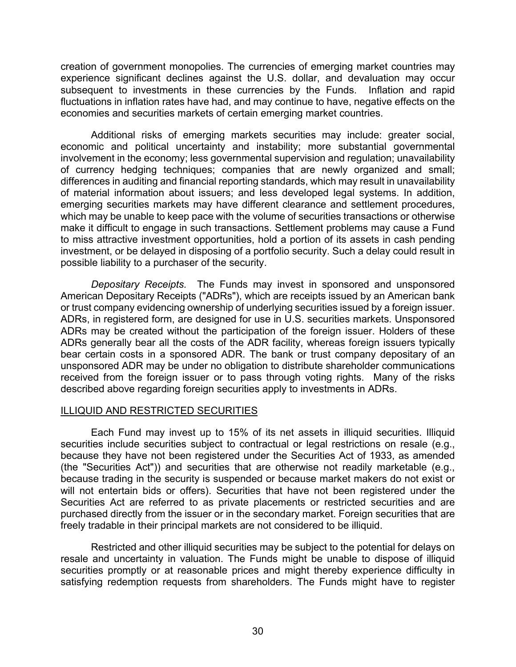creation of government monopolies. The currencies of emerging market countries may experience significant declines against the U.S. dollar, and devaluation may occur subsequent to investments in these currencies by the Funds. Inflation and rapid fluctuations in inflation rates have had, and may continue to have, negative effects on the economies and securities markets of certain emerging market countries.

Additional risks of emerging markets securities may include: greater social, economic and political uncertainty and instability; more substantial governmental involvement in the economy; less governmental supervision and regulation; unavailability of currency hedging techniques; companies that are newly organized and small; differences in auditing and financial reporting standards, which may result in unavailability of material information about issuers; and less developed legal systems. In addition, emerging securities markets may have different clearance and settlement procedures, which may be unable to keep pace with the volume of securities transactions or otherwise make it difficult to engage in such transactions. Settlement problems may cause a Fund to miss attractive investment opportunities, hold a portion of its assets in cash pending investment, or be delayed in disposing of a portfolio security. Such a delay could result in possible liability to a purchaser of the security.

*Depositary Receipts.* The Funds may invest in sponsored and unsponsored American Depositary Receipts ("ADRs"), which are receipts issued by an American bank or trust company evidencing ownership of underlying securities issued by a foreign issuer. ADRs, in registered form, are designed for use in U.S. securities markets. Unsponsored ADRs may be created without the participation of the foreign issuer. Holders of these ADRs generally bear all the costs of the ADR facility, whereas foreign issuers typically bear certain costs in a sponsored ADR. The bank or trust company depositary of an unsponsored ADR may be under no obligation to distribute shareholder communications received from the foreign issuer or to pass through voting rights. Many of the risks described above regarding foreign securities apply to investments in ADRs.

# ILLIQUID AND RESTRICTED SECURITIES

Each Fund may invest up to 15% of its net assets in illiquid securities. Illiquid securities include securities subject to contractual or legal restrictions on resale (e.g., because they have not been registered under the Securities Act of 1933, as amended (the "Securities Act")) and securities that are otherwise not readily marketable (e.g., because trading in the security is suspended or because market makers do not exist or will not entertain bids or offers). Securities that have not been registered under the Securities Act are referred to as private placements or restricted securities and are purchased directly from the issuer or in the secondary market. Foreign securities that are freely tradable in their principal markets are not considered to be illiquid.

Restricted and other illiquid securities may be subject to the potential for delays on resale and uncertainty in valuation. The Funds might be unable to dispose of illiquid securities promptly or at reasonable prices and might thereby experience difficulty in satisfying redemption requests from shareholders. The Funds might have to register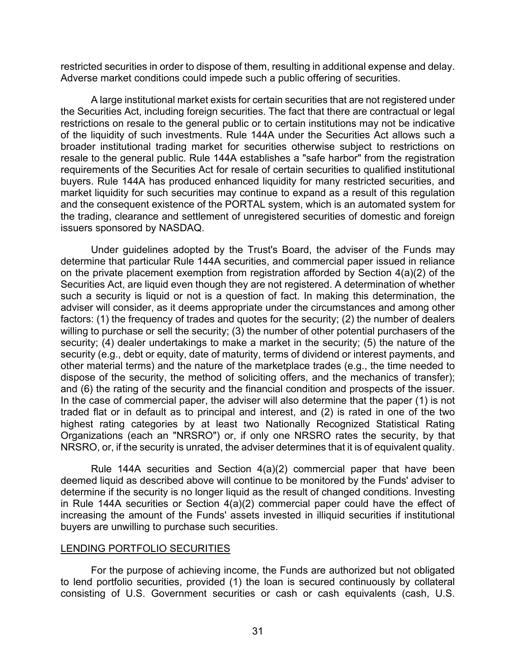restricted securities in order to dispose of them, resulting in additional expense and delay. Adverse market conditions could impede such a public offering of securities.

A large institutional market exists for certain securities that are not registered under the Securities Act, including foreign securities. The fact that there are contractual or legal restrictions on resale to the general public or to certain institutions may not be indicative of the liquidity of such investments. Rule 144A under the Securities Act allows such a broader institutional trading market for securities otherwise subject to restrictions on resale to the general public. Rule 144A establishes a "safe harbor" from the registration requirements of the Securities Act for resale of certain securities to qualified institutional buyers. Rule 144A has produced enhanced liquidity for many restricted securities, and market liquidity for such securities may continue to expand as a result of this regulation and the consequent existence of the PORTAL system, which is an automated system for the trading, clearance and settlement of unregistered securities of domestic and foreign issuers sponsored by NASDAQ.

Under guidelines adopted by the Trust's Board, the adviser of the Funds may determine that particular Rule 144A securities, and commercial paper issued in reliance on the private placement exemption from registration afforded by Section 4(a)(2) of the Securities Act, are liquid even though they are not registered. A determination of whether such a security is liquid or not is a question of fact. In making this determination, the adviser will consider, as it deems appropriate under the circumstances and among other factors: (1) the frequency of trades and quotes for the security; (2) the number of dealers willing to purchase or sell the security; (3) the number of other potential purchasers of the security; (4) dealer undertakings to make a market in the security; (5) the nature of the security (e.g., debt or equity, date of maturity, terms of dividend or interest payments, and other material terms) and the nature of the marketplace trades (e.g., the time needed to dispose of the security, the method of soliciting offers, and the mechanics of transfer); and (6) the rating of the security and the financial condition and prospects of the issuer. In the case of commercial paper, the adviser will also determine that the paper (1) is not traded flat or in default as to principal and interest, and (2) is rated in one of the two highest rating categories by at least two Nationally Recognized Statistical Rating Organizations (each an "NRSRO") or, if only one NRSRO rates the security, by that NRSRO, or, if the security is unrated, the adviser determines that it is of equivalent quality.

Rule 144A securities and Section 4(a)(2) commercial paper that have been deemed liquid as described above will continue to be monitored by the Funds' adviser to determine if the security is no longer liquid as the result of changed conditions. Investing in Rule 144A securities or Section 4(a)(2) commercial paper could have the effect of increasing the amount of the Funds' assets invested in illiquid securities if institutional buyers are unwilling to purchase such securities.

#### LENDING PORTFOLIO SECURITIES

For the purpose of achieving income, the Funds are authorized but not obligated to lend portfolio securities, provided (1) the loan is secured continuously by collateral consisting of U.S. Government securities or cash or cash equivalents (cash, U.S.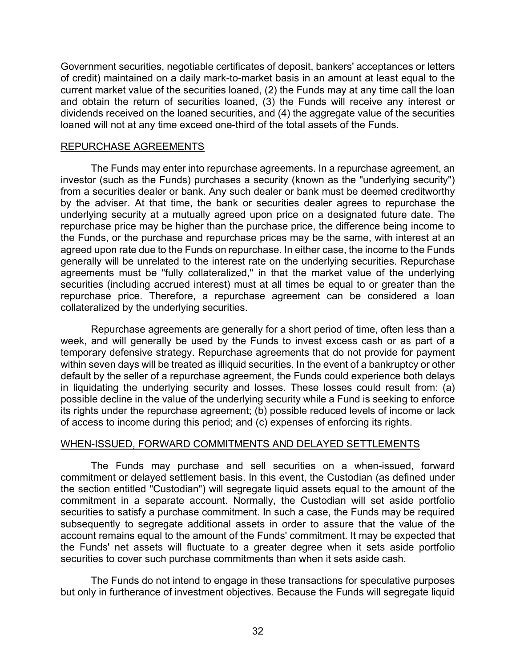Government securities, negotiable certificates of deposit, bankers' acceptances or letters of credit) maintained on a daily mark-to-market basis in an amount at least equal to the current market value of the securities loaned, (2) the Funds may at any time call the loan and obtain the return of securities loaned, (3) the Funds will receive any interest or dividends received on the loaned securities, and (4) the aggregate value of the securities loaned will not at any time exceed one-third of the total assets of the Funds.

#### REPURCHASE AGREEMENTS

The Funds may enter into repurchase agreements. In a repurchase agreement, an investor (such as the Funds) purchases a security (known as the "underlying security") from a securities dealer or bank. Any such dealer or bank must be deemed creditworthy by the adviser. At that time, the bank or securities dealer agrees to repurchase the underlying security at a mutually agreed upon price on a designated future date. The repurchase price may be higher than the purchase price, the difference being income to the Funds, or the purchase and repurchase prices may be the same, with interest at an agreed upon rate due to the Funds on repurchase. In either case, the income to the Funds generally will be unrelated to the interest rate on the underlying securities. Repurchase agreements must be "fully collateralized," in that the market value of the underlying securities (including accrued interest) must at all times be equal to or greater than the repurchase price. Therefore, a repurchase agreement can be considered a loan collateralized by the underlying securities.

Repurchase agreements are generally for a short period of time, often less than a week, and will generally be used by the Funds to invest excess cash or as part of a temporary defensive strategy. Repurchase agreements that do not provide for payment within seven days will be treated as illiquid securities. In the event of a bankruptcy or other default by the seller of a repurchase agreement, the Funds could experience both delays in liquidating the underlying security and losses. These losses could result from: (a) possible decline in the value of the underlying security while a Fund is seeking to enforce its rights under the repurchase agreement; (b) possible reduced levels of income or lack of access to income during this period; and (c) expenses of enforcing its rights.

# WHEN-ISSUED, FORWARD COMMITMENTS AND DELAYED SETTLEMENTS

The Funds may purchase and sell securities on a when-issued, forward commitment or delayed settlement basis. In this event, the Custodian (as defined under the section entitled "Custodian") will segregate liquid assets equal to the amount of the commitment in a separate account. Normally, the Custodian will set aside portfolio securities to satisfy a purchase commitment. In such a case, the Funds may be required subsequently to segregate additional assets in order to assure that the value of the account remains equal to the amount of the Funds' commitment. It may be expected that the Funds' net assets will fluctuate to a greater degree when it sets aside portfolio securities to cover such purchase commitments than when it sets aside cash.

The Funds do not intend to engage in these transactions for speculative purposes but only in furtherance of investment objectives. Because the Funds will segregate liquid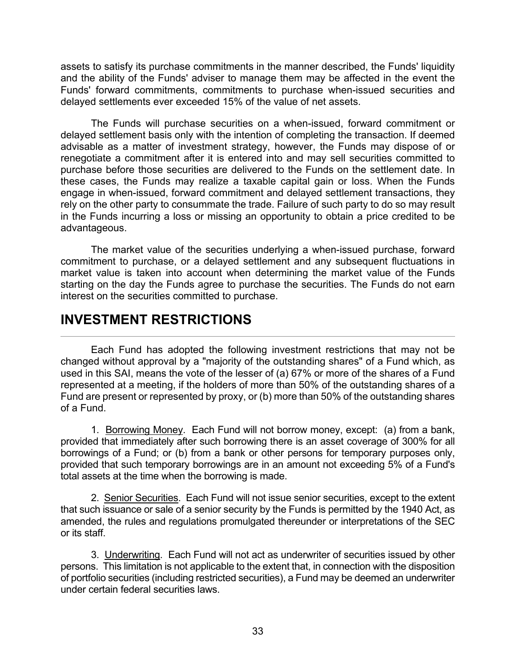assets to satisfy its purchase commitments in the manner described, the Funds' liquidity and the ability of the Funds' adviser to manage them may be affected in the event the Funds' forward commitments, commitments to purchase when-issued securities and delayed settlements ever exceeded 15% of the value of net assets.

The Funds will purchase securities on a when-issued, forward commitment or delayed settlement basis only with the intention of completing the transaction. If deemed advisable as a matter of investment strategy, however, the Funds may dispose of or renegotiate a commitment after it is entered into and may sell securities committed to purchase before those securities are delivered to the Funds on the settlement date. In these cases, the Funds may realize a taxable capital gain or loss. When the Funds engage in when-issued, forward commitment and delayed settlement transactions, they rely on the other party to consummate the trade. Failure of such party to do so may result in the Funds incurring a loss or missing an opportunity to obtain a price credited to be advantageous.

The market value of the securities underlying a when-issued purchase, forward commitment to purchase, or a delayed settlement and any subsequent fluctuations in market value is taken into account when determining the market value of the Funds starting on the day the Funds agree to purchase the securities. The Funds do not earn interest on the securities committed to purchase.

# **INVESTMENT RESTRICTIONS**

Each Fund has adopted the following investment restrictions that may not be changed without approval by a "majority of the outstanding shares" of a Fund which, as used in this SAI, means the vote of the lesser of (a) 67% or more of the shares of a Fund represented at a meeting, if the holders of more than 50% of the outstanding shares of a Fund are present or represented by proxy, or (b) more than 50% of the outstanding shares of a Fund.

1. Borrowing Money. Each Fund will not borrow money, except: (a) from a bank, provided that immediately after such borrowing there is an asset coverage of 300% for all borrowings of a Fund; or (b) from a bank or other persons for temporary purposes only, provided that such temporary borrowings are in an amount not exceeding 5% of a Fund's total assets at the time when the borrowing is made.

2. Senior Securities. Each Fund will not issue senior securities, except to the extent that such issuance or sale of a senior security by the Funds is permitted by the 1940 Act, as amended, the rules and regulations promulgated thereunder or interpretations of the SEC or its staff.

3. Underwriting. Each Fund will not act as underwriter of securities issued by other persons. This limitation is not applicable to the extent that, in connection with the disposition of portfolio securities (including restricted securities), a Fund may be deemed an underwriter under certain federal securities laws.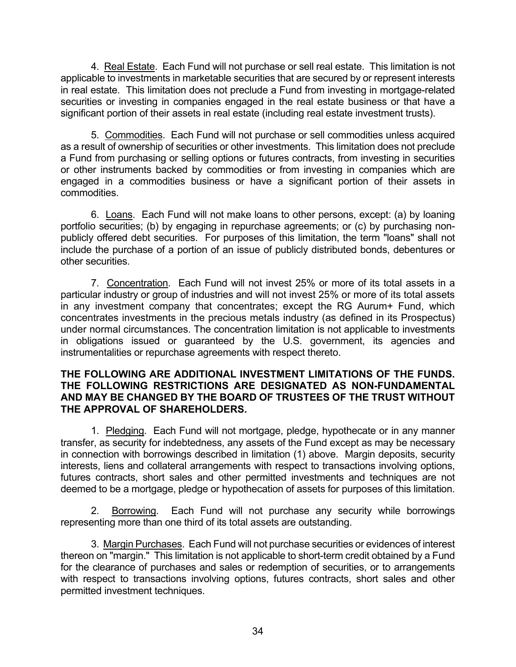4. Real Estate. Each Fund will not purchase or sell real estate. This limitation is not applicable to investments in marketable securities that are secured by or represent interests in real estate. This limitation does not preclude a Fund from investing in mortgage-related securities or investing in companies engaged in the real estate business or that have a significant portion of their assets in real estate (including real estate investment trusts).

5. Commodities. Each Fund will not purchase or sell commodities unless acquired as a result of ownership of securities or other investments. This limitation does not preclude a Fund from purchasing or selling options or futures contracts, from investing in securities or other instruments backed by commodities or from investing in companies which are engaged in a commodities business or have a significant portion of their assets in commodities.

6. Loans. Each Fund will not make loans to other persons, except: (a) by loaning portfolio securities; (b) by engaging in repurchase agreements; or (c) by purchasing nonpublicly offered debt securities. For purposes of this limitation, the term "loans" shall not include the purchase of a portion of an issue of publicly distributed bonds, debentures or other securities.

7. Concentration. Each Fund will not invest 25% or more of its total assets in a particular industry or group of industries and will not invest 25% or more of its total assets in any investment company that concentrates; except the RG Aurum+ Fund, which concentrates investments in the precious metals industry (as defined in its Prospectus) under normal circumstances. The concentration limitation is not applicable to investments in obligations issued or guaranteed by the U.S. government, its agencies and instrumentalities or repurchase agreements with respect thereto.

#### **THE FOLLOWING ARE ADDITIONAL INVESTMENT LIMITATIONS OF THE FUNDS. THE FOLLOWING RESTRICTIONS ARE DESIGNATED AS NON-FUNDAMENTAL AND MAY BE CHANGED BY THE BOARD OF TRUSTEES OF THE TRUST WITHOUT THE APPROVAL OF SHAREHOLDERS.**

1. Pledging. Each Fund will not mortgage, pledge, hypothecate or in any manner transfer, as security for indebtedness, any assets of the Fund except as may be necessary in connection with borrowings described in limitation (1) above. Margin deposits, security interests, liens and collateral arrangements with respect to transactions involving options, futures contracts, short sales and other permitted investments and techniques are not deemed to be a mortgage, pledge or hypothecation of assets for purposes of this limitation.

2. Borrowing. Each Fund will not purchase any security while borrowings representing more than one third of its total assets are outstanding.

3. Margin Purchases. Each Fund will not purchase securities or evidences of interest thereon on "margin." This limitation is not applicable to short-term credit obtained by a Fund for the clearance of purchases and sales or redemption of securities, or to arrangements with respect to transactions involving options, futures contracts, short sales and other permitted investment techniques.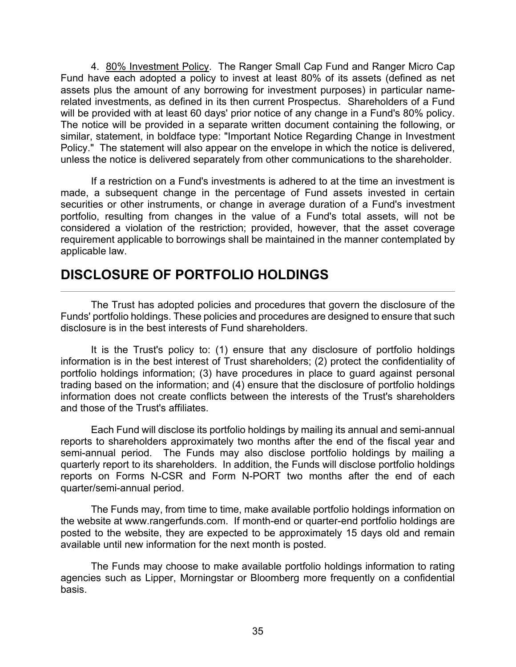4. 80% Investment Policy. The Ranger Small Cap Fund and Ranger Micro Cap Fund have each adopted a policy to invest at least 80% of its assets (defined as net assets plus the amount of any borrowing for investment purposes) in particular namerelated investments, as defined in its then current Prospectus. Shareholders of a Fund will be provided with at least 60 days' prior notice of any change in a Fund's 80% policy. The notice will be provided in a separate written document containing the following, or similar, statement, in boldface type: "Important Notice Regarding Change in Investment Policy." The statement will also appear on the envelope in which the notice is delivered, unless the notice is delivered separately from other communications to the shareholder.

If a restriction on a Fund's investments is adhered to at the time an investment is made, a subsequent change in the percentage of Fund assets invested in certain securities or other instruments, or change in average duration of a Fund's investment portfolio, resulting from changes in the value of a Fund's total assets, will not be considered a violation of the restriction; provided, however, that the asset coverage requirement applicable to borrowings shall be maintained in the manner contemplated by applicable law.

# **DISCLOSURE OF PORTFOLIO HOLDINGS**

The Trust has adopted policies and procedures that govern the disclosure of the Funds' portfolio holdings. These policies and procedures are designed to ensure that such disclosure is in the best interests of Fund shareholders.

It is the Trust's policy to: (1) ensure that any disclosure of portfolio holdings information is in the best interest of Trust shareholders; (2) protect the confidentiality of portfolio holdings information; (3) have procedures in place to guard against personal trading based on the information; and (4) ensure that the disclosure of portfolio holdings information does not create conflicts between the interests of the Trust's shareholders and those of the Trust's affiliates.

Each Fund will disclose its portfolio holdings by mailing its annual and semi-annual reports to shareholders approximately two months after the end of the fiscal year and semi-annual period. The Funds may also disclose portfolio holdings by mailing a quarterly report to its shareholders. In addition, the Funds will disclose portfolio holdings reports on Forms N-CSR and Form N-PORT two months after the end of each quarter/semi-annual period.

The Funds may, from time to time, make available portfolio holdings information on the website at www.rangerfunds.com. If month-end or quarter-end portfolio holdings are posted to the website, they are expected to be approximately 15 days old and remain available until new information for the next month is posted.

The Funds may choose to make available portfolio holdings information to rating agencies such as Lipper, Morningstar or Bloomberg more frequently on a confidential basis.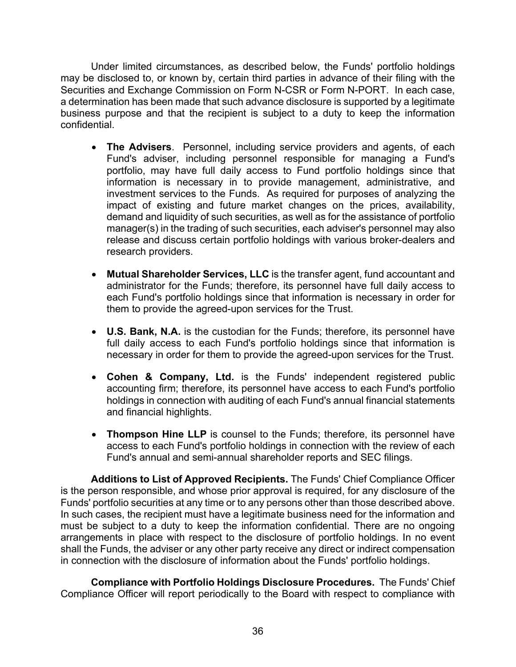Under limited circumstances, as described below, the Funds' portfolio holdings may be disclosed to, or known by, certain third parties in advance of their filing with the Securities and Exchange Commission on Form N-CSR or Form N-PORT. In each case, a determination has been made that such advance disclosure is supported by a legitimate business purpose and that the recipient is subject to a duty to keep the information confidential.

- **The Advisers**. Personnel, including service providers and agents, of each Fund's adviser, including personnel responsible for managing a Fund's portfolio, may have full daily access to Fund portfolio holdings since that information is necessary in to provide management, administrative, and investment services to the Funds. As required for purposes of analyzing the impact of existing and future market changes on the prices, availability, demand and liquidity of such securities, as well as for the assistance of portfolio manager(s) in the trading of such securities, each adviser's personnel may also release and discuss certain portfolio holdings with various broker-dealers and research providers.
- **Mutual Shareholder Services, LLC** is the transfer agent, fund accountant and administrator for the Funds; therefore, its personnel have full daily access to each Fund's portfolio holdings since that information is necessary in order for them to provide the agreed-upon services for the Trust.
- **U.S. Bank, N.A.** is the custodian for the Funds; therefore, its personnel have full daily access to each Fund's portfolio holdings since that information is necessary in order for them to provide the agreed-upon services for the Trust.
- **Cohen & Company, Ltd.** is the Funds' independent registered public accounting firm; therefore, its personnel have access to each Fund's portfolio holdings in connection with auditing of each Fund's annual financial statements and financial highlights.
- **Thompson Hine LLP** is counsel to the Funds; therefore, its personnel have access to each Fund's portfolio holdings in connection with the review of each Fund's annual and semi-annual shareholder reports and SEC filings.

**Additions to List of Approved Recipients.** The Funds' Chief Compliance Officer is the person responsible, and whose prior approval is required, for any disclosure of the Funds' portfolio securities at any time or to any persons other than those described above. In such cases, the recipient must have a legitimate business need for the information and must be subject to a duty to keep the information confidential. There are no ongoing arrangements in place with respect to the disclosure of portfolio holdings. In no event shall the Funds, the adviser or any other party receive any direct or indirect compensation in connection with the disclosure of information about the Funds' portfolio holdings.

**Compliance with Portfolio Holdings Disclosure Procedures.** The Funds' Chief Compliance Officer will report periodically to the Board with respect to compliance with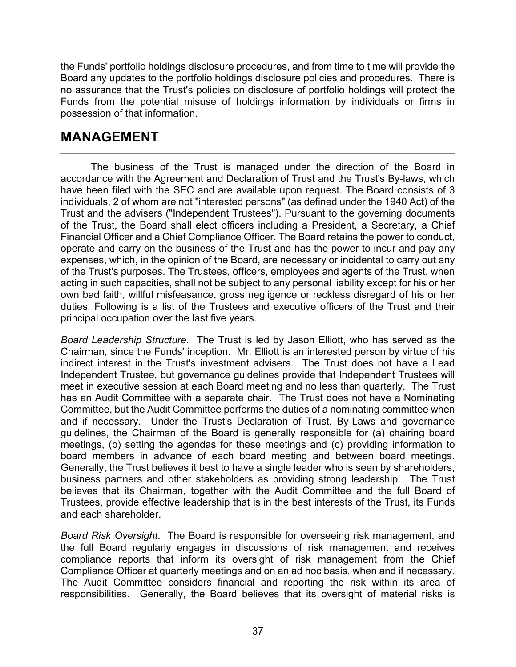the Funds' portfolio holdings disclosure procedures, and from time to time will provide the Board any updates to the portfolio holdings disclosure policies and procedures. There is no assurance that the Trust's policies on disclosure of portfolio holdings will protect the Funds from the potential misuse of holdings information by individuals or firms in possession of that information.

# **MANAGEMENT**

The business of the Trust is managed under the direction of the Board in accordance with the Agreement and Declaration of Trust and the Trust's By-laws, which have been filed with the SEC and are available upon request. The Board consists of 3 individuals, 2 of whom are not "interested persons" (as defined under the 1940 Act) of the Trust and the advisers ("Independent Trustees"). Pursuant to the governing documents of the Trust, the Board shall elect officers including a President, a Secretary, a Chief Financial Officer and a Chief Compliance Officer. The Board retains the power to conduct, operate and carry on the business of the Trust and has the power to incur and pay any expenses, which, in the opinion of the Board, are necessary or incidental to carry out any of the Trust's purposes. The Trustees, officers, employees and agents of the Trust, when acting in such capacities, shall not be subject to any personal liability except for his or her own bad faith, willful misfeasance, gross negligence or reckless disregard of his or her duties. Following is a list of the Trustees and executive officers of the Trust and their principal occupation over the last five years.

*Board Leadership Structure*. The Trust is led by Jason Elliott, who has served as the Chairman, since the Funds' inception. Mr. Elliott is an interested person by virtue of his indirect interest in the Trust's investment advisers. The Trust does not have a Lead Independent Trustee, but governance guidelines provide that Independent Trustees will meet in executive session at each Board meeting and no less than quarterly. The Trust has an Audit Committee with a separate chair. The Trust does not have a Nominating Committee, but the Audit Committee performs the duties of a nominating committee when and if necessary. Under the Trust's Declaration of Trust, By-Laws and governance guidelines, the Chairman of the Board is generally responsible for (a) chairing board meetings, (b) setting the agendas for these meetings and (c) providing information to board members in advance of each board meeting and between board meetings. Generally, the Trust believes it best to have a single leader who is seen by shareholders, business partners and other stakeholders as providing strong leadership. The Trust believes that its Chairman, together with the Audit Committee and the full Board of Trustees, provide effective leadership that is in the best interests of the Trust, its Funds and each shareholder.

*Board Risk Oversight*. The Board is responsible for overseeing risk management, and the full Board regularly engages in discussions of risk management and receives compliance reports that inform its oversight of risk management from the Chief Compliance Officer at quarterly meetings and on an ad hoc basis, when and if necessary. The Audit Committee considers financial and reporting the risk within its area of responsibilities. Generally, the Board believes that its oversight of material risks is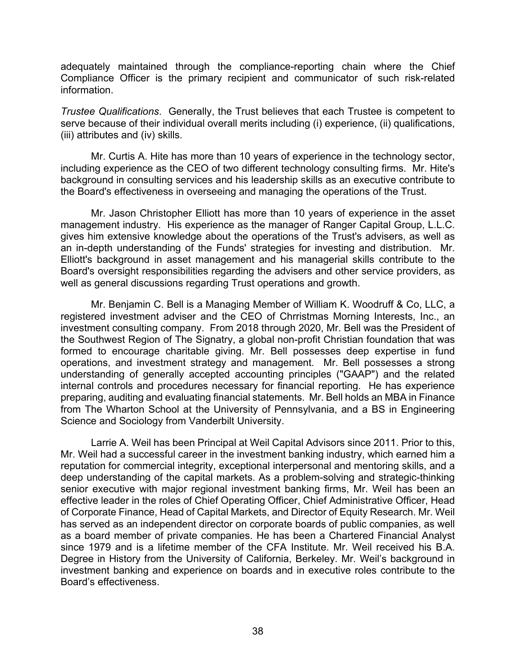adequately maintained through the compliance-reporting chain where the Chief Compliance Officer is the primary recipient and communicator of such risk-related information.

*Trustee Qualifications*. Generally, the Trust believes that each Trustee is competent to serve because of their individual overall merits including (i) experience, (ii) qualifications, (iii) attributes and (iv) skills.

Mr. Curtis A. Hite has more than 10 years of experience in the technology sector, including experience as the CEO of two different technology consulting firms. Mr. Hite's background in consulting services and his leadership skills as an executive contribute to the Board's effectiveness in overseeing and managing the operations of the Trust.

Mr. Jason Christopher Elliott has more than 10 years of experience in the asset management industry. His experience as the manager of Ranger Capital Group, L.L.C. gives him extensive knowledge about the operations of the Trust's advisers, as well as an in-depth understanding of the Funds' strategies for investing and distribution. Mr. Elliott's background in asset management and his managerial skills contribute to the Board's oversight responsibilities regarding the advisers and other service providers, as well as general discussions regarding Trust operations and growth.

Mr. Benjamin C. Bell is a Managing Member of William K. Woodruff & Co, LLC, a registered investment adviser and the CEO of Chrristmas Morning Interests, Inc., an investment consulting company. From 2018 through 2020, Mr. Bell was the President of the Southwest Region of The Signatry, a global non-profit Christian foundation that was formed to encourage charitable giving. Mr. Bell possesses deep expertise in fund operations, and investment strategy and management. Mr. Bell possesses a strong understanding of generally accepted accounting principles ("GAAP") and the related internal controls and procedures necessary for financial reporting. He has experience preparing, auditing and evaluating financial statements. Mr. Bell holds an MBA in Finance from The Wharton School at the University of Pennsylvania, and a BS in Engineering Science and Sociology from Vanderbilt University.

Larrie A. Weil has been Principal at Weil Capital Advisors since 2011. Prior to this, Mr. Weil had a successful career in the investment banking industry, which earned him a reputation for commercial integrity, exceptional interpersonal and mentoring skills, and a deep understanding of the capital markets. As a problem-solving and strategic-thinking senior executive with major regional investment banking firms, Mr. Weil has been an effective leader in the roles of Chief Operating Officer, Chief Administrative Officer, Head of Corporate Finance, Head of Capital Markets, and Director of Equity Research. Mr. Weil has served as an independent director on corporate boards of public companies, as well as a board member of private companies. He has been a Chartered Financial Analyst since 1979 and is a lifetime member of the CFA Institute. Mr. Weil received his B.A. Degree in History from the University of California, Berkeley. Mr. Weil's background in investment banking and experience on boards and in executive roles contribute to the Board's effectiveness.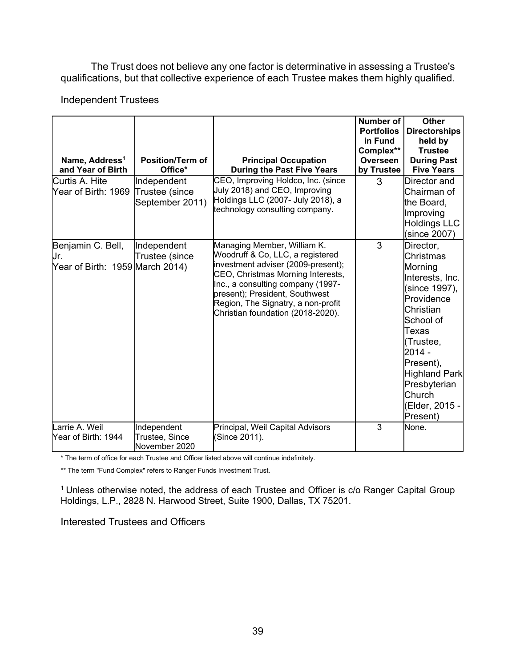The Trust does not believe any one factor is determinative in assessing a Trustee's qualifications, but that collective experience of each Trustee makes them highly qualified.

## Independent Trustees

| Name, Address <sup>1</sup><br>and Year of Birth<br>Curtis A. Hite | <b>Position/Term of</b><br>Office*<br>Independent | <b>Principal Occupation</b><br><b>During the Past Five Years</b><br>CEO, Improving Holdco, Inc. (since                                                                                                                                                                                       | Number of<br><b>Portfolios</b><br>in Fund<br>Complex**<br>Overseen<br>by Trustee<br>3 | <b>Other</b><br><b>Directorships</b><br>held by<br><b>Trustee</b><br><b>During Past</b><br><b>Five Years</b><br>Director and                                                                                                                        |
|-------------------------------------------------------------------|---------------------------------------------------|----------------------------------------------------------------------------------------------------------------------------------------------------------------------------------------------------------------------------------------------------------------------------------------------|---------------------------------------------------------------------------------------|-----------------------------------------------------------------------------------------------------------------------------------------------------------------------------------------------------------------------------------------------------|
| Year of Birth: 1969                                               | Trustee (since<br>September 2011)                 | July 2018) and CEO, Improving<br>Holdings LLC (2007- July 2018), a<br>technology consulting company.                                                                                                                                                                                         |                                                                                       | Chairman of<br>the Board,<br>Improving<br><b>Holdings LLC</b><br>(since 2007)                                                                                                                                                                       |
| Benjamin C. Bell,<br>Jr.<br>Year of Birth: 1959 March 2014)       | Independent<br>Trustee (since                     | Managing Member, William K.<br>Woodruff & Co, LLC, a registered<br>investment adviser (2009-present);<br>CEO, Christmas Morning Interests,<br>Inc., a consulting company (1997-<br>present); President, Southwest<br>Region, The Signatry, a non-profit<br>Christian foundation (2018-2020). | 3                                                                                     | Director,<br><b>Christmas</b><br>Morning<br>Interests, Inc.<br>(since 1997),<br>Providence<br>Christian<br>School of<br>Texas<br>(Trustee,<br>$2014 -$<br>Present),<br><b>Highland Park</b><br>Presbyterian<br>Church<br>(Elder, 2015 -<br>Present) |
| Larrie A. Weil<br>Year of Birth: 1944                             | Independent<br>Trustee, Since<br>November 2020    | Principal, Weil Capital Advisors<br>(Since 2011).                                                                                                                                                                                                                                            | 3                                                                                     | None.                                                                                                                                                                                                                                               |

\* The term of office for each Trustee and Officer listed above will continue indefinitely.

\*\* The term "Fund Complex" refers to Ranger Funds Investment Trust.

<sup>1</sup> Unless otherwise noted, the address of each Trustee and Officer is c/o Ranger Capital Group Holdings, L.P., 2828 N. Harwood Street, Suite 1900, Dallas, TX 75201.

Interested Trustees and Officers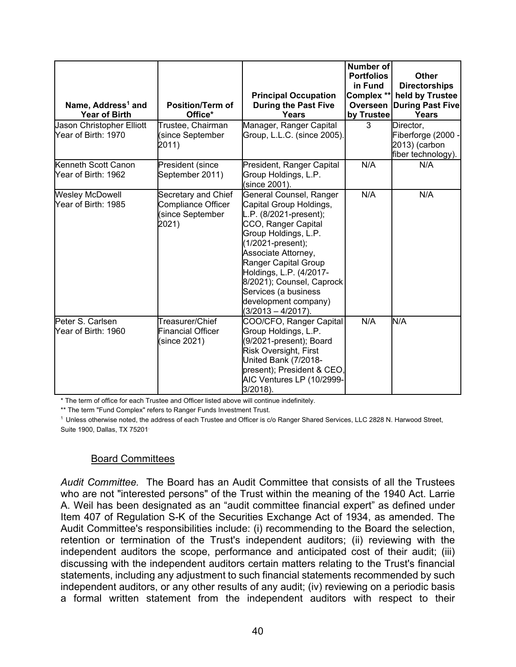| Name, Address <sup>1</sup> and<br><b>Year of Birth</b> | <b>Position/Term of</b><br>Office*                                           | <b>Principal Occupation</b><br><b>During the Past Five</b><br>Years                                                                                                                                                                                                                                                             | Number of<br><b>Portfolios</b><br>in Fund<br>Complex **<br>Overseen<br>by Trustee | Other<br><b>Directorships</b><br>held by Trustee<br><b>During Past Five</b><br>Years |
|--------------------------------------------------------|------------------------------------------------------------------------------|---------------------------------------------------------------------------------------------------------------------------------------------------------------------------------------------------------------------------------------------------------------------------------------------------------------------------------|-----------------------------------------------------------------------------------|--------------------------------------------------------------------------------------|
| Jason Christopher Elliott<br>Year of Birth: 1970       | Trustee, Chairman<br>since September<br>2011)                                | Manager, Ranger Capital<br>Group, L.L.C. (since 2005).                                                                                                                                                                                                                                                                          | 3                                                                                 | Director,<br>Fiberforge (2000<br>2013) (carbon<br>fiber technology).                 |
| Kenneth Scott Canon<br>Year of Birth: 1962             | President (since<br>September 2011)                                          | President, Ranger Capital<br>Group Holdings, L.P.<br>since 2001).                                                                                                                                                                                                                                                               | N/A                                                                               | N/A                                                                                  |
| <b>Wesley McDowell</b><br>Year of Birth: 1985          | Secretary and Chief<br><b>Compliance Officer</b><br>since September<br>2021) | General Counsel, Ranger<br>Capital Group Holdings,<br>L.P. (8/2021-present);<br>CCO, Ranger Capital<br>Group Holdings, L.P.<br>1/2021-present);<br>Associate Attorney,<br>Ranger Capital Group<br>Holdings, L.P. (4/2017-<br>8/2021); Counsel, Caprock<br>Services (a business<br>development company)<br>$(3/2013 - 4/2017)$ . | N/A                                                                               | N/A                                                                                  |
| Peter S. Carlsen<br>Year of Birth: 1960                | Treasurer/Chief<br><b>Financial Officer</b><br>since 2021)                   | COO/CFO, Ranger Capital<br>Group Holdings, L.P.<br>(9/2021-present); Board<br>Risk Oversight, First<br>United Bank (7/2018-<br>present); President & CEO,<br>AIC Ventures LP (10/2999-<br>3/2018).                                                                                                                              | N/A                                                                               | N/A                                                                                  |

\* The term of office for each Trustee and Officer listed above will continue indefinitely.

\*\* The term "Fund Complex" refers to Ranger Funds Investment Trust.

<sup>1</sup> Unless otherwise noted, the address of each Trustee and Officer is c/o Ranger Shared Services, LLC 2828 N. Harwood Street, Suite 1900, Dallas, TX 75201.

## Board Committees

*Audit Committee.* The Board has an Audit Committee that consists of all the Trustees who are not "interested persons" of the Trust within the meaning of the 1940 Act. Larrie A. Weil has been designated as an "audit committee financial expert" as defined under Item 407 of Regulation S-K of the Securities Exchange Act of 1934, as amended. The Audit Committee's responsibilities include: (i) recommending to the Board the selection, retention or termination of the Trust's independent auditors; (ii) reviewing with the independent auditors the scope, performance and anticipated cost of their audit; (iii) discussing with the independent auditors certain matters relating to the Trust's financial statements, including any adjustment to such financial statements recommended by such independent auditors, or any other results of any audit; (iv) reviewing on a periodic basis a formal written statement from the independent auditors with respect to their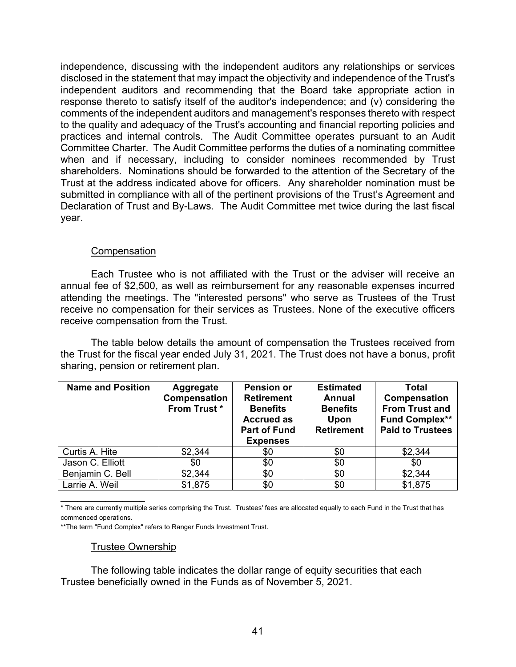independence, discussing with the independent auditors any relationships or services disclosed in the statement that may impact the objectivity and independence of the Trust's independent auditors and recommending that the Board take appropriate action in response thereto to satisfy itself of the auditor's independence; and (v) considering the comments of the independent auditors and management's responses thereto with respect to the quality and adequacy of the Trust's accounting and financial reporting policies and practices and internal controls. The Audit Committee operates pursuant to an Audit Committee Charter. The Audit Committee performs the duties of a nominating committee when and if necessary, including to consider nominees recommended by Trust shareholders. Nominations should be forwarded to the attention of the Secretary of the Trust at the address indicated above for officers. Any shareholder nomination must be submitted in compliance with all of the pertinent provisions of the Trust's Agreement and Declaration of Trust and By-Laws. The Audit Committee met twice during the last fiscal year.

## **Compensation**

Each Trustee who is not affiliated with the Trust or the adviser will receive an annual fee of \$2,500, as well as reimbursement for any reasonable expenses incurred attending the meetings. The "interested persons" who serve as Trustees of the Trust receive no compensation for their services as Trustees. None of the executive officers receive compensation from the Trust.

The table below details the amount of compensation the Trustees received from the Trust for the fiscal year ended July 31, 2021. The Trust does not have a bonus, profit sharing, pension or retirement plan.

| <b>Name and Position</b> | Aggregate<br>Compensation<br>From Trust* | <b>Pension or</b><br><b>Retirement</b><br><b>Benefits</b><br><b>Accrued as</b><br><b>Part of Fund</b><br><b>Expenses</b> | <b>Estimated</b><br><b>Annual</b><br><b>Benefits</b><br>Upon<br><b>Retirement</b> | Total<br>Compensation<br><b>From Trust and</b><br><b>Fund Complex**</b><br><b>Paid to Trustees</b> |
|--------------------------|------------------------------------------|--------------------------------------------------------------------------------------------------------------------------|-----------------------------------------------------------------------------------|----------------------------------------------------------------------------------------------------|
| Curtis A. Hite           | \$2,344                                  | \$0                                                                                                                      | \$0                                                                               | \$2,344                                                                                            |
| Jason C. Elliott         | \$0                                      | \$0                                                                                                                      | \$0                                                                               | \$0                                                                                                |
| Benjamin C. Bell         | \$2,344                                  | \$0                                                                                                                      | \$0                                                                               | \$2,344                                                                                            |
| Larrie A. Weil           | \$1,875                                  | \$0                                                                                                                      | \$0                                                                               | \$1,875                                                                                            |

\* There are currently multiple series comprising the Trust. Trustees' fees are allocated equally to each Fund in the Trust that has commenced operations.

\*\*The term "Fund Complex" refers to Ranger Funds Investment Trust.

## Trustee Ownership

 $\overline{\phantom{a}}$ 

The following table indicates the dollar range of equity securities that each Trustee beneficially owned in the Funds as of November 5, 2021.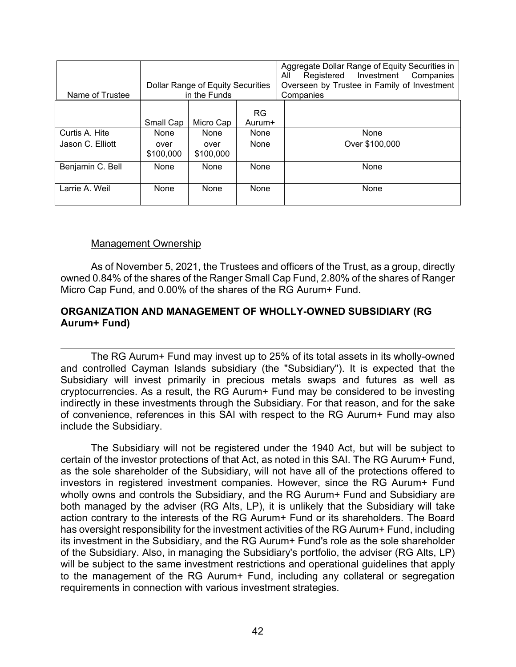| Name of Trustee  | Dollar Range of Equity Securities<br>in the Funds |                   |                     | Aggregate Dollar Range of Equity Securities in<br>Registered Investment Companies<br>ΑIΙ<br>Overseen by Trustee in Family of Investment<br>Companies |
|------------------|---------------------------------------------------|-------------------|---------------------|------------------------------------------------------------------------------------------------------------------------------------------------------|
|                  | Small Cap                                         | Micro Cap         | <b>RG</b><br>Aurum+ |                                                                                                                                                      |
| Curtis A. Hite   | None                                              | None              | None                | None                                                                                                                                                 |
| Jason C. Elliott | over<br>\$100,000                                 | over<br>\$100,000 | <b>None</b>         | Over \$100,000                                                                                                                                       |
| Benjamin C. Bell | None                                              | <b>None</b>       | None                | None                                                                                                                                                 |
| Larrie A. Weil   | None                                              | None              | None                | None                                                                                                                                                 |

### Management Ownership

As of November 5, 2021, the Trustees and officers of the Trust, as a group, directly owned 0.84% of the shares of the Ranger Small Cap Fund, 2.80% of the shares of Ranger Micro Cap Fund, and 0.00% of the shares of the RG Aurum+ Fund.

## **ORGANIZATION AND MANAGEMENT OF WHOLLY-OWNED SUBSIDIARY (RG Aurum+ Fund)**

The RG Aurum+ Fund may invest up to 25% of its total assets in its wholly-owned and controlled Cayman Islands subsidiary (the "Subsidiary"). It is expected that the Subsidiary will invest primarily in precious metals swaps and futures as well as cryptocurrencies. As a result, the RG Aurum+ Fund may be considered to be investing indirectly in these investments through the Subsidiary. For that reason, and for the sake of convenience, references in this SAI with respect to the RG Aurum+ Fund may also include the Subsidiary.

The Subsidiary will not be registered under the 1940 Act, but will be subject to certain of the investor protections of that Act, as noted in this SAI. The RG Aurum+ Fund, as the sole shareholder of the Subsidiary, will not have all of the protections offered to investors in registered investment companies. However, since the RG Aurum+ Fund wholly owns and controls the Subsidiary, and the RG Aurum+ Fund and Subsidiary are both managed by the adviser (RG Alts, LP), it is unlikely that the Subsidiary will take action contrary to the interests of the RG Aurum+ Fund or its shareholders. The Board has oversight responsibility for the investment activities of the RG Aurum+ Fund, including its investment in the Subsidiary, and the RG Aurum+ Fund's role as the sole shareholder of the Subsidiary. Also, in managing the Subsidiary's portfolio, the adviser (RG Alts, LP) will be subject to the same investment restrictions and operational guidelines that apply to the management of the RG Aurum+ Fund, including any collateral or segregation requirements in connection with various investment strategies.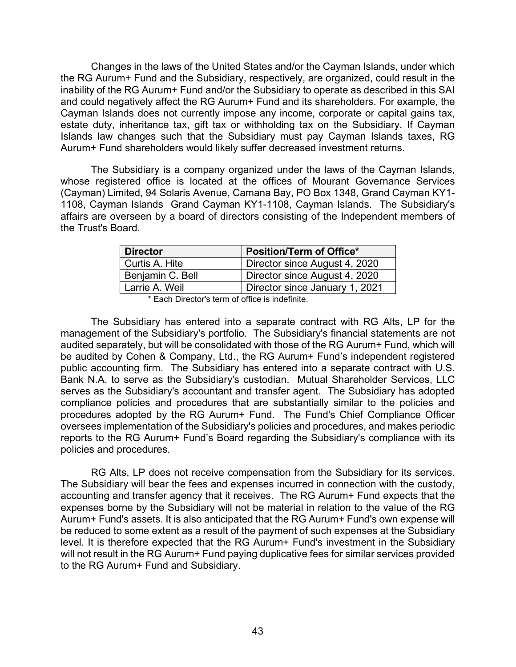Changes in the laws of the United States and/or the Cayman Islands, under which the RG Aurum+ Fund and the Subsidiary, respectively, are organized, could result in the inability of the RG Aurum+ Fund and/or the Subsidiary to operate as described in this SAI and could negatively affect the RG Aurum+ Fund and its shareholders. For example, the Cayman Islands does not currently impose any income, corporate or capital gains tax, estate duty, inheritance tax, gift tax or withholding tax on the Subsidiary. If Cayman Islands law changes such that the Subsidiary must pay Cayman Islands taxes, RG Aurum+ Fund shareholders would likely suffer decreased investment returns.

The Subsidiary is a company organized under the laws of the Cayman Islands, whose registered office is located at the offices of Mourant Governance Services (Cayman) Limited, 94 Solaris Avenue, Camana Bay, PO Box 1348, Grand Cayman KY1- 1108, Cayman Islands Grand Cayman KY1-1108, Cayman Islands. The Subsidiary's affairs are overseen by a board of directors consisting of the Independent members of the Trust's Board.

| <b>Director</b>  | <b>Position/Term of Office*</b> |  |  |
|------------------|---------------------------------|--|--|
| Curtis A. Hite   | Director since August 4, 2020   |  |  |
| Benjamin C. Bell | Director since August 4, 2020   |  |  |
| Larrie A. Weil   | Director since January 1, 2021  |  |  |

\* Each Director's term of office is indefinite.

The Subsidiary has entered into a separate contract with RG Alts, LP for the management of the Subsidiary's portfolio. The Subsidiary's financial statements are not audited separately, but will be consolidated with those of the RG Aurum+ Fund, which will be audited by Cohen & Company, Ltd., the RG Aurum+ Fund's independent registered public accounting firm. The Subsidiary has entered into a separate contract with U.S. Bank N.A. to serve as the Subsidiary's custodian. Mutual Shareholder Services, LLC serves as the Subsidiary's accountant and transfer agent. The Subsidiary has adopted compliance policies and procedures that are substantially similar to the policies and procedures adopted by the RG Aurum+ Fund. The Fund's Chief Compliance Officer oversees implementation of the Subsidiary's policies and procedures, and makes periodic reports to the RG Aurum+ Fund's Board regarding the Subsidiary's compliance with its policies and procedures.

RG Alts, LP does not receive compensation from the Subsidiary for its services. The Subsidiary will bear the fees and expenses incurred in connection with the custody, accounting and transfer agency that it receives. The RG Aurum+ Fund expects that the expenses borne by the Subsidiary will not be material in relation to the value of the RG Aurum+ Fund's assets. It is also anticipated that the RG Aurum+ Fund's own expense will be reduced to some extent as a result of the payment of such expenses at the Subsidiary level. It is therefore expected that the RG Aurum+ Fund's investment in the Subsidiary will not result in the RG Aurum+ Fund paying duplicative fees for similar services provided to the RG Aurum+ Fund and Subsidiary.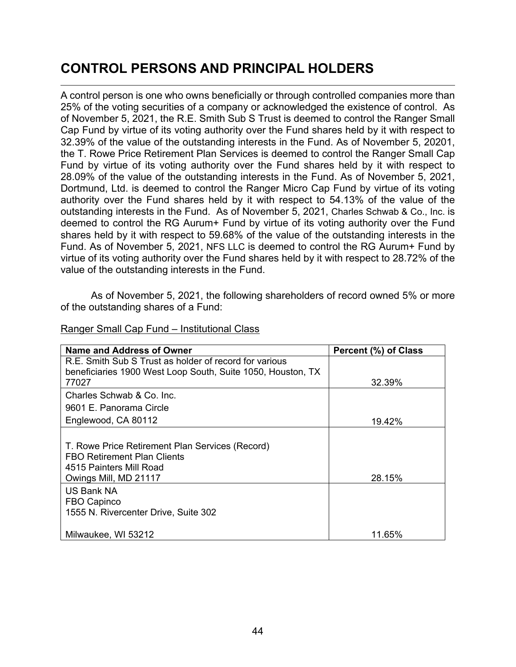# **CONTROL PERSONS AND PRINCIPAL HOLDERS**

A control person is one who owns beneficially or through controlled companies more than 25% of the voting securities of a company or acknowledged the existence of control. As of November 5, 2021, the R.E. Smith Sub S Trust is deemed to control the Ranger Small Cap Fund by virtue of its voting authority over the Fund shares held by it with respect to 32.39% of the value of the outstanding interests in the Fund. As of November 5, 20201, the T. Rowe Price Retirement Plan Services is deemed to control the Ranger Small Cap Fund by virtue of its voting authority over the Fund shares held by it with respect to 28.09% of the value of the outstanding interests in the Fund. As of November 5, 2021, Dortmund, Ltd. is deemed to control the Ranger Micro Cap Fund by virtue of its voting authority over the Fund shares held by it with respect to 54.13% of the value of the outstanding interests in the Fund. As of November 5, 2021, Charles Schwab & Co., Inc. is deemed to control the RG Aurum+ Fund by virtue of its voting authority over the Fund shares held by it with respect to 59.68% of the value of the outstanding interests in the Fund. As of November 5, 2021, NFS LLC is deemed to control the RG Aurum+ Fund by virtue of its voting authority over the Fund shares held by it with respect to 28.72% of the value of the outstanding interests in the Fund.

As of November 5, 2021, the following shareholders of record owned 5% or more of the outstanding shares of a Fund:

| Name and Address of Owner                                                                                                                 | Percent (%) of Class |
|-------------------------------------------------------------------------------------------------------------------------------------------|----------------------|
| R.E. Smith Sub S Trust as holder of record for various                                                                                    |                      |
| beneficiaries 1900 West Loop South, Suite 1050, Houston, TX                                                                               |                      |
| 77027                                                                                                                                     | 32.39%               |
| Charles Schwab & Co. Inc.                                                                                                                 |                      |
| 9601 E. Panorama Circle                                                                                                                   |                      |
| Englewood, CA 80112                                                                                                                       | 19.42%               |
| T. Rowe Price Retirement Plan Services (Record)<br><b>FBO Retirement Plan Clients</b><br>4515 Painters Mill Road<br>Owings Mill, MD 21117 | 28.15%               |
| <b>US Bank NA</b><br>FBO Capinco<br>1555 N. Rivercenter Drive, Suite 302                                                                  |                      |
| Milwaukee, WI 53212                                                                                                                       | 11.65%               |

### Ranger Small Cap Fund – Institutional Class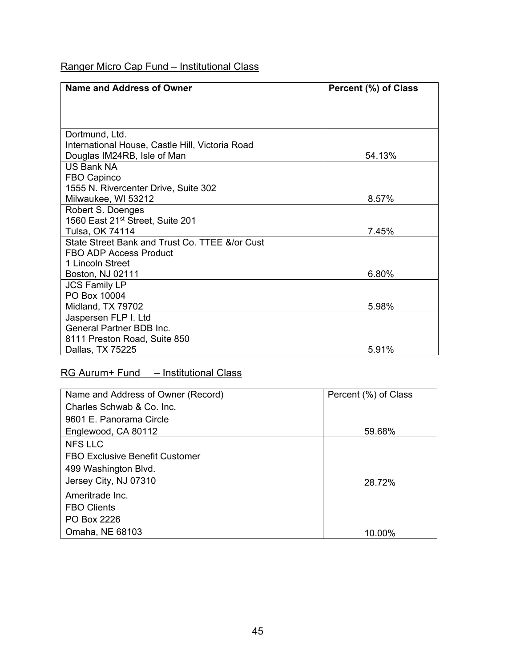## Ranger Micro Cap Fund – Institutional Class

| Name and Address of Owner                       | Percent (%) of Class |
|-------------------------------------------------|----------------------|
|                                                 |                      |
|                                                 |                      |
|                                                 |                      |
| Dortmund, Ltd.                                  |                      |
| International House, Castle Hill, Victoria Road |                      |
| Douglas IM24RB, Isle of Man                     | 54.13%               |
| <b>US Bank NA</b>                               |                      |
| FBO Capinco                                     |                      |
| 1555 N. Rivercenter Drive, Suite 302            |                      |
| Milwaukee, WI 53212                             | 8.57%                |
| Robert S. Doenges                               |                      |
| 1560 East 21 <sup>st</sup> Street, Suite 201    |                      |
| Tulsa, OK 74114                                 | 7.45%                |
| State Street Bank and Trust Co. TTEE &/or Cust  |                      |
| FBO ADP Access Product                          |                      |
| 1 Lincoln Street                                |                      |
| Boston, NJ 02111                                | 6.80%                |
| <b>JCS Family LP</b>                            |                      |
| PO Box 10004                                    |                      |
| Midland, TX 79702                               | 5.98%                |
| Jaspersen FLP I. Ltd                            |                      |
| <b>General Partner BDB Inc.</b>                 |                      |
| 8111 Preston Road, Suite 850                    |                      |
| Dallas, TX 75225                                | 5.91%                |

# RG Aurum+ Fund – Institutional Class

| Name and Address of Owner (Record) | Percent (%) of Class |
|------------------------------------|----------------------|
| Charles Schwab & Co. Inc.          |                      |
| 9601 E. Panorama Circle            |                      |
| Englewood, CA 80112                | 59.68%               |
| <b>NFS LLC</b>                     |                      |
| FBO Exclusive Benefit Customer     |                      |
| 499 Washington Blvd.               |                      |
| Jersey City, NJ 07310              | 28.72%               |
| Ameritrade Inc.                    |                      |
| <b>FBO Clients</b>                 |                      |
| PO Box 2226                        |                      |
| Omaha, NE 68103                    | 10.00%               |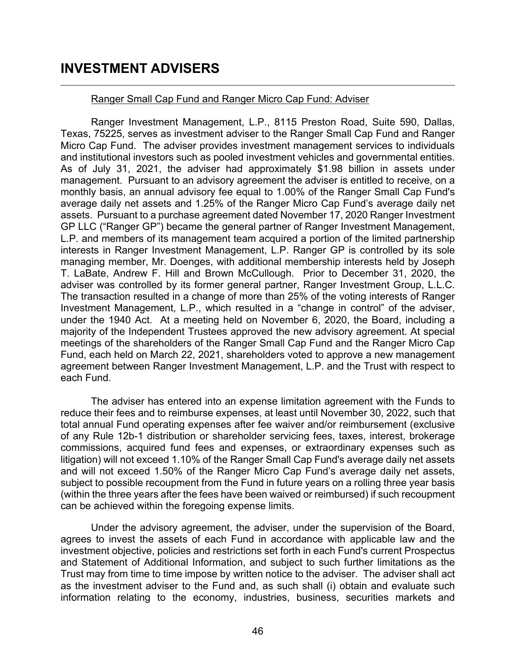# **INVESTMENT ADVISERS**

### Ranger Small Cap Fund and Ranger Micro Cap Fund: Adviser

Ranger Investment Management, L.P., 8115 Preston Road, Suite 590, Dallas, Texas, 75225, serves as investment adviser to the Ranger Small Cap Fund and Ranger Micro Cap Fund. The adviser provides investment management services to individuals and institutional investors such as pooled investment vehicles and governmental entities. As of July 31, 2021, the adviser had approximately \$1.98 billion in assets under management. Pursuant to an advisory agreement the adviser is entitled to receive, on a monthly basis, an annual advisory fee equal to 1.00% of the Ranger Small Cap Fund's average daily net assets and 1.25% of the Ranger Micro Cap Fund's average daily net assets. Pursuant to a purchase agreement dated November 17, 2020 Ranger Investment GP LLC ("Ranger GP") became the general partner of Ranger Investment Management, L.P. and members of its management team acquired a portion of the limited partnership interests in Ranger Investment Management, L.P. Ranger GP is controlled by its sole managing member, Mr. Doenges, with additional membership interests held by Joseph T. LaBate, Andrew F. Hill and Brown McCullough. Prior to December 31, 2020, the adviser was controlled by its former general partner, Ranger Investment Group, L.L.C. The transaction resulted in a change of more than 25% of the voting interests of Ranger Investment Management, L.P., which resulted in a "change in control" of the adviser, under the 1940 Act. At a meeting held on November 6, 2020, the Board, including a majority of the Independent Trustees approved the new advisory agreement. At special meetings of the shareholders of the Ranger Small Cap Fund and the Ranger Micro Cap Fund, each held on March 22, 2021, shareholders voted to approve a new management agreement between Ranger Investment Management, L.P. and the Trust with respect to each Fund.

The adviser has entered into an expense limitation agreement with the Funds to reduce their fees and to reimburse expenses, at least until November 30, 2022, such that total annual Fund operating expenses after fee waiver and/or reimbursement (exclusive of any Rule 12b-1 distribution or shareholder servicing fees, taxes, interest, brokerage commissions, acquired fund fees and expenses, or extraordinary expenses such as litigation) will not exceed 1.10% of the Ranger Small Cap Fund's average daily net assets and will not exceed 1.50% of the Ranger Micro Cap Fund's average daily net assets, subject to possible recoupment from the Fund in future years on a rolling three year basis (within the three years after the fees have been waived or reimbursed) if such recoupment can be achieved within the foregoing expense limits.

Under the advisory agreement, the adviser, under the supervision of the Board, agrees to invest the assets of each Fund in accordance with applicable law and the investment objective, policies and restrictions set forth in each Fund's current Prospectus and Statement of Additional Information, and subject to such further limitations as the Trust may from time to time impose by written notice to the adviser. The adviser shall act as the investment adviser to the Fund and, as such shall (i) obtain and evaluate such information relating to the economy, industries, business, securities markets and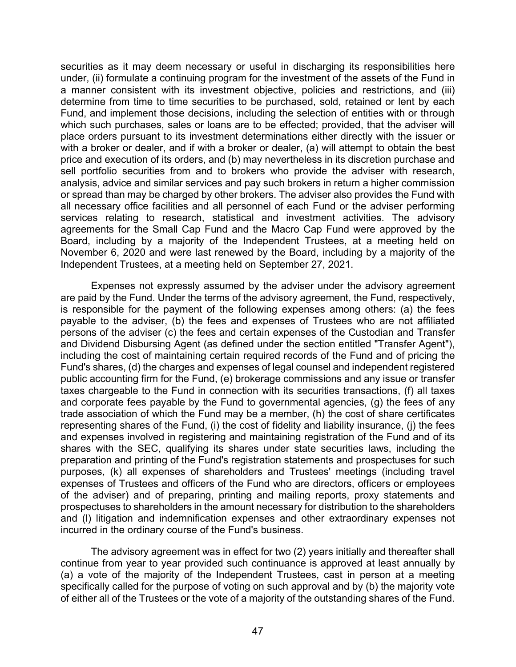securities as it may deem necessary or useful in discharging its responsibilities here under, (ii) formulate a continuing program for the investment of the assets of the Fund in a manner consistent with its investment objective, policies and restrictions, and (iii) determine from time to time securities to be purchased, sold, retained or lent by each Fund, and implement those decisions, including the selection of entities with or through which such purchases, sales or loans are to be effected; provided, that the adviser will place orders pursuant to its investment determinations either directly with the issuer or with a broker or dealer, and if with a broker or dealer, (a) will attempt to obtain the best price and execution of its orders, and (b) may nevertheless in its discretion purchase and sell portfolio securities from and to brokers who provide the adviser with research, analysis, advice and similar services and pay such brokers in return a higher commission or spread than may be charged by other brokers. The adviser also provides the Fund with all necessary office facilities and all personnel of each Fund or the adviser performing services relating to research, statistical and investment activities. The advisory agreements for the Small Cap Fund and the Macro Cap Fund were approved by the Board, including by a majority of the Independent Trustees, at a meeting held on November 6, 2020 and were last renewed by the Board, including by a majority of the Independent Trustees, at a meeting held on September 27, 2021.

Expenses not expressly assumed by the adviser under the advisory agreement are paid by the Fund. Under the terms of the advisory agreement, the Fund, respectively, is responsible for the payment of the following expenses among others: (a) the fees payable to the adviser, (b) the fees and expenses of Trustees who are not affiliated persons of the adviser (c) the fees and certain expenses of the Custodian and Transfer and Dividend Disbursing Agent (as defined under the section entitled "Transfer Agent"), including the cost of maintaining certain required records of the Fund and of pricing the Fund's shares, (d) the charges and expenses of legal counsel and independent registered public accounting firm for the Fund, (e) brokerage commissions and any issue or transfer taxes chargeable to the Fund in connection with its securities transactions, (f) all taxes and corporate fees payable by the Fund to governmental agencies, (g) the fees of any trade association of which the Fund may be a member, (h) the cost of share certificates representing shares of the Fund, (i) the cost of fidelity and liability insurance, (j) the fees and expenses involved in registering and maintaining registration of the Fund and of its shares with the SEC, qualifying its shares under state securities laws, including the preparation and printing of the Fund's registration statements and prospectuses for such purposes, (k) all expenses of shareholders and Trustees' meetings (including travel expenses of Trustees and officers of the Fund who are directors, officers or employees of the adviser) and of preparing, printing and mailing reports, proxy statements and prospectuses to shareholders in the amount necessary for distribution to the shareholders and (l) litigation and indemnification expenses and other extraordinary expenses not incurred in the ordinary course of the Fund's business.

The advisory agreement was in effect for two (2) years initially and thereafter shall continue from year to year provided such continuance is approved at least annually by (a) a vote of the majority of the Independent Trustees, cast in person at a meeting specifically called for the purpose of voting on such approval and by (b) the majority vote of either all of the Trustees or the vote of a majority of the outstanding shares of the Fund.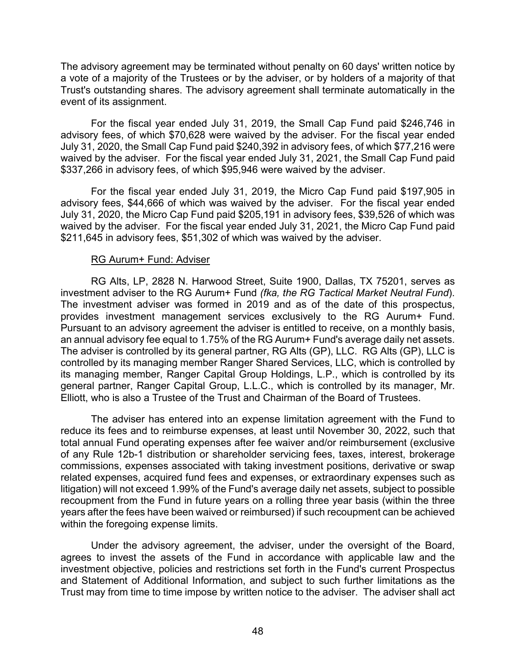The advisory agreement may be terminated without penalty on 60 days' written notice by a vote of a majority of the Trustees or by the adviser, or by holders of a majority of that Trust's outstanding shares. The advisory agreement shall terminate automatically in the event of its assignment.

For the fiscal year ended July 31, 2019, the Small Cap Fund paid \$246,746 in advisory fees, of which \$70,628 were waived by the adviser. For the fiscal year ended July 31, 2020, the Small Cap Fund paid \$240,392 in advisory fees, of which \$77,216 were waived by the adviser. For the fiscal year ended July 31, 2021, the Small Cap Fund paid \$337,266 in advisory fees, of which \$95,946 were waived by the adviser.

For the fiscal year ended July 31, 2019, the Micro Cap Fund paid \$197,905 in advisory fees, \$44,666 of which was waived by the adviser. For the fiscal year ended July 31, 2020, the Micro Cap Fund paid \$205,191 in advisory fees, \$39,526 of which was waived by the adviser. For the fiscal year ended July 31, 2021, the Micro Cap Fund paid \$211,645 in advisory fees, \$51,302 of which was waived by the adviser.

### RG Aurum+ Fund: Adviser

RG Alts, LP, 2828 N. Harwood Street, Suite 1900, Dallas, TX 75201, serves as investment adviser to the RG Aurum+ Fund *(fka, the RG Tactical Market Neutral Fund*). The investment adviser was formed in 2019 and as of the date of this prospectus, provides investment management services exclusively to the RG Aurum+ Fund. Pursuant to an advisory agreement the adviser is entitled to receive, on a monthly basis, an annual advisory fee equal to 1.75% of the RG Aurum+ Fund's average daily net assets. The adviser is controlled by its general partner, RG Alts (GP), LLC. RG Alts (GP), LLC is controlled by its managing member Ranger Shared Services, LLC, which is controlled by its managing member, Ranger Capital Group Holdings, L.P., which is controlled by its general partner, Ranger Capital Group, L.L.C., which is controlled by its manager, Mr. Elliott, who is also a Trustee of the Trust and Chairman of the Board of Trustees.

The adviser has entered into an expense limitation agreement with the Fund to reduce its fees and to reimburse expenses, at least until November 30, 2022, such that total annual Fund operating expenses after fee waiver and/or reimbursement (exclusive of any Rule 12b-1 distribution or shareholder servicing fees, taxes, interest, brokerage commissions, expenses associated with taking investment positions, derivative or swap related expenses, acquired fund fees and expenses, or extraordinary expenses such as litigation) will not exceed 1.99% of the Fund's average daily net assets, subject to possible recoupment from the Fund in future years on a rolling three year basis (within the three years after the fees have been waived or reimbursed) if such recoupment can be achieved within the foregoing expense limits.

Under the advisory agreement, the adviser, under the oversight of the Board, agrees to invest the assets of the Fund in accordance with applicable law and the investment objective, policies and restrictions set forth in the Fund's current Prospectus and Statement of Additional Information, and subject to such further limitations as the Trust may from time to time impose by written notice to the adviser. The adviser shall act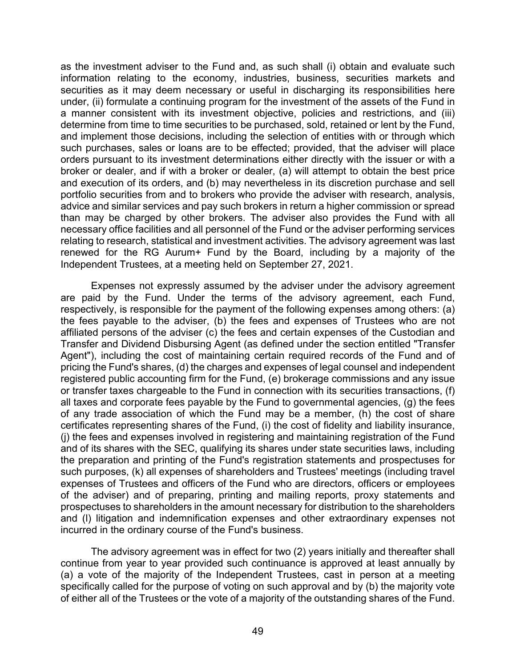as the investment adviser to the Fund and, as such shall (i) obtain and evaluate such information relating to the economy, industries, business, securities markets and securities as it may deem necessary or useful in discharging its responsibilities here under, (ii) formulate a continuing program for the investment of the assets of the Fund in a manner consistent with its investment objective, policies and restrictions, and (iii) determine from time to time securities to be purchased, sold, retained or lent by the Fund, and implement those decisions, including the selection of entities with or through which such purchases, sales or loans are to be effected; provided, that the adviser will place orders pursuant to its investment determinations either directly with the issuer or with a broker or dealer, and if with a broker or dealer, (a) will attempt to obtain the best price and execution of its orders, and (b) may nevertheless in its discretion purchase and sell portfolio securities from and to brokers who provide the adviser with research, analysis, advice and similar services and pay such brokers in return a higher commission or spread than may be charged by other brokers. The adviser also provides the Fund with all necessary office facilities and all personnel of the Fund or the adviser performing services relating to research, statistical and investment activities. The advisory agreement was last renewed for the RG Aurum+ Fund by the Board, including by a majority of the Independent Trustees, at a meeting held on September 27, 2021.

Expenses not expressly assumed by the adviser under the advisory agreement are paid by the Fund. Under the terms of the advisory agreement, each Fund, respectively, is responsible for the payment of the following expenses among others: (a) the fees payable to the adviser, (b) the fees and expenses of Trustees who are not affiliated persons of the adviser (c) the fees and certain expenses of the Custodian and Transfer and Dividend Disbursing Agent (as defined under the section entitled "Transfer Agent"), including the cost of maintaining certain required records of the Fund and of pricing the Fund's shares, (d) the charges and expenses of legal counsel and independent registered public accounting firm for the Fund, (e) brokerage commissions and any issue or transfer taxes chargeable to the Fund in connection with its securities transactions, (f) all taxes and corporate fees payable by the Fund to governmental agencies, (g) the fees of any trade association of which the Fund may be a member, (h) the cost of share certificates representing shares of the Fund, (i) the cost of fidelity and liability insurance, (j) the fees and expenses involved in registering and maintaining registration of the Fund and of its shares with the SEC, qualifying its shares under state securities laws, including the preparation and printing of the Fund's registration statements and prospectuses for such purposes, (k) all expenses of shareholders and Trustees' meetings (including travel expenses of Trustees and officers of the Fund who are directors, officers or employees of the adviser) and of preparing, printing and mailing reports, proxy statements and prospectuses to shareholders in the amount necessary for distribution to the shareholders and (l) litigation and indemnification expenses and other extraordinary expenses not incurred in the ordinary course of the Fund's business.

The advisory agreement was in effect for two (2) years initially and thereafter shall continue from year to year provided such continuance is approved at least annually by (a) a vote of the majority of the Independent Trustees, cast in person at a meeting specifically called for the purpose of voting on such approval and by (b) the majority vote of either all of the Trustees or the vote of a majority of the outstanding shares of the Fund.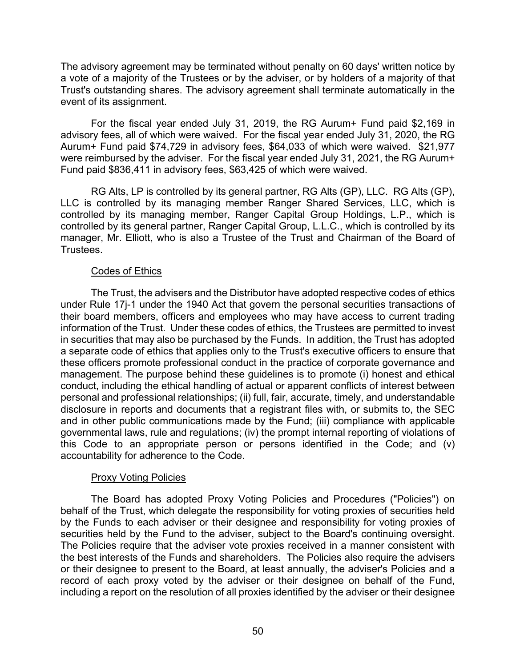The advisory agreement may be terminated without penalty on 60 days' written notice by a vote of a majority of the Trustees or by the adviser, or by holders of a majority of that Trust's outstanding shares. The advisory agreement shall terminate automatically in the event of its assignment.

For the fiscal year ended July 31, 2019, the RG Aurum+ Fund paid \$2,169 in advisory fees, all of which were waived. For the fiscal year ended July 31, 2020, the RG Aurum+ Fund paid \$74,729 in advisory fees, \$64,033 of which were waived. \$21,977 were reimbursed by the adviser. For the fiscal year ended July 31, 2021, the RG Aurum+ Fund paid \$836,411 in advisory fees, \$63,425 of which were waived.

RG Alts, LP is controlled by its general partner, RG Alts (GP), LLC. RG Alts (GP), LLC is controlled by its managing member Ranger Shared Services, LLC, which is controlled by its managing member, Ranger Capital Group Holdings, L.P., which is controlled by its general partner, Ranger Capital Group, L.L.C., which is controlled by its manager, Mr. Elliott, who is also a Trustee of the Trust and Chairman of the Board of Trustees.

## Codes of Ethics

The Trust, the advisers and the Distributor have adopted respective codes of ethics under Rule 17j-1 under the 1940 Act that govern the personal securities transactions of their board members, officers and employees who may have access to current trading information of the Trust. Under these codes of ethics, the Trustees are permitted to invest in securities that may also be purchased by the Funds. In addition, the Trust has adopted a separate code of ethics that applies only to the Trust's executive officers to ensure that these officers promote professional conduct in the practice of corporate governance and management. The purpose behind these guidelines is to promote (i) honest and ethical conduct, including the ethical handling of actual or apparent conflicts of interest between personal and professional relationships; (ii) full, fair, accurate, timely, and understandable disclosure in reports and documents that a registrant files with, or submits to, the SEC and in other public communications made by the Fund; (iii) compliance with applicable governmental laws, rule and regulations; (iv) the prompt internal reporting of violations of this Code to an appropriate person or persons identified in the Code; and (v) accountability for adherence to the Code.

## Proxy Voting Policies

The Board has adopted Proxy Voting Policies and Procedures ("Policies") on behalf of the Trust, which delegate the responsibility for voting proxies of securities held by the Funds to each adviser or their designee and responsibility for voting proxies of securities held by the Fund to the adviser, subject to the Board's continuing oversight. The Policies require that the adviser vote proxies received in a manner consistent with the best interests of the Funds and shareholders. The Policies also require the advisers or their designee to present to the Board, at least annually, the adviser's Policies and a record of each proxy voted by the adviser or their designee on behalf of the Fund, including a report on the resolution of all proxies identified by the adviser or their designee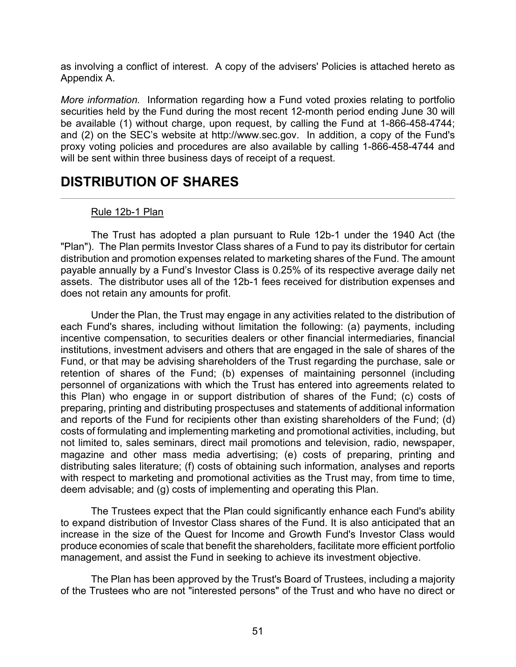as involving a conflict of interest. A copy of the advisers' Policies is attached hereto as Appendix A.

*More information.* Information regarding how a Fund voted proxies relating to portfolio securities held by the Fund during the most recent 12-month period ending June 30 will be available (1) without charge, upon request, by calling the Fund at 1-866-458-4744; and (2) on the SEC's website at http://www.sec.gov. In addition, a copy of the Fund's proxy voting policies and procedures are also available by calling 1-866-458-4744 and will be sent within three business days of receipt of a request.

# **DISTRIBUTION OF SHARES**

## Rule 12b-1 Plan

The Trust has adopted a plan pursuant to Rule 12b-1 under the 1940 Act (the "Plan"). The Plan permits Investor Class shares of a Fund to pay its distributor for certain distribution and promotion expenses related to marketing shares of the Fund. The amount payable annually by a Fund's Investor Class is 0.25% of its respective average daily net assets. The distributor uses all of the 12b-1 fees received for distribution expenses and does not retain any amounts for profit.

Under the Plan, the Trust may engage in any activities related to the distribution of each Fund's shares, including without limitation the following: (a) payments, including incentive compensation, to securities dealers or other financial intermediaries, financial institutions, investment advisers and others that are engaged in the sale of shares of the Fund, or that may be advising shareholders of the Trust regarding the purchase, sale or retention of shares of the Fund; (b) expenses of maintaining personnel (including personnel of organizations with which the Trust has entered into agreements related to this Plan) who engage in or support distribution of shares of the Fund; (c) costs of preparing, printing and distributing prospectuses and statements of additional information and reports of the Fund for recipients other than existing shareholders of the Fund; (d) costs of formulating and implementing marketing and promotional activities, including, but not limited to, sales seminars, direct mail promotions and television, radio, newspaper, magazine and other mass media advertising; (e) costs of preparing, printing and distributing sales literature; (f) costs of obtaining such information, analyses and reports with respect to marketing and promotional activities as the Trust may, from time to time, deem advisable; and (g) costs of implementing and operating this Plan.

The Trustees expect that the Plan could significantly enhance each Fund's ability to expand distribution of Investor Class shares of the Fund. It is also anticipated that an increase in the size of the Quest for Income and Growth Fund's Investor Class would produce economies of scale that benefit the shareholders, facilitate more efficient portfolio management, and assist the Fund in seeking to achieve its investment objective.

The Plan has been approved by the Trust's Board of Trustees, including a majority of the Trustees who are not "interested persons" of the Trust and who have no direct or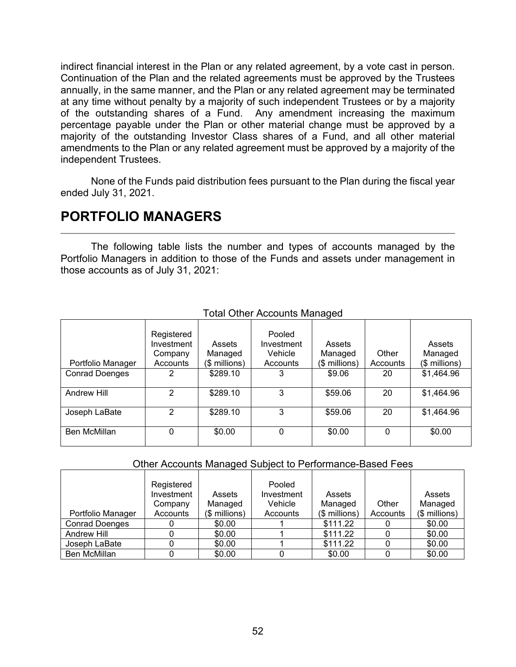indirect financial interest in the Plan or any related agreement, by a vote cast in person. Continuation of the Plan and the related agreements must be approved by the Trustees annually, in the same manner, and the Plan or any related agreement may be terminated at any time without penalty by a majority of such independent Trustees or by a majority of the outstanding shares of a Fund. Any amendment increasing the maximum percentage payable under the Plan or other material change must be approved by a majority of the outstanding Investor Class shares of a Fund, and all other material amendments to the Plan or any related agreement must be approved by a majority of the independent Trustees.

None of the Funds paid distribution fees pursuant to the Plan during the fiscal year ended July 31, 2021.

# **PORTFOLIO MANAGERS**

The following table lists the number and types of accounts managed by the Portfolio Managers in addition to those of the Funds and assets under management in those accounts as of July 31, 2021:

| <b>Total Other Accounts Managed</b> |  |
|-------------------------------------|--|
|-------------------------------------|--|

| Portfolio Manager     | Registered<br>Investment<br>Company<br>Accounts | Assets<br>Managed<br>(\$ millions) | Pooled<br>Investment<br>Vehicle<br>Accounts | Assets<br>Managed<br>(\$ millions) | Other<br>Accounts | Assets<br>Managed<br>(\$ millions) |
|-----------------------|-------------------------------------------------|------------------------------------|---------------------------------------------|------------------------------------|-------------------|------------------------------------|
| <b>Conrad Doenges</b> | 2                                               | \$289.10                           | 3                                           | \$9.06                             | 20                | \$1,464.96                         |
| Andrew Hill           | 2                                               | \$289.10                           | 3                                           | \$59.06                            | 20                | \$1,464.96                         |
| Joseph LaBate         | 2                                               | \$289.10                           | 3                                           | \$59.06                            | 20                | \$1,464.96                         |
| Ben McMillan          | 0                                               | \$0.00                             | 0                                           | \$0.00                             | 0                 | \$0.00                             |

#### Other Accounts Managed Subject to Performance-Based Fees

|                       | Registered |               | Pooled     |               |          |               |
|-----------------------|------------|---------------|------------|---------------|----------|---------------|
|                       | Investment | Assets        | Investment | Assets        |          | Assets        |
|                       | Company    | Managed       | Vehicle    | Managed       | Other    | Managed       |
| Portfolio Manager     | Accounts   | (\$ millions) | Accounts   | (\$ millions) | Accounts | (\$ millions) |
| <b>Conrad Doenges</b> |            | \$0.00        |            | \$111.22      |          | \$0.00        |
| Andrew Hill           |            | \$0.00        |            | \$111.22      |          | \$0.00        |
| Joseph LaBate         |            | \$0.00        |            | \$111.22      |          | \$0.00        |
| <b>Ben McMillan</b>   |            | \$0.00        |            | \$0.00        |          | \$0.00        |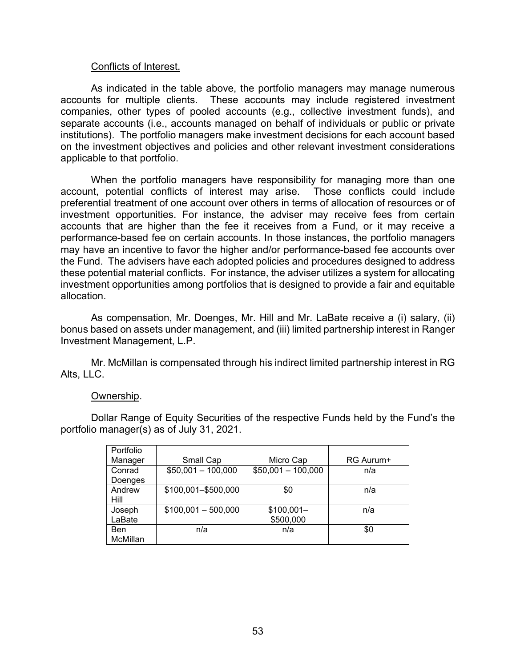#### Conflicts of Interest.

As indicated in the table above, the portfolio managers may manage numerous accounts for multiple clients. These accounts may include registered investment companies, other types of pooled accounts (e.g., collective investment funds), and separate accounts (i.e., accounts managed on behalf of individuals or public or private institutions). The portfolio managers make investment decisions for each account based on the investment objectives and policies and other relevant investment considerations applicable to that portfolio.

When the portfolio managers have responsibility for managing more than one account, potential conflicts of interest may arise. Those conflicts could include preferential treatment of one account over others in terms of allocation of resources or of investment opportunities. For instance, the adviser may receive fees from certain accounts that are higher than the fee it receives from a Fund, or it may receive a performance-based fee on certain accounts. In those instances, the portfolio managers may have an incentive to favor the higher and/or performance-based fee accounts over the Fund. The advisers have each adopted policies and procedures designed to address these potential material conflicts. For instance, the adviser utilizes a system for allocating investment opportunities among portfolios that is designed to provide a fair and equitable allocation.

As compensation, Mr. Doenges, Mr. Hill and Mr. LaBate receive a (i) salary, (ii) bonus based on assets under management, and (iii) limited partnership interest in Ranger Investment Management, L.P.

Mr. McMillan is compensated through his indirect limited partnership interest in RG Alts, LLC.

#### Ownership.

Dollar Range of Equity Securities of the respective Funds held by the Fund's the portfolio manager(s) as of July 31, 2021.

| Portfolio |                      |                     |           |
|-----------|----------------------|---------------------|-----------|
| Manager   | Small Cap            | Micro Cap           | RG Aurum+ |
| Conrad    | $$50,001 - 100,000$  | $$50,001 - 100,000$ | n/a       |
| Doenges   |                      |                     |           |
| Andrew    | \$100,001-\$500,000  | \$0                 | n/a       |
| Hill      |                      |                     |           |
| Joseph    | $$100,001 - 500,000$ | $$100,001-$         | n/a       |
| LaBate    |                      | \$500,000           |           |
| Ben       | n/a                  | n/a                 | \$0       |
| McMillan  |                      |                     |           |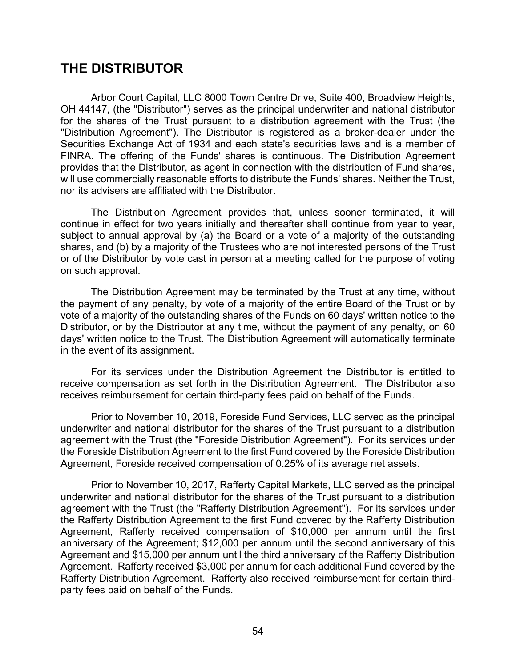# **THE DISTRIBUTOR**

Arbor Court Capital, LLC 8000 Town Centre Drive, Suite 400, Broadview Heights, OH 44147, (the "Distributor") serves as the principal underwriter and national distributor for the shares of the Trust pursuant to a distribution agreement with the Trust (the "Distribution Agreement"). The Distributor is registered as a broker-dealer under the Securities Exchange Act of 1934 and each state's securities laws and is a member of FINRA. The offering of the Funds' shares is continuous. The Distribution Agreement provides that the Distributor, as agent in connection with the distribution of Fund shares, will use commercially reasonable efforts to distribute the Funds' shares. Neither the Trust, nor its advisers are affiliated with the Distributor.

The Distribution Agreement provides that, unless sooner terminated, it will continue in effect for two years initially and thereafter shall continue from year to year, subject to annual approval by (a) the Board or a vote of a majority of the outstanding shares, and (b) by a majority of the Trustees who are not interested persons of the Trust or of the Distributor by vote cast in person at a meeting called for the purpose of voting on such approval.

The Distribution Agreement may be terminated by the Trust at any time, without the payment of any penalty, by vote of a majority of the entire Board of the Trust or by vote of a majority of the outstanding shares of the Funds on 60 days' written notice to the Distributor, or by the Distributor at any time, without the payment of any penalty, on 60 days' written notice to the Trust. The Distribution Agreement will automatically terminate in the event of its assignment.

For its services under the Distribution Agreement the Distributor is entitled to receive compensation as set forth in the Distribution Agreement. The Distributor also receives reimbursement for certain third-party fees paid on behalf of the Funds.

Prior to November 10, 2019, Foreside Fund Services, LLC served as the principal underwriter and national distributor for the shares of the Trust pursuant to a distribution agreement with the Trust (the "Foreside Distribution Agreement"). For its services under the Foreside Distribution Agreement to the first Fund covered by the Foreside Distribution Agreement, Foreside received compensation of 0.25% of its average net assets.

Prior to November 10, 2017, Rafferty Capital Markets, LLC served as the principal underwriter and national distributor for the shares of the Trust pursuant to a distribution agreement with the Trust (the "Rafferty Distribution Agreement"). For its services under the Rafferty Distribution Agreement to the first Fund covered by the Rafferty Distribution Agreement, Rafferty received compensation of \$10,000 per annum until the first anniversary of the Agreement; \$12,000 per annum until the second anniversary of this Agreement and \$15,000 per annum until the third anniversary of the Rafferty Distribution Agreement. Rafferty received \$3,000 per annum for each additional Fund covered by the Rafferty Distribution Agreement. Rafferty also received reimbursement for certain thirdparty fees paid on behalf of the Funds.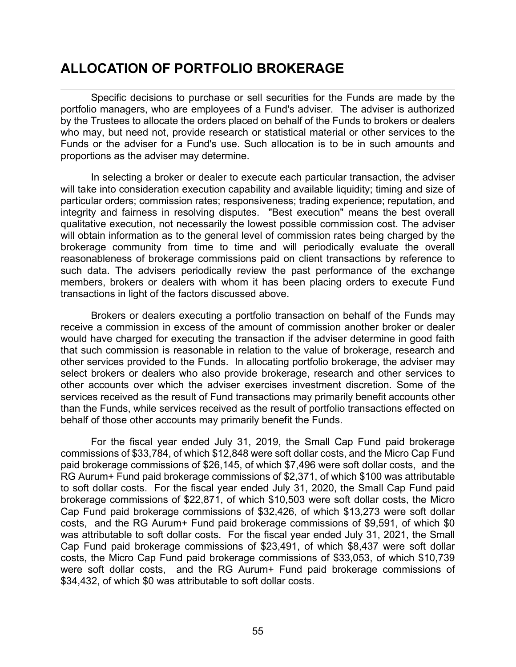# **ALLOCATION OF PORTFOLIO BROKERAGE**

Specific decisions to purchase or sell securities for the Funds are made by the portfolio managers, who are employees of a Fund's adviser. The adviser is authorized by the Trustees to allocate the orders placed on behalf of the Funds to brokers or dealers who may, but need not, provide research or statistical material or other services to the Funds or the adviser for a Fund's use. Such allocation is to be in such amounts and proportions as the adviser may determine.

In selecting a broker or dealer to execute each particular transaction, the adviser will take into consideration execution capability and available liquidity; timing and size of particular orders; commission rates; responsiveness; trading experience; reputation, and integrity and fairness in resolving disputes. "Best execution" means the best overall qualitative execution, not necessarily the lowest possible commission cost. The adviser will obtain information as to the general level of commission rates being charged by the brokerage community from time to time and will periodically evaluate the overall reasonableness of brokerage commissions paid on client transactions by reference to such data. The advisers periodically review the past performance of the exchange members, brokers or dealers with whom it has been placing orders to execute Fund transactions in light of the factors discussed above.

Brokers or dealers executing a portfolio transaction on behalf of the Funds may receive a commission in excess of the amount of commission another broker or dealer would have charged for executing the transaction if the adviser determine in good faith that such commission is reasonable in relation to the value of brokerage, research and other services provided to the Funds. In allocating portfolio brokerage, the adviser may select brokers or dealers who also provide brokerage, research and other services to other accounts over which the adviser exercises investment discretion. Some of the services received as the result of Fund transactions may primarily benefit accounts other than the Funds, while services received as the result of portfolio transactions effected on behalf of those other accounts may primarily benefit the Funds.

For the fiscal year ended July 31, 2019, the Small Cap Fund paid brokerage commissions of \$33,784, of which \$12,848 were soft dollar costs, and the Micro Cap Fund paid brokerage commissions of \$26,145, of which \$7,496 were soft dollar costs, and the RG Aurum+ Fund paid brokerage commissions of \$2,371, of which \$100 was attributable to soft dollar costs. For the fiscal year ended July 31, 2020, the Small Cap Fund paid brokerage commissions of \$22,871, of which \$10,503 were soft dollar costs, the Micro Cap Fund paid brokerage commissions of \$32,426, of which \$13,273 were soft dollar costs, and the RG Aurum+ Fund paid brokerage commissions of \$9,591, of which \$0 was attributable to soft dollar costs. For the fiscal year ended July 31, 2021, the Small Cap Fund paid brokerage commissions of \$23,491, of which \$8,437 were soft dollar costs, the Micro Cap Fund paid brokerage commissions of \$33,053, of which \$10,739 were soft dollar costs, and the RG Aurum+ Fund paid brokerage commissions of \$34,432, of which \$0 was attributable to soft dollar costs.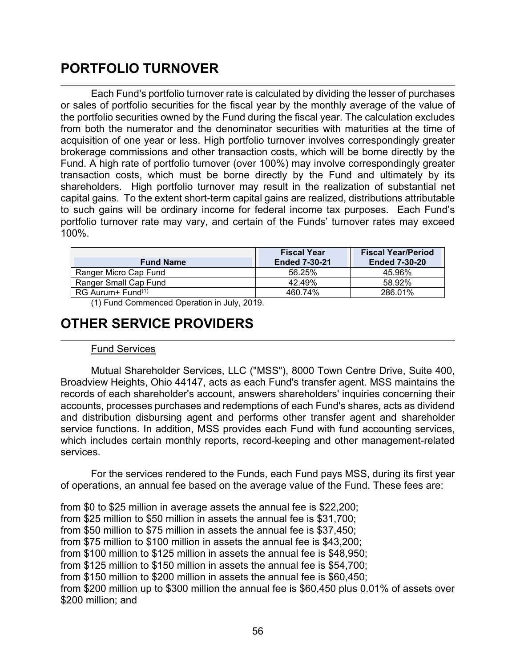# **PORTFOLIO TURNOVER**

Each Fund's portfolio turnover rate is calculated by dividing the lesser of purchases or sales of portfolio securities for the fiscal year by the monthly average of the value of the portfolio securities owned by the Fund during the fiscal year. The calculation excludes from both the numerator and the denominator securities with maturities at the time of acquisition of one year or less. High portfolio turnover involves correspondingly greater brokerage commissions and other transaction costs, which will be borne directly by the Fund. A high rate of portfolio turnover (over 100%) may involve correspondingly greater transaction costs, which must be borne directly by the Fund and ultimately by its shareholders. High portfolio turnover may result in the realization of substantial net capital gains. To the extent short-term capital gains are realized, distributions attributable to such gains will be ordinary income for federal income tax purposes. Each Fund's portfolio turnover rate may vary, and certain of the Funds' turnover rates may exceed 100%.

| <b>Fund Name</b>       | <b>Fiscal Year</b><br><b>Ended 7-30-21</b> | <b>Fiscal Year/Period</b><br><b>Ended 7-30-20</b> |
|------------------------|--------------------------------------------|---------------------------------------------------|
| Ranger Micro Cap Fund  | 56.25%                                     | 45.96%                                            |
| Ranger Small Cap Fund  | 42.49%                                     | 58.92%                                            |
| $RG$ Aurum + $Fund(1)$ | 460.74%                                    | 286.01%                                           |

(1) Fund Commenced Operation in July, 2019.

# **OTHER SERVICE PROVIDERS**

## Fund Services

Mutual Shareholder Services, LLC ("MSS"), 8000 Town Centre Drive, Suite 400, Broadview Heights, Ohio 44147, acts as each Fund's transfer agent. MSS maintains the records of each shareholder's account, answers shareholders' inquiries concerning their accounts, processes purchases and redemptions of each Fund's shares, acts as dividend and distribution disbursing agent and performs other transfer agent and shareholder service functions. In addition, MSS provides each Fund with fund accounting services, which includes certain monthly reports, record-keeping and other management-related services.

For the services rendered to the Funds, each Fund pays MSS, during its first year of operations, an annual fee based on the average value of the Fund. These fees are:

from \$0 to \$25 million in average assets the annual fee is \$22,200; from \$25 million to \$50 million in assets the annual fee is \$31,700; from \$50 million to \$75 million in assets the annual fee is \$37,450; from \$75 million to \$100 million in assets the annual fee is \$43,200; from \$100 million to \$125 million in assets the annual fee is \$48,950; from \$125 million to \$150 million in assets the annual fee is \$54,700; from \$150 million to \$200 million in assets the annual fee is \$60,450; from \$200 million up to \$300 million the annual fee is \$60,450 plus 0.01% of assets over \$200 million; and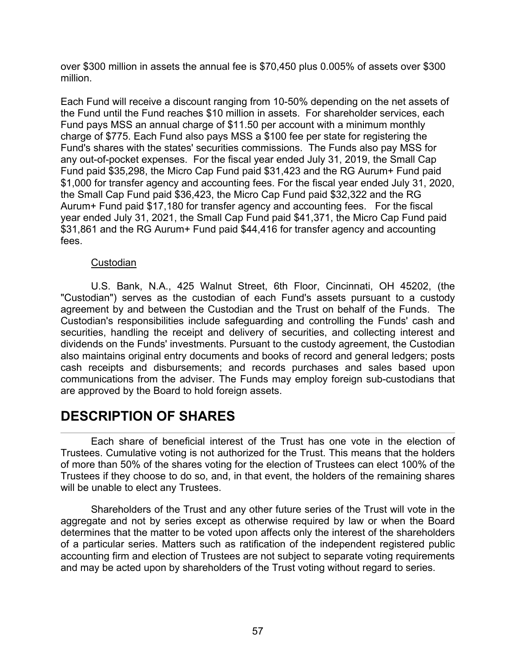over \$300 million in assets the annual fee is \$70,450 plus 0.005% of assets over \$300 million.

Each Fund will receive a discount ranging from 10-50% depending on the net assets of the Fund until the Fund reaches \$10 million in assets. For shareholder services, each Fund pays MSS an annual charge of \$11.50 per account with a minimum monthly charge of \$775. Each Fund also pays MSS a \$100 fee per state for registering the Fund's shares with the states' securities commissions. The Funds also pay MSS for any out-of-pocket expenses. For the fiscal year ended July 31, 2019, the Small Cap Fund paid \$35,298, the Micro Cap Fund paid \$31,423 and the RG Aurum+ Fund paid \$1,000 for transfer agency and accounting fees. For the fiscal year ended July 31, 2020, the Small Cap Fund paid \$36,423, the Micro Cap Fund paid \$32,322 and the RG Aurum+ Fund paid \$17,180 for transfer agency and accounting fees. For the fiscal year ended July 31, 2021, the Small Cap Fund paid \$41,371, the Micro Cap Fund paid \$31,861 and the RG Aurum+ Fund paid \$44,416 for transfer agency and accounting fees.

## **Custodian**

U.S. Bank, N.A., 425 Walnut Street, 6th Floor, Cincinnati, OH 45202, (the "Custodian") serves as the custodian of each Fund's assets pursuant to a custody agreement by and between the Custodian and the Trust on behalf of the Funds. The Custodian's responsibilities include safeguarding and controlling the Funds' cash and securities, handling the receipt and delivery of securities, and collecting interest and dividends on the Funds' investments. Pursuant to the custody agreement, the Custodian also maintains original entry documents and books of record and general ledgers; posts cash receipts and disbursements; and records purchases and sales based upon communications from the adviser. The Funds may employ foreign sub-custodians that are approved by the Board to hold foreign assets.

# **DESCRIPTION OF SHARES**

Each share of beneficial interest of the Trust has one vote in the election of Trustees. Cumulative voting is not authorized for the Trust. This means that the holders of more than 50% of the shares voting for the election of Trustees can elect 100% of the Trustees if they choose to do so, and, in that event, the holders of the remaining shares will be unable to elect any Trustees.

Shareholders of the Trust and any other future series of the Trust will vote in the aggregate and not by series except as otherwise required by law or when the Board determines that the matter to be voted upon affects only the interest of the shareholders of a particular series. Matters such as ratification of the independent registered public accounting firm and election of Trustees are not subject to separate voting requirements and may be acted upon by shareholders of the Trust voting without regard to series.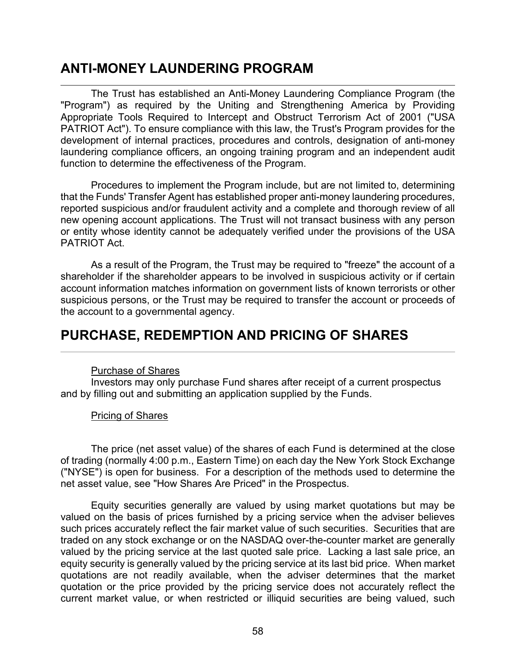# **ANTI-MONEY LAUNDERING PROGRAM**

The Trust has established an Anti-Money Laundering Compliance Program (the "Program") as required by the Uniting and Strengthening America by Providing Appropriate Tools Required to Intercept and Obstruct Terrorism Act of 2001 ("USA PATRIOT Act"). To ensure compliance with this law, the Trust's Program provides for the development of internal practices, procedures and controls, designation of anti-money laundering compliance officers, an ongoing training program and an independent audit function to determine the effectiveness of the Program.

Procedures to implement the Program include, but are not limited to, determining that the Funds' Transfer Agent has established proper anti-money laundering procedures, reported suspicious and/or fraudulent activity and a complete and thorough review of all new opening account applications. The Trust will not transact business with any person or entity whose identity cannot be adequately verified under the provisions of the USA PATRIOT Act.

As a result of the Program, the Trust may be required to "freeze" the account of a shareholder if the shareholder appears to be involved in suspicious activity or if certain account information matches information on government lists of known terrorists or other suspicious persons, or the Trust may be required to transfer the account or proceeds of the account to a governmental agency.

## **PURCHASE, REDEMPTION AND PRICING OF SHARES**

## Purchase of Shares

Investors may only purchase Fund shares after receipt of a current prospectus and by filling out and submitting an application supplied by the Funds.

## Pricing of Shares

The price (net asset value) of the shares of each Fund is determined at the close of trading (normally 4:00 p.m., Eastern Time) on each day the New York Stock Exchange ("NYSE") is open for business. For a description of the methods used to determine the net asset value, see "How Shares Are Priced" in the Prospectus.

Equity securities generally are valued by using market quotations but may be valued on the basis of prices furnished by a pricing service when the adviser believes such prices accurately reflect the fair market value of such securities. Securities that are traded on any stock exchange or on the NASDAQ over-the-counter market are generally valued by the pricing service at the last quoted sale price. Lacking a last sale price, an equity security is generally valued by the pricing service at its last bid price. When market quotations are not readily available, when the adviser determines that the market quotation or the price provided by the pricing service does not accurately reflect the current market value, or when restricted or illiquid securities are being valued, such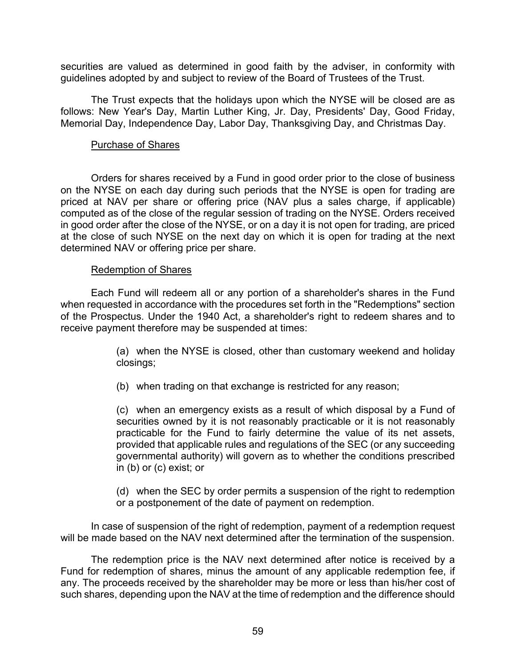securities are valued as determined in good faith by the adviser, in conformity with guidelines adopted by and subject to review of the Board of Trustees of the Trust.

The Trust expects that the holidays upon which the NYSE will be closed are as follows: New Year's Day, Martin Luther King, Jr. Day, Presidents' Day, Good Friday, Memorial Day, Independence Day, Labor Day, Thanksgiving Day, and Christmas Day.

### Purchase of Shares

Orders for shares received by a Fund in good order prior to the close of business on the NYSE on each day during such periods that the NYSE is open for trading are priced at NAV per share or offering price (NAV plus a sales charge, if applicable) computed as of the close of the regular session of trading on the NYSE. Orders received in good order after the close of the NYSE, or on a day it is not open for trading, are priced at the close of such NYSE on the next day on which it is open for trading at the next determined NAV or offering price per share.

#### Redemption of Shares

Each Fund will redeem all or any portion of a shareholder's shares in the Fund when requested in accordance with the procedures set forth in the "Redemptions" section of the Prospectus. Under the 1940 Act, a shareholder's right to redeem shares and to receive payment therefore may be suspended at times:

> (a) when the NYSE is closed, other than customary weekend and holiday closings;

(b) when trading on that exchange is restricted for any reason;

(c) when an emergency exists as a result of which disposal by a Fund of securities owned by it is not reasonably practicable or it is not reasonably practicable for the Fund to fairly determine the value of its net assets, provided that applicable rules and regulations of the SEC (or any succeeding governmental authority) will govern as to whether the conditions prescribed in (b) or (c) exist; or

(d) when the SEC by order permits a suspension of the right to redemption or a postponement of the date of payment on redemption.

In case of suspension of the right of redemption, payment of a redemption request will be made based on the NAV next determined after the termination of the suspension.

The redemption price is the NAV next determined after notice is received by a Fund for redemption of shares, minus the amount of any applicable redemption fee, if any. The proceeds received by the shareholder may be more or less than his/her cost of such shares, depending upon the NAV at the time of redemption and the difference should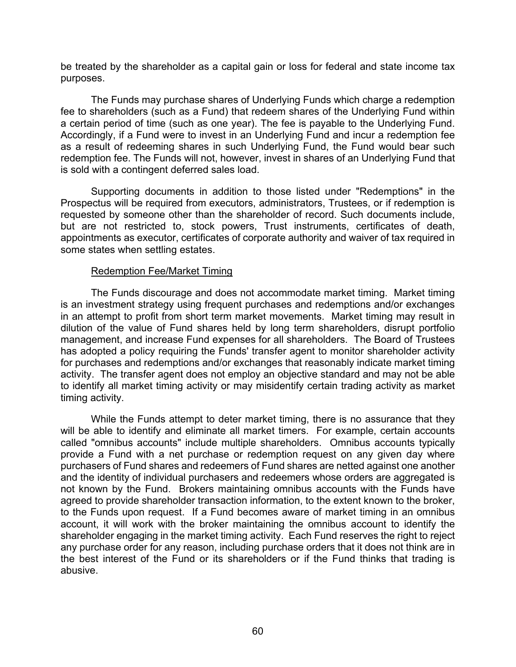be treated by the shareholder as a capital gain or loss for federal and state income tax purposes.

The Funds may purchase shares of Underlying Funds which charge a redemption fee to shareholders (such as a Fund) that redeem shares of the Underlying Fund within a certain period of time (such as one year). The fee is payable to the Underlying Fund. Accordingly, if a Fund were to invest in an Underlying Fund and incur a redemption fee as a result of redeeming shares in such Underlying Fund, the Fund would bear such redemption fee. The Funds will not, however, invest in shares of an Underlying Fund that is sold with a contingent deferred sales load.

Supporting documents in addition to those listed under "Redemptions" in the Prospectus will be required from executors, administrators, Trustees, or if redemption is requested by someone other than the shareholder of record. Such documents include, but are not restricted to, stock powers, Trust instruments, certificates of death, appointments as executor, certificates of corporate authority and waiver of tax required in some states when settling estates.

### Redemption Fee/Market Timing

The Funds discourage and does not accommodate market timing. Market timing is an investment strategy using frequent purchases and redemptions and/or exchanges in an attempt to profit from short term market movements. Market timing may result in dilution of the value of Fund shares held by long term shareholders, disrupt portfolio management, and increase Fund expenses for all shareholders. The Board of Trustees has adopted a policy requiring the Funds' transfer agent to monitor shareholder activity for purchases and redemptions and/or exchanges that reasonably indicate market timing activity. The transfer agent does not employ an objective standard and may not be able to identify all market timing activity or may misidentify certain trading activity as market timing activity.

While the Funds attempt to deter market timing, there is no assurance that they will be able to identify and eliminate all market timers. For example, certain accounts called "omnibus accounts" include multiple shareholders. Omnibus accounts typically provide a Fund with a net purchase or redemption request on any given day where purchasers of Fund shares and redeemers of Fund shares are netted against one another and the identity of individual purchasers and redeemers whose orders are aggregated is not known by the Fund. Brokers maintaining omnibus accounts with the Funds have agreed to provide shareholder transaction information, to the extent known to the broker, to the Funds upon request. If a Fund becomes aware of market timing in an omnibus account, it will work with the broker maintaining the omnibus account to identify the shareholder engaging in the market timing activity. Each Fund reserves the right to reject any purchase order for any reason, including purchase orders that it does not think are in the best interest of the Fund or its shareholders or if the Fund thinks that trading is abusive.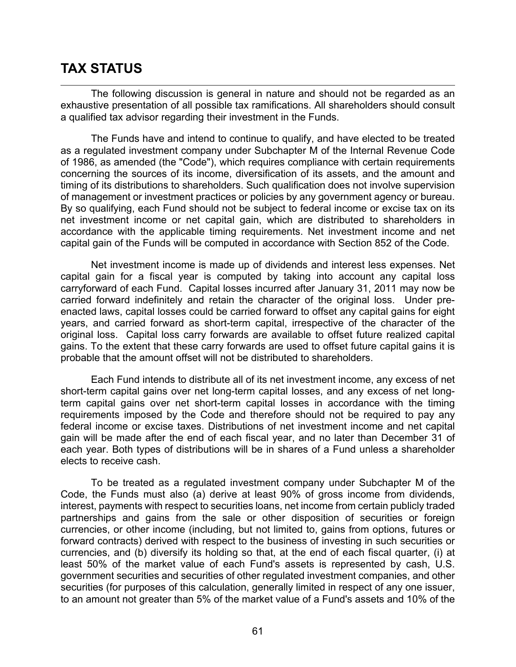# **TAX STATUS**

The following discussion is general in nature and should not be regarded as an exhaustive presentation of all possible tax ramifications. All shareholders should consult a qualified tax advisor regarding their investment in the Funds.

The Funds have and intend to continue to qualify, and have elected to be treated as a regulated investment company under Subchapter M of the Internal Revenue Code of 1986, as amended (the "Code"), which requires compliance with certain requirements concerning the sources of its income, diversification of its assets, and the amount and timing of its distributions to shareholders. Such qualification does not involve supervision of management or investment practices or policies by any government agency or bureau. By so qualifying, each Fund should not be subject to federal income or excise tax on its net investment income or net capital gain, which are distributed to shareholders in accordance with the applicable timing requirements. Net investment income and net capital gain of the Funds will be computed in accordance with Section 852 of the Code.

Net investment income is made up of dividends and interest less expenses. Net capital gain for a fiscal year is computed by taking into account any capital loss carryforward of each Fund. Capital losses incurred after January 31, 2011 may now be carried forward indefinitely and retain the character of the original loss. Under preenacted laws, capital losses could be carried forward to offset any capital gains for eight years, and carried forward as short-term capital, irrespective of the character of the original loss. Capital loss carry forwards are available to offset future realized capital gains. To the extent that these carry forwards are used to offset future capital gains it is probable that the amount offset will not be distributed to shareholders.

Each Fund intends to distribute all of its net investment income, any excess of net short-term capital gains over net long-term capital losses, and any excess of net longterm capital gains over net short-term capital losses in accordance with the timing requirements imposed by the Code and therefore should not be required to pay any federal income or excise taxes. Distributions of net investment income and net capital gain will be made after the end of each fiscal year, and no later than December 31 of each year. Both types of distributions will be in shares of a Fund unless a shareholder elects to receive cash.

To be treated as a regulated investment company under Subchapter M of the Code, the Funds must also (a) derive at least 90% of gross income from dividends, interest, payments with respect to securities loans, net income from certain publicly traded partnerships and gains from the sale or other disposition of securities or foreign currencies, or other income (including, but not limited to, gains from options, futures or forward contracts) derived with respect to the business of investing in such securities or currencies, and (b) diversify its holding so that, at the end of each fiscal quarter, (i) at least 50% of the market value of each Fund's assets is represented by cash, U.S. government securities and securities of other regulated investment companies, and other securities (for purposes of this calculation, generally limited in respect of any one issuer, to an amount not greater than 5% of the market value of a Fund's assets and 10% of the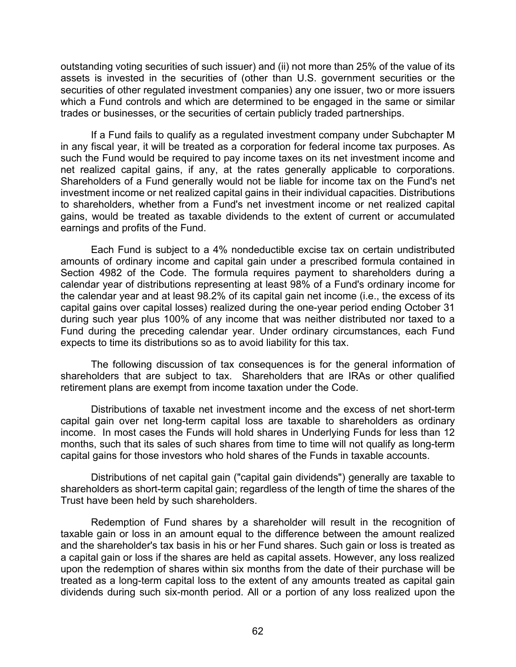outstanding voting securities of such issuer) and (ii) not more than 25% of the value of its assets is invested in the securities of (other than U.S. government securities or the securities of other regulated investment companies) any one issuer, two or more issuers which a Fund controls and which are determined to be engaged in the same or similar trades or businesses, or the securities of certain publicly traded partnerships.

If a Fund fails to qualify as a regulated investment company under Subchapter M in any fiscal year, it will be treated as a corporation for federal income tax purposes. As such the Fund would be required to pay income taxes on its net investment income and net realized capital gains, if any, at the rates generally applicable to corporations. Shareholders of a Fund generally would not be liable for income tax on the Fund's net investment income or net realized capital gains in their individual capacities. Distributions to shareholders, whether from a Fund's net investment income or net realized capital gains, would be treated as taxable dividends to the extent of current or accumulated earnings and profits of the Fund.

Each Fund is subject to a 4% nondeductible excise tax on certain undistributed amounts of ordinary income and capital gain under a prescribed formula contained in Section 4982 of the Code. The formula requires payment to shareholders during a calendar year of distributions representing at least 98% of a Fund's ordinary income for the calendar year and at least 98.2% of its capital gain net income (i.e., the excess of its capital gains over capital losses) realized during the one-year period ending October 31 during such year plus 100% of any income that was neither distributed nor taxed to a Fund during the preceding calendar year. Under ordinary circumstances, each Fund expects to time its distributions so as to avoid liability for this tax.

The following discussion of tax consequences is for the general information of shareholders that are subject to tax. Shareholders that are IRAs or other qualified retirement plans are exempt from income taxation under the Code.

Distributions of taxable net investment income and the excess of net short-term capital gain over net long-term capital loss are taxable to shareholders as ordinary income. In most cases the Funds will hold shares in Underlying Funds for less than 12 months, such that its sales of such shares from time to time will not qualify as long-term capital gains for those investors who hold shares of the Funds in taxable accounts.

Distributions of net capital gain ("capital gain dividends") generally are taxable to shareholders as short-term capital gain; regardless of the length of time the shares of the Trust have been held by such shareholders.

Redemption of Fund shares by a shareholder will result in the recognition of taxable gain or loss in an amount equal to the difference between the amount realized and the shareholder's tax basis in his or her Fund shares. Such gain or loss is treated as a capital gain or loss if the shares are held as capital assets. However, any loss realized upon the redemption of shares within six months from the date of their purchase will be treated as a long-term capital loss to the extent of any amounts treated as capital gain dividends during such six-month period. All or a portion of any loss realized upon the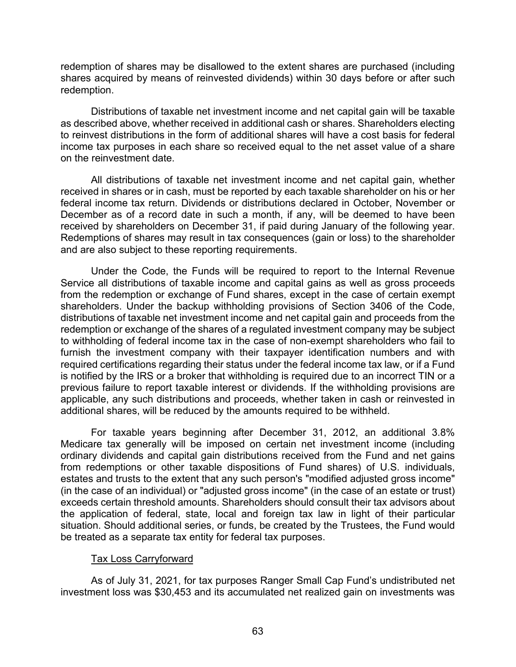redemption of shares may be disallowed to the extent shares are purchased (including shares acquired by means of reinvested dividends) within 30 days before or after such redemption.

Distributions of taxable net investment income and net capital gain will be taxable as described above, whether received in additional cash or shares. Shareholders electing to reinvest distributions in the form of additional shares will have a cost basis for federal income tax purposes in each share so received equal to the net asset value of a share on the reinvestment date.

All distributions of taxable net investment income and net capital gain, whether received in shares or in cash, must be reported by each taxable shareholder on his or her federal income tax return. Dividends or distributions declared in October, November or December as of a record date in such a month, if any, will be deemed to have been received by shareholders on December 31, if paid during January of the following year. Redemptions of shares may result in tax consequences (gain or loss) to the shareholder and are also subject to these reporting requirements.

Under the Code, the Funds will be required to report to the Internal Revenue Service all distributions of taxable income and capital gains as well as gross proceeds from the redemption or exchange of Fund shares, except in the case of certain exempt shareholders. Under the backup withholding provisions of Section 3406 of the Code, distributions of taxable net investment income and net capital gain and proceeds from the redemption or exchange of the shares of a regulated investment company may be subject to withholding of federal income tax in the case of non-exempt shareholders who fail to furnish the investment company with their taxpayer identification numbers and with required certifications regarding their status under the federal income tax law, or if a Fund is notified by the IRS or a broker that withholding is required due to an incorrect TIN or a previous failure to report taxable interest or dividends. If the withholding provisions are applicable, any such distributions and proceeds, whether taken in cash or reinvested in additional shares, will be reduced by the amounts required to be withheld.

For taxable years beginning after December 31, 2012, an additional 3.8% Medicare tax generally will be imposed on certain net investment income (including ordinary dividends and capital gain distributions received from the Fund and net gains from redemptions or other taxable dispositions of Fund shares) of U.S. individuals, estates and trusts to the extent that any such person's "modified adjusted gross income" (in the case of an individual) or "adjusted gross income" (in the case of an estate or trust) exceeds certain threshold amounts. Shareholders should consult their tax advisors about the application of federal, state, local and foreign tax law in light of their particular situation. Should additional series, or funds, be created by the Trustees, the Fund would be treated as a separate tax entity for federal tax purposes.

#### Tax Loss Carryforward

As of July 31, 2021, for tax purposes Ranger Small Cap Fund's undistributed net investment loss was \$30,453 and its accumulated net realized gain on investments was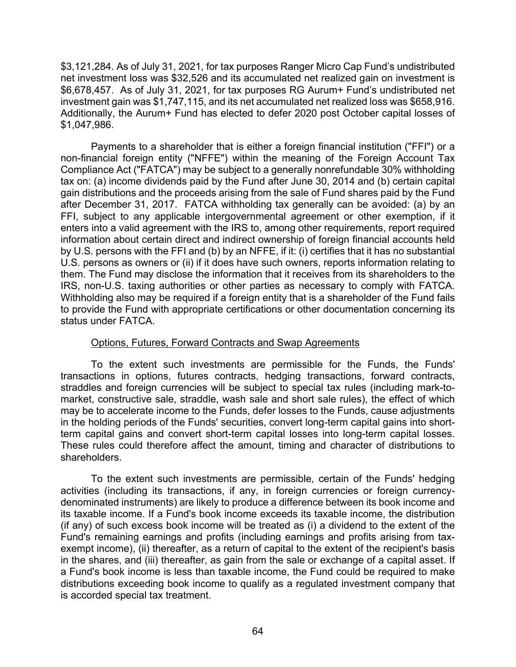\$3,121,284. As of July 31, 2021, for tax purposes Ranger Micro Cap Fund's undistributed net investment loss was \$32,526 and its accumulated net realized gain on investment is \$6,678,457. As of July 31, 2021, for tax purposes RG Aurum+ Fund's undistributed net investment gain was \$1,747,115, and its net accumulated net realized loss was \$658,916. Additionally, the Aurum+ Fund has elected to defer 2020 post October capital losses of \$1,047,986.

Payments to a shareholder that is either a foreign financial institution ("FFI") or a non-financial foreign entity ("NFFE") within the meaning of the Foreign Account Tax Compliance Act ("FATCA") may be subject to a generally nonrefundable 30% withholding tax on: (a) income dividends paid by the Fund after June 30, 2014 and (b) certain capital gain distributions and the proceeds arising from the sale of Fund shares paid by the Fund after December 31, 2017. FATCA withholding tax generally can be avoided: (a) by an FFI, subject to any applicable intergovernmental agreement or other exemption, if it enters into a valid agreement with the IRS to, among other requirements, report required information about certain direct and indirect ownership of foreign financial accounts held by U.S. persons with the FFI and (b) by an NFFE, if it: (i) certifies that it has no substantial U.S. persons as owners or (ii) if it does have such owners, reports information relating to them. The Fund may disclose the information that it receives from its shareholders to the IRS, non-U.S. taxing authorities or other parties as necessary to comply with FATCA. Withholding also may be required if a foreign entity that is a shareholder of the Fund fails to provide the Fund with appropriate certifications or other documentation concerning its status under FATCA.

## Options, Futures, Forward Contracts and Swap Agreements

To the extent such investments are permissible for the Funds, the Funds' transactions in options, futures contracts, hedging transactions, forward contracts, straddles and foreign currencies will be subject to special tax rules (including mark-tomarket, constructive sale, straddle, wash sale and short sale rules), the effect of which may be to accelerate income to the Funds, defer losses to the Funds, cause adjustments in the holding periods of the Funds' securities, convert long-term capital gains into shortterm capital gains and convert short-term capital losses into long-term capital losses. These rules could therefore affect the amount, timing and character of distributions to shareholders.

To the extent such investments are permissible, certain of the Funds' hedging activities (including its transactions, if any, in foreign currencies or foreign currencydenominated instruments) are likely to produce a difference between its book income and its taxable income. If a Fund's book income exceeds its taxable income, the distribution (if any) of such excess book income will be treated as (i) a dividend to the extent of the Fund's remaining earnings and profits (including earnings and profits arising from taxexempt income), (ii) thereafter, as a return of capital to the extent of the recipient's basis in the shares, and (iii) thereafter, as gain from the sale or exchange of a capital asset. If a Fund's book income is less than taxable income, the Fund could be required to make distributions exceeding book income to qualify as a regulated investment company that is accorded special tax treatment.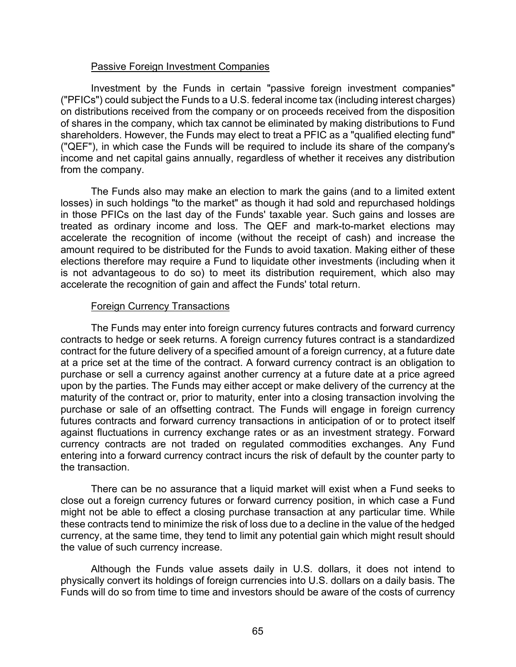### Passive Foreign Investment Companies

Investment by the Funds in certain "passive foreign investment companies" ("PFICs") could subject the Funds to a U.S. federal income tax (including interest charges) on distributions received from the company or on proceeds received from the disposition of shares in the company, which tax cannot be eliminated by making distributions to Fund shareholders. However, the Funds may elect to treat a PFIC as a "qualified electing fund" ("QEF"), in which case the Funds will be required to include its share of the company's income and net capital gains annually, regardless of whether it receives any distribution from the company.

The Funds also may make an election to mark the gains (and to a limited extent losses) in such holdings "to the market" as though it had sold and repurchased holdings in those PFICs on the last day of the Funds' taxable year. Such gains and losses are treated as ordinary income and loss. The QEF and mark-to-market elections may accelerate the recognition of income (without the receipt of cash) and increase the amount required to be distributed for the Funds to avoid taxation. Making either of these elections therefore may require a Fund to liquidate other investments (including when it is not advantageous to do so) to meet its distribution requirement, which also may accelerate the recognition of gain and affect the Funds' total return.

### Foreign Currency Transactions

The Funds may enter into foreign currency futures contracts and forward currency contracts to hedge or seek returns. A foreign currency futures contract is a standardized contract for the future delivery of a specified amount of a foreign currency, at a future date at a price set at the time of the contract. A forward currency contract is an obligation to purchase or sell a currency against another currency at a future date at a price agreed upon by the parties. The Funds may either accept or make delivery of the currency at the maturity of the contract or, prior to maturity, enter into a closing transaction involving the purchase or sale of an offsetting contract. The Funds will engage in foreign currency futures contracts and forward currency transactions in anticipation of or to protect itself against fluctuations in currency exchange rates or as an investment strategy. Forward currency contracts are not traded on regulated commodities exchanges. Any Fund entering into a forward currency contract incurs the risk of default by the counter party to the transaction.

There can be no assurance that a liquid market will exist when a Fund seeks to close out a foreign currency futures or forward currency position, in which case a Fund might not be able to effect a closing purchase transaction at any particular time. While these contracts tend to minimize the risk of loss due to a decline in the value of the hedged currency, at the same time, they tend to limit any potential gain which might result should the value of such currency increase.

Although the Funds value assets daily in U.S. dollars, it does not intend to physically convert its holdings of foreign currencies into U.S. dollars on a daily basis. The Funds will do so from time to time and investors should be aware of the costs of currency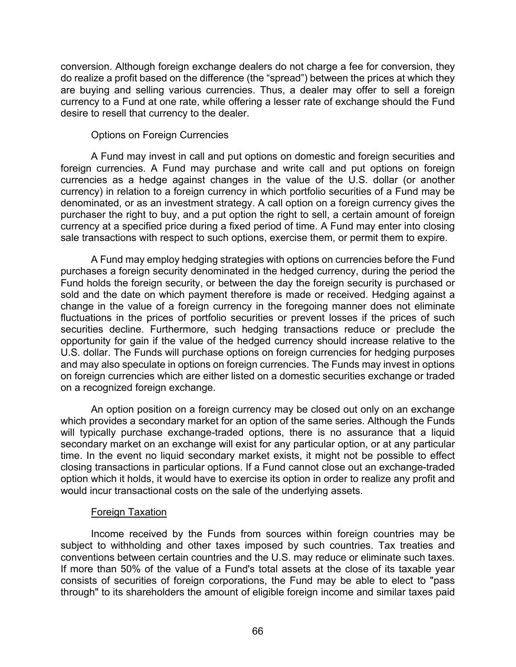conversion. Although foreign exchange dealers do not charge a fee for conversion, they do realize a profit based on the difference (the "spread") between the prices at which they are buying and selling various currencies. Thus, a dealer may offer to sell a foreign currency to a Fund at one rate, while offering a lesser rate of exchange should the Fund desire to resell that currency to the dealer.

## Options on Foreign Currencies

A Fund may invest in call and put options on domestic and foreign securities and foreign currencies. A Fund may purchase and write call and put options on foreign currencies as a hedge against changes in the value of the U.S. dollar (or another currency) in relation to a foreign currency in which portfolio securities of a Fund may be denominated, or as an investment strategy. A call option on a foreign currency gives the purchaser the right to buy, and a put option the right to sell, a certain amount of foreign currency at a specified price during a fixed period of time. A Fund may enter into closing sale transactions with respect to such options, exercise them, or permit them to expire.

A Fund may employ hedging strategies with options on currencies before the Fund purchases a foreign security denominated in the hedged currency, during the period the Fund holds the foreign security, or between the day the foreign security is purchased or sold and the date on which payment therefore is made or received. Hedging against a change in the value of a foreign currency in the foregoing manner does not eliminate fluctuations in the prices of portfolio securities or prevent losses if the prices of such securities decline. Furthermore, such hedging transactions reduce or preclude the opportunity for gain if the value of the hedged currency should increase relative to the U.S. dollar. The Funds will purchase options on foreign currencies for hedging purposes and may also speculate in options on foreign currencies. The Funds may invest in options on foreign currencies which are either listed on a domestic securities exchange or traded on a recognized foreign exchange.

An option position on a foreign currency may be closed out only on an exchange which provides a secondary market for an option of the same series. Although the Funds will typically purchase exchange-traded options, there is no assurance that a liquid secondary market on an exchange will exist for any particular option, or at any particular time. In the event no liquid secondary market exists, it might not be possible to effect closing transactions in particular options. If a Fund cannot close out an exchange-traded option which it holds, it would have to exercise its option in order to realize any profit and would incur transactional costs on the sale of the underlying assets.

## Foreign Taxation

Income received by the Funds from sources within foreign countries may be subject to withholding and other taxes imposed by such countries. Tax treaties and conventions between certain countries and the U.S. may reduce or eliminate such taxes. If more than 50% of the value of a Fund's total assets at the close of its taxable year consists of securities of foreign corporations, the Fund may be able to elect to "pass through" to its shareholders the amount of eligible foreign income and similar taxes paid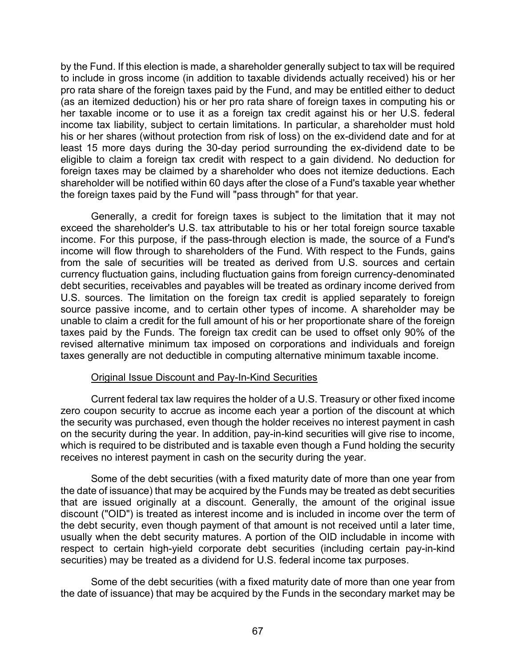by the Fund. If this election is made, a shareholder generally subject to tax will be required to include in gross income (in addition to taxable dividends actually received) his or her pro rata share of the foreign taxes paid by the Fund, and may be entitled either to deduct (as an itemized deduction) his or her pro rata share of foreign taxes in computing his or her taxable income or to use it as a foreign tax credit against his or her U.S. federal income tax liability, subject to certain limitations. In particular, a shareholder must hold his or her shares (without protection from risk of loss) on the ex-dividend date and for at least 15 more days during the 30-day period surrounding the ex-dividend date to be eligible to claim a foreign tax credit with respect to a gain dividend. No deduction for foreign taxes may be claimed by a shareholder who does not itemize deductions. Each shareholder will be notified within 60 days after the close of a Fund's taxable year whether the foreign taxes paid by the Fund will "pass through" for that year.

Generally, a credit for foreign taxes is subject to the limitation that it may not exceed the shareholder's U.S. tax attributable to his or her total foreign source taxable income. For this purpose, if the pass-through election is made, the source of a Fund's income will flow through to shareholders of the Fund. With respect to the Funds, gains from the sale of securities will be treated as derived from U.S. sources and certain currency fluctuation gains, including fluctuation gains from foreign currency-denominated debt securities, receivables and payables will be treated as ordinary income derived from U.S. sources. The limitation on the foreign tax credit is applied separately to foreign source passive income, and to certain other types of income. A shareholder may be unable to claim a credit for the full amount of his or her proportionate share of the foreign taxes paid by the Funds. The foreign tax credit can be used to offset only 90% of the revised alternative minimum tax imposed on corporations and individuals and foreign taxes generally are not deductible in computing alternative minimum taxable income.

## Original Issue Discount and Pay-In-Kind Securities

Current federal tax law requires the holder of a U.S. Treasury or other fixed income zero coupon security to accrue as income each year a portion of the discount at which the security was purchased, even though the holder receives no interest payment in cash on the security during the year. In addition, pay-in-kind securities will give rise to income, which is required to be distributed and is taxable even though a Fund holding the security receives no interest payment in cash on the security during the year.

Some of the debt securities (with a fixed maturity date of more than one year from the date of issuance) that may be acquired by the Funds may be treated as debt securities that are issued originally at a discount. Generally, the amount of the original issue discount ("OID") is treated as interest income and is included in income over the term of the debt security, even though payment of that amount is not received until a later time, usually when the debt security matures. A portion of the OID includable in income with respect to certain high-yield corporate debt securities (including certain pay-in-kind securities) may be treated as a dividend for U.S. federal income tax purposes.

Some of the debt securities (with a fixed maturity date of more than one year from the date of issuance) that may be acquired by the Funds in the secondary market may be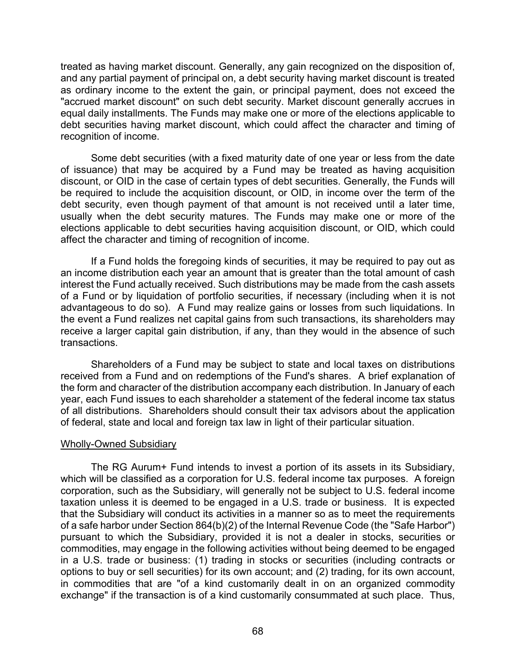treated as having market discount. Generally, any gain recognized on the disposition of, and any partial payment of principal on, a debt security having market discount is treated as ordinary income to the extent the gain, or principal payment, does not exceed the "accrued market discount" on such debt security. Market discount generally accrues in equal daily installments. The Funds may make one or more of the elections applicable to debt securities having market discount, which could affect the character and timing of recognition of income.

Some debt securities (with a fixed maturity date of one year or less from the date of issuance) that may be acquired by a Fund may be treated as having acquisition discount, or OID in the case of certain types of debt securities. Generally, the Funds will be required to include the acquisition discount, or OID, in income over the term of the debt security, even though payment of that amount is not received until a later time, usually when the debt security matures. The Funds may make one or more of the elections applicable to debt securities having acquisition discount, or OID, which could affect the character and timing of recognition of income.

If a Fund holds the foregoing kinds of securities, it may be required to pay out as an income distribution each year an amount that is greater than the total amount of cash interest the Fund actually received. Such distributions may be made from the cash assets of a Fund or by liquidation of portfolio securities, if necessary (including when it is not advantageous to do so). A Fund may realize gains or losses from such liquidations. In the event a Fund realizes net capital gains from such transactions, its shareholders may receive a larger capital gain distribution, if any, than they would in the absence of such transactions.

Shareholders of a Fund may be subject to state and local taxes on distributions received from a Fund and on redemptions of the Fund's shares. A brief explanation of the form and character of the distribution accompany each distribution. In January of each year, each Fund issues to each shareholder a statement of the federal income tax status of all distributions. Shareholders should consult their tax advisors about the application of federal, state and local and foreign tax law in light of their particular situation.

#### Wholly-Owned Subsidiary

The RG Aurum+ Fund intends to invest a portion of its assets in its Subsidiary, which will be classified as a corporation for U.S. federal income tax purposes. A foreign corporation, such as the Subsidiary, will generally not be subject to U.S. federal income taxation unless it is deemed to be engaged in a U.S. trade or business. It is expected that the Subsidiary will conduct its activities in a manner so as to meet the requirements of a safe harbor under Section 864(b)(2) of the Internal Revenue Code (the "Safe Harbor") pursuant to which the Subsidiary, provided it is not a dealer in stocks, securities or commodities, may engage in the following activities without being deemed to be engaged in a U.S. trade or business: (1) trading in stocks or securities (including contracts or options to buy or sell securities) for its own account; and (2) trading, for its own account, in commodities that are "of a kind customarily dealt in on an organized commodity exchange" if the transaction is of a kind customarily consummated at such place. Thus,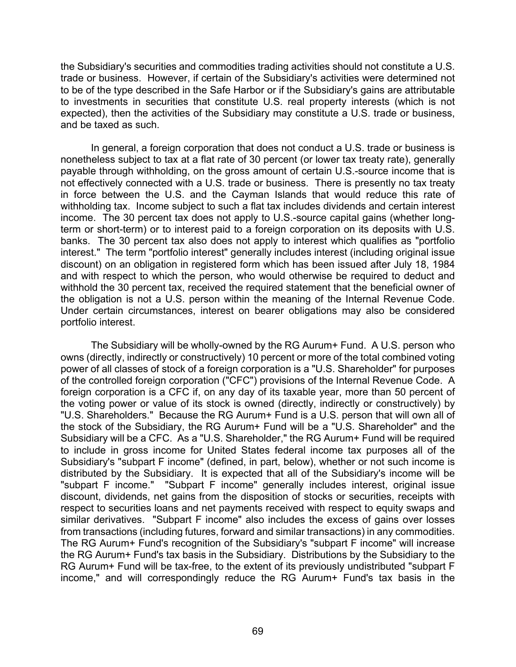the Subsidiary's securities and commodities trading activities should not constitute a U.S. trade or business. However, if certain of the Subsidiary's activities were determined not to be of the type described in the Safe Harbor or if the Subsidiary's gains are attributable to investments in securities that constitute U.S. real property interests (which is not expected), then the activities of the Subsidiary may constitute a U.S. trade or business, and be taxed as such.

In general, a foreign corporation that does not conduct a U.S. trade or business is nonetheless subject to tax at a flat rate of 30 percent (or lower tax treaty rate), generally payable through withholding, on the gross amount of certain U.S.-source income that is not effectively connected with a U.S. trade or business. There is presently no tax treaty in force between the U.S. and the Cayman Islands that would reduce this rate of withholding tax. Income subject to such a flat tax includes dividends and certain interest income. The 30 percent tax does not apply to U.S.-source capital gains (whether longterm or short-term) or to interest paid to a foreign corporation on its deposits with U.S. banks. The 30 percent tax also does not apply to interest which qualifies as "portfolio interest." The term "portfolio interest" generally includes interest (including original issue discount) on an obligation in registered form which has been issued after July 18, 1984 and with respect to which the person, who would otherwise be required to deduct and withhold the 30 percent tax, received the required statement that the beneficial owner of the obligation is not a U.S. person within the meaning of the Internal Revenue Code. Under certain circumstances, interest on bearer obligations may also be considered portfolio interest.

The Subsidiary will be wholly-owned by the RG Aurum+ Fund. A U.S. person who owns (directly, indirectly or constructively) 10 percent or more of the total combined voting power of all classes of stock of a foreign corporation is a "U.S. Shareholder" for purposes of the controlled foreign corporation ("CFC") provisions of the Internal Revenue Code. A foreign corporation is a CFC if, on any day of its taxable year, more than 50 percent of the voting power or value of its stock is owned (directly, indirectly or constructively) by "U.S. Shareholders." Because the RG Aurum+ Fund is a U.S. person that will own all of the stock of the Subsidiary, the RG Aurum+ Fund will be a "U.S. Shareholder" and the Subsidiary will be a CFC. As a "U.S. Shareholder," the RG Aurum+ Fund will be required to include in gross income for United States federal income tax purposes all of the Subsidiary's "subpart F income" (defined, in part, below), whether or not such income is distributed by the Subsidiary. It is expected that all of the Subsidiary's income will be "subpart F income." "Subpart F income" generally includes interest, original issue discount, dividends, net gains from the disposition of stocks or securities, receipts with respect to securities loans and net payments received with respect to equity swaps and similar derivatives. "Subpart F income" also includes the excess of gains over losses from transactions (including futures, forward and similar transactions) in any commodities. The RG Aurum+ Fund's recognition of the Subsidiary's "subpart F income" will increase the RG Aurum+ Fund's tax basis in the Subsidiary. Distributions by the Subsidiary to the RG Aurum+ Fund will be tax-free, to the extent of its previously undistributed "subpart F income," and will correspondingly reduce the RG Aurum+ Fund's tax basis in the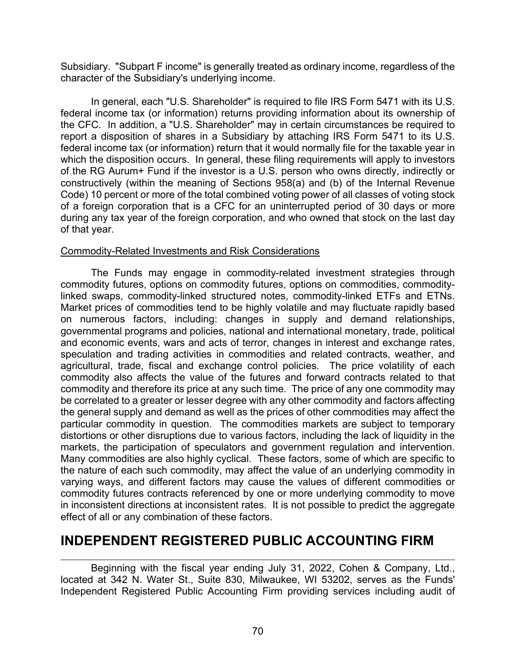Subsidiary. "Subpart F income" is generally treated as ordinary income, regardless of the character of the Subsidiary's underlying income.

In general, each "U.S. Shareholder" is required to file IRS Form 5471 with its U.S. federal income tax (or information) returns providing information about its ownership of the CFC. In addition, a "U.S. Shareholder" may in certain circumstances be required to report a disposition of shares in a Subsidiary by attaching IRS Form 5471 to its U.S. federal income tax (or information) return that it would normally file for the taxable year in which the disposition occurs. In general, these filing requirements will apply to investors of the RG Aurum+ Fund if the investor is a U.S. person who owns directly, indirectly or constructively (within the meaning of Sections 958(a) and (b) of the Internal Revenue Code) 10 percent or more of the total combined voting power of all classes of voting stock of a foreign corporation that is a CFC for an uninterrupted period of 30 days or more during any tax year of the foreign corporation, and who owned that stock on the last day of that year.

### Commodity-Related Investments and Risk Considerations

The Funds may engage in commodity-related investment strategies through commodity futures, options on commodity futures, options on commodities, commoditylinked swaps, commodity-linked structured notes, commodity-linked ETFs and ETNs. Market prices of commodities tend to be highly volatile and may fluctuate rapidly based on numerous factors, including: changes in supply and demand relationships, governmental programs and policies, national and international monetary, trade, political and economic events, wars and acts of terror, changes in interest and exchange rates, speculation and trading activities in commodities and related contracts, weather, and agricultural, trade, fiscal and exchange control policies. The price volatility of each commodity also affects the value of the futures and forward contracts related to that commodity and therefore its price at any such time. The price of any one commodity may be correlated to a greater or lesser degree with any other commodity and factors affecting the general supply and demand as well as the prices of other commodities may affect the particular commodity in question. The commodities markets are subject to temporary distortions or other disruptions due to various factors, including the lack of liquidity in the markets, the participation of speculators and government regulation and intervention. Many commodities are also highly cyclical. These factors, some of which are specific to the nature of each such commodity, may affect the value of an underlying commodity in varying ways, and different factors may cause the values of different commodities or commodity futures contracts referenced by one or more underlying commodity to move in inconsistent directions at inconsistent rates. It is not possible to predict the aggregate effect of all or any combination of these factors.

# **INDEPENDENT REGISTERED PUBLIC ACCOUNTING FIRM**

Beginning with the fiscal year ending July 31, 2022, Cohen & Company, Ltd., located at 342 N. Water St., Suite 830, Milwaukee, WI 53202, serves as the Funds' Independent Registered Public Accounting Firm providing services including audit of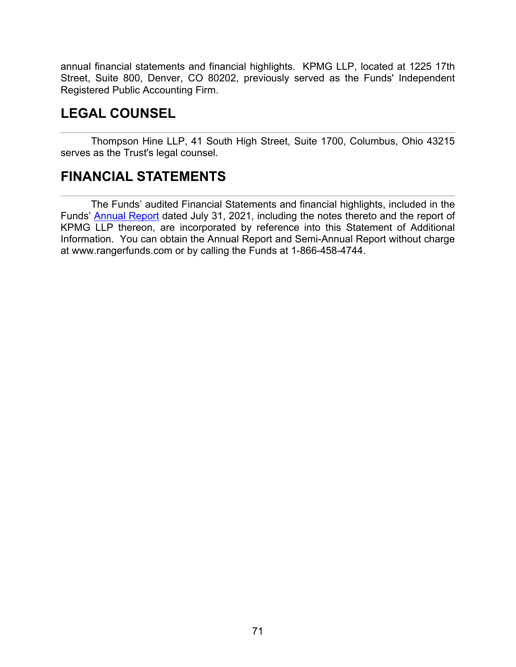annual financial statements and financial highlights. KPMG LLP, located at 1225 17th Street, Suite 800, Denver, CO 80202, previously served as the Funds' Independent Registered Public Accounting Firm.

# **LEGAL COUNSEL**

Thompson Hine LLP, 41 South High Street, Suite 1700, Columbus, Ohio 43215 serves as the Trust's legal counsel.

# **FINANCIAL STATEMENTS**

The Funds' audited Financial Statements and financial highlights, included in the Funds' [Annual](https://www.sec.gov/Archives/edgar/data/1524348/000116204421001228/rangerncsr.htm) Report dated July 31, 2021, including the notes thereto and the report of KPMG LLP thereon, are incorporated by reference into this Statement of Additional Information. You can obtain the Annual Report and Semi-Annual Report without charge at www.rangerfunds.com or by calling the Funds at 1-866-458-4744.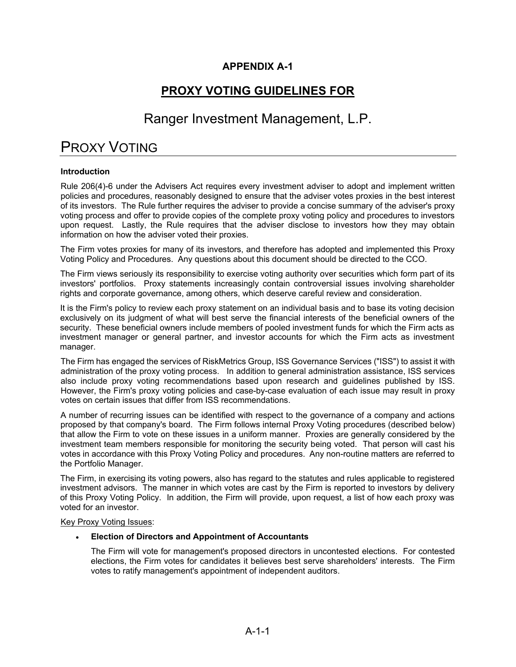### **APPENDIX A-1**

## **PROXY VOTING GUIDELINES FOR**

## Ranger Investment Management, L.P.

# PROXY VOTING

### **Introduction**

Rule 206(4)-6 under the Advisers Act requires every investment adviser to adopt and implement written policies and procedures, reasonably designed to ensure that the adviser votes proxies in the best interest of its investors. The Rule further requires the adviser to provide a concise summary of the adviser's proxy voting process and offer to provide copies of the complete proxy voting policy and procedures to investors upon request. Lastly, the Rule requires that the adviser disclose to investors how they may obtain information on how the adviser voted their proxies.

The Firm votes proxies for many of its investors, and therefore has adopted and implemented this Proxy Voting Policy and Procedures. Any questions about this document should be directed to the CCO.

The Firm views seriously its responsibility to exercise voting authority over securities which form part of its investors' portfolios. Proxy statements increasingly contain controversial issues involving shareholder rights and corporate governance, among others, which deserve careful review and consideration.

It is the Firm's policy to review each proxy statement on an individual basis and to base its voting decision exclusively on its judgment of what will best serve the financial interests of the beneficial owners of the security. These beneficial owners include members of pooled investment funds for which the Firm acts as investment manager or general partner, and investor accounts for which the Firm acts as investment manager.

The Firm has engaged the services of RiskMetrics Group, ISS Governance Services ("ISS") to assist it with administration of the proxy voting process. In addition to general administration assistance, ISS services also include proxy voting recommendations based upon research and guidelines published by ISS. However, the Firm's proxy voting policies and case-by-case evaluation of each issue may result in proxy votes on certain issues that differ from ISS recommendations.

A number of recurring issues can be identified with respect to the governance of a company and actions proposed by that company's board. The Firm follows internal Proxy Voting procedures (described below) that allow the Firm to vote on these issues in a uniform manner. Proxies are generally considered by the investment team members responsible for monitoring the security being voted. That person will cast his votes in accordance with this Proxy Voting Policy and procedures. Any non-routine matters are referred to the Portfolio Manager.

The Firm, in exercising its voting powers, also has regard to the statutes and rules applicable to registered investment advisors. The manner in which votes are cast by the Firm is reported to investors by delivery of this Proxy Voting Policy. In addition, the Firm will provide, upon request, a list of how each proxy was voted for an investor.

### Key Proxy Voting Issues:

### • **Election of Directors and Appointment of Accountants**

The Firm will vote for management's proposed directors in uncontested elections. For contested elections, the Firm votes for candidates it believes best serve shareholders' interests. The Firm votes to ratify management's appointment of independent auditors.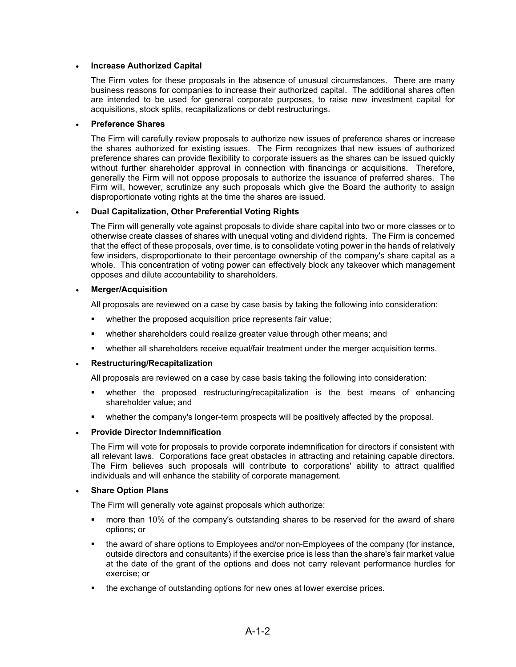### • **Increase Authorized Capital**

The Firm votes for these proposals in the absence of unusual circumstances. There are many business reasons for companies to increase their authorized capital. The additional shares often are intended to be used for general corporate purposes, to raise new investment capital for acquisitions, stock splits, recapitalizations or debt restructurings.

### • **Preference Shares**

The Firm will carefully review proposals to authorize new issues of preference shares or increase the shares authorized for existing issues. The Firm recognizes that new issues of authorized preference shares can provide flexibility to corporate issuers as the shares can be issued quickly without further shareholder approval in connection with financings or acquisitions. Therefore, generally the Firm will not oppose proposals to authorize the issuance of preferred shares. The Firm will, however, scrutinize any such proposals which give the Board the authority to assign disproportionate voting rights at the time the shares are issued.

### • **Dual Capitalization, Other Preferential Voting Rights**

The Firm will generally vote against proposals to divide share capital into two or more classes or to otherwise create classes of shares with unequal voting and dividend rights. The Firm is concerned that the effect of these proposals, over time, is to consolidate voting power in the hands of relatively few insiders, disproportionate to their percentage ownership of the company's share capital as a whole. This concentration of voting power can effectively block any takeover which management opposes and dilute accountability to shareholders.

### • **Merger/Acquisition**

All proposals are reviewed on a case by case basis by taking the following into consideration:

- **•** whether the proposed acquisition price represents fair value;
- **•** whether shareholders could realize greater value through other means; and
- whether all shareholders receive equal/fair treatment under the merger acquisition terms.

### • **Restructuring/Recapitalization**

All proposals are reviewed on a case by case basis taking the following into consideration:

- whether the proposed restructuring/recapitalization is the best means of enhancing shareholder value; and
- whether the company's longer-term prospects will be positively affected by the proposal.

### • **Provide Director Indemnification**

The Firm will vote for proposals to provide corporate indemnification for directors if consistent with all relevant laws. Corporations face great obstacles in attracting and retaining capable directors. The Firm believes such proposals will contribute to corporations' ability to attract qualified individuals and will enhance the stability of corporate management.

### • **Share Option Plans**

The Firm will generally vote against proposals which authorize:

- **number 100 and 10% of the company's outstanding shares to be reserved for the award of share** options; or
- **the award of share options to Employees and/or non-Employees of the company (for instance,** outside directors and consultants) if the exercise price is less than the share's fair market value at the date of the grant of the options and does not carry relevant performance hurdles for exercise; or
- the exchange of outstanding options for new ones at lower exercise prices.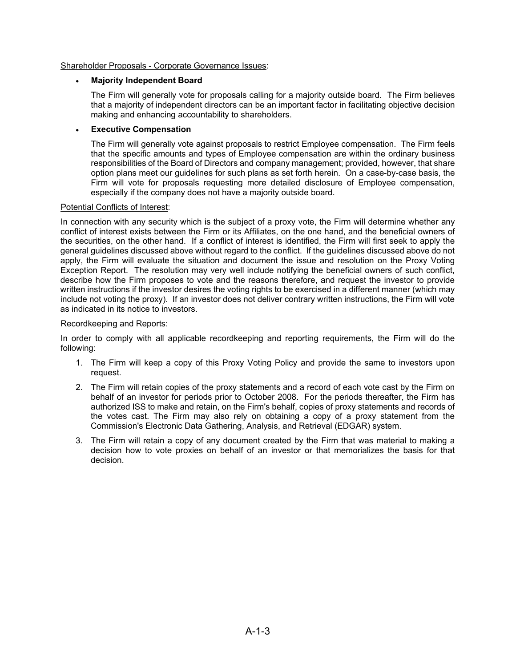### Shareholder Proposals - Corporate Governance Issues:

### • **Majority Independent Board**

The Firm will generally vote for proposals calling for a majority outside board. The Firm believes that a majority of independent directors can be an important factor in facilitating objective decision making and enhancing accountability to shareholders.

### • **Executive Compensation**

The Firm will generally vote against proposals to restrict Employee compensation. The Firm feels that the specific amounts and types of Employee compensation are within the ordinary business responsibilities of the Board of Directors and company management; provided, however, that share option plans meet our guidelines for such plans as set forth herein. On a case-by-case basis, the Firm will vote for proposals requesting more detailed disclosure of Employee compensation, especially if the company does not have a majority outside board.

### Potential Conflicts of Interest:

In connection with any security which is the subject of a proxy vote, the Firm will determine whether any conflict of interest exists between the Firm or its Affiliates, on the one hand, and the beneficial owners of the securities, on the other hand. If a conflict of interest is identified, the Firm will first seek to apply the general guidelines discussed above without regard to the conflict. If the guidelines discussed above do not apply, the Firm will evaluate the situation and document the issue and resolution on the Proxy Voting Exception Report. The resolution may very well include notifying the beneficial owners of such conflict, describe how the Firm proposes to vote and the reasons therefore, and request the investor to provide written instructions if the investor desires the voting rights to be exercised in a different manner (which may include not voting the proxy). If an investor does not deliver contrary written instructions, the Firm will vote as indicated in its notice to investors.

### Recordkeeping and Reports:

In order to comply with all applicable recordkeeping and reporting requirements, the Firm will do the following:

- 1. The Firm will keep a copy of this Proxy Voting Policy and provide the same to investors upon request.
- 2. The Firm will retain copies of the proxy statements and a record of each vote cast by the Firm on behalf of an investor for periods prior to October 2008. For the periods thereafter, the Firm has authorized ISS to make and retain, on the Firm's behalf, copies of proxy statements and records of the votes cast. The Firm may also rely on obtaining a copy of a proxy statement from the Commission's Electronic Data Gathering, Analysis, and Retrieval (EDGAR) system.
- 3. The Firm will retain a copy of any document created by the Firm that was material to making a decision how to vote proxies on behalf of an investor or that memorializes the basis for that decision.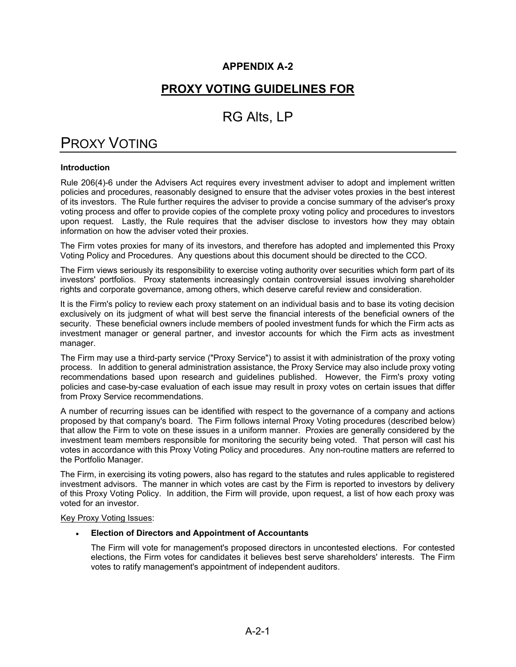### **APPENDIX A-2**

## **PROXY VOTING GUIDELINES FOR**

## RG Alts, LP

# PROXY VOTING

### **Introduction**

Rule 206(4)-6 under the Advisers Act requires every investment adviser to adopt and implement written policies and procedures, reasonably designed to ensure that the adviser votes proxies in the best interest of its investors. The Rule further requires the adviser to provide a concise summary of the adviser's proxy voting process and offer to provide copies of the complete proxy voting policy and procedures to investors upon request. Lastly, the Rule requires that the adviser disclose to investors how they may obtain information on how the adviser voted their proxies.

The Firm votes proxies for many of its investors, and therefore has adopted and implemented this Proxy Voting Policy and Procedures. Any questions about this document should be directed to the CCO.

The Firm views seriously its responsibility to exercise voting authority over securities which form part of its investors' portfolios. Proxy statements increasingly contain controversial issues involving shareholder rights and corporate governance, among others, which deserve careful review and consideration.

It is the Firm's policy to review each proxy statement on an individual basis and to base its voting decision exclusively on its judgment of what will best serve the financial interests of the beneficial owners of the security. These beneficial owners include members of pooled investment funds for which the Firm acts as investment manager or general partner, and investor accounts for which the Firm acts as investment manager.

The Firm may use a third-party service ("Proxy Service") to assist it with administration of the proxy voting process. In addition to general administration assistance, the Proxy Service may also include proxy voting recommendations based upon research and guidelines published. However, the Firm's proxy voting policies and case-by-case evaluation of each issue may result in proxy votes on certain issues that differ from Proxy Service recommendations.

A number of recurring issues can be identified with respect to the governance of a company and actions proposed by that company's board. The Firm follows internal Proxy Voting procedures (described below) that allow the Firm to vote on these issues in a uniform manner. Proxies are generally considered by the investment team members responsible for monitoring the security being voted. That person will cast his votes in accordance with this Proxy Voting Policy and procedures. Any non-routine matters are referred to the Portfolio Manager.

The Firm, in exercising its voting powers, also has regard to the statutes and rules applicable to registered investment advisors. The manner in which votes are cast by the Firm is reported to investors by delivery of this Proxy Voting Policy. In addition, the Firm will provide, upon request, a list of how each proxy was voted for an investor.

### Key Proxy Voting Issues:

### • **Election of Directors and Appointment of Accountants**

The Firm will vote for management's proposed directors in uncontested elections. For contested elections, the Firm votes for candidates it believes best serve shareholders' interests. The Firm votes to ratify management's appointment of independent auditors.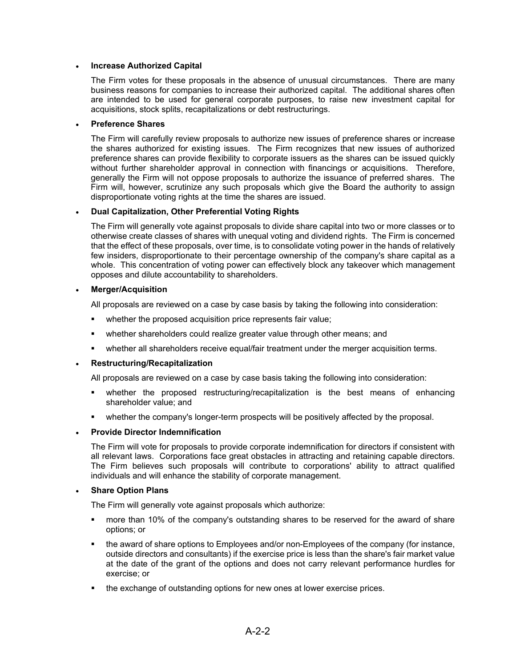### • **Increase Authorized Capital**

The Firm votes for these proposals in the absence of unusual circumstances. There are many business reasons for companies to increase their authorized capital. The additional shares often are intended to be used for general corporate purposes, to raise new investment capital for acquisitions, stock splits, recapitalizations or debt restructurings.

### • **Preference Shares**

The Firm will carefully review proposals to authorize new issues of preference shares or increase the shares authorized for existing issues. The Firm recognizes that new issues of authorized preference shares can provide flexibility to corporate issuers as the shares can be issued quickly without further shareholder approval in connection with financings or acquisitions. Therefore, generally the Firm will not oppose proposals to authorize the issuance of preferred shares. The Firm will, however, scrutinize any such proposals which give the Board the authority to assign disproportionate voting rights at the time the shares are issued.

### • **Dual Capitalization, Other Preferential Voting Rights**

The Firm will generally vote against proposals to divide share capital into two or more classes or to otherwise create classes of shares with unequal voting and dividend rights. The Firm is concerned that the effect of these proposals, over time, is to consolidate voting power in the hands of relatively few insiders, disproportionate to their percentage ownership of the company's share capital as a whole. This concentration of voting power can effectively block any takeover which management opposes and dilute accountability to shareholders.

### • **Merger/Acquisition**

All proposals are reviewed on a case by case basis by taking the following into consideration:

- **•** whether the proposed acquisition price represents fair value;
- **•** whether shareholders could realize greater value through other means; and
- whether all shareholders receive equal/fair treatment under the merger acquisition terms.

### • **Restructuring/Recapitalization**

All proposals are reviewed on a case by case basis taking the following into consideration:

- whether the proposed restructuring/recapitalization is the best means of enhancing shareholder value; and
- whether the company's longer-term prospects will be positively affected by the proposal.

### • **Provide Director Indemnification**

The Firm will vote for proposals to provide corporate indemnification for directors if consistent with all relevant laws. Corporations face great obstacles in attracting and retaining capable directors. The Firm believes such proposals will contribute to corporations' ability to attract qualified individuals and will enhance the stability of corporate management.

### • **Share Option Plans**

The Firm will generally vote against proposals which authorize:

- **number 100 and 10% of the company's outstanding shares to be reserved for the award of share** options; or
- the award of share options to Employees and/or non-Employees of the company (for instance, outside directors and consultants) if the exercise price is less than the share's fair market value at the date of the grant of the options and does not carry relevant performance hurdles for exercise; or
- the exchange of outstanding options for new ones at lower exercise prices.